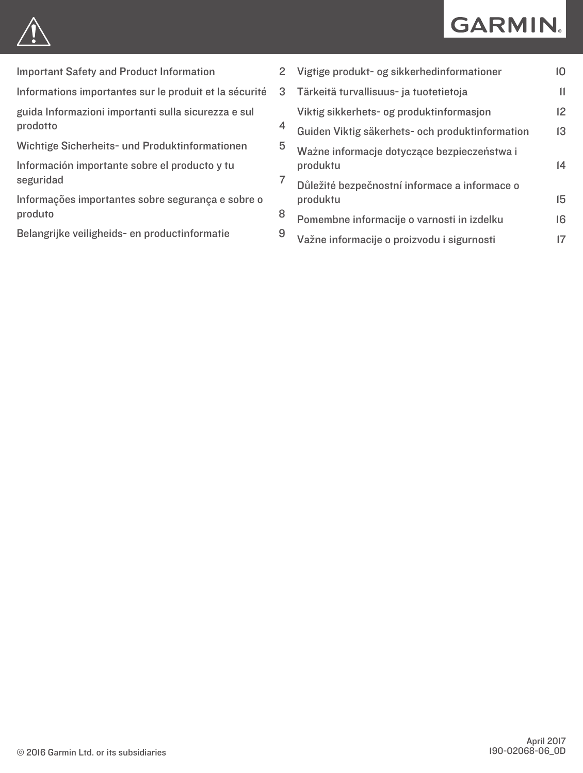# **GARMIN.**



[Important Safety and Product Information](#page-1-0) 2

[Informations importantes sur le produit et la sécurité](#page-2-0)

[guida Informazioni importanti sulla sicurezza e sul](#page-3-0)  [prodotto](#page-3-0) 4

[Wichtige Sicherheits- und Produktinformationen](#page-4-0) 5

[Información importante sobre el producto y tu](#page-6-0) [seguridad](#page-6-0) 7

[Informações importantes sobre segurança e sobre o](#page-7-0)  [produto](#page-7-0)

[Belangrijke veiligheids- en productinformatie](#page-8-0) 9

| $\overline{2}$ | Vigtige produkt- og sikkerhedinformationer                | 10           |
|----------------|-----------------------------------------------------------|--------------|
| 3              | Tärkeitä turvallisuus- ja tuotetietoja                    | $\mathbf{H}$ |
| 4              | Viktig sikkerhets- og produktinformasjon                  | 12           |
|                | Guiden Viktig säkerhets- och produktinformation           | 13           |
| 5              | Ważne informacje dotyczące bezpieczeństwa i<br>produktu   | 4            |
| 7              | Důležité bezpečnostní informace a informace o<br>produktu | 15           |
| 8              | Pomembne informacije o varnosti in izdelku                | 16           |
| 9              | Važne informacije o proizvodu i sigurnosti                | 17           |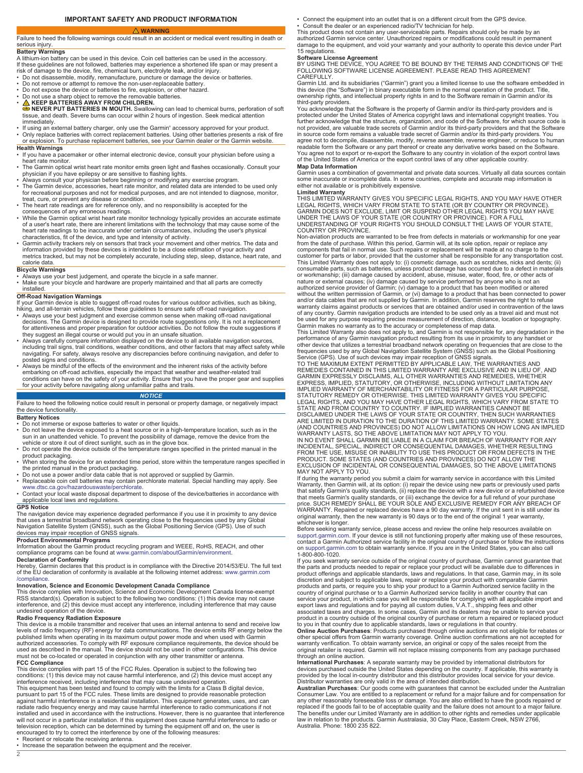# **IMPORTANT SAFETY AND PRODUCT INFORMATION WARNING**

<span id="page-1-0"></span>Failure to heed the following warnings could result in an accident or medical event resulting in death or serious injury.

# **Battery Warnings**

A lithium-ion battery can be used in this device. Coin cell batteries can be used in the accessory. If these guidelines are not followed, batteries may experience a shortened life span or may present a

risk of damage to the device, fire, chemical burn, electrolyte leak, and/or injury. • Do not disassemble, modify, remanufacture, puncture or damage the device or batteries.

- Do not remove or attempt to remove the non-user-replaceable battery.
- 
- Do not expose the device or batteries to fire, explosion, or other hazard. Do not use a sharp object to remove the removable batteries.
- 

• △ KEEP BATTERIES AWAY FROM CHILDREN.<br>● NEVER PUT BATTERIES IN MOUTH. Swallowing can lead to chemical burns, perforation of soft<br>tissue, and death. Severe burns can occur within 2 hours of ingestion. Seek medical attenti immediately.

• If using an external battery charger, only use the Garmin® accessory approved for your product.<br>• Only replace batteries with correct replacement batteries. Using other batteries presents a risk of fire or explosion. To purchase replacement batteries, see your Garmin dealer or the Garmin website.

# **Health Warnings**

• If you have a pacemaker or other internal electronic device, consult your physician before using a heart rate monitor.

- 
- The Garmin optical wrist heart rate monitor emits green light and flashes occasionally. Consult your<br>• Always consult your have epilepsy or are sensitive to flashing lights.<br>• Always consult your physician before beginn
- for recreational purposes and not for medical purposes, and are not intended to diagnose, monitor, treat, cure, or prevent any disease or condition.
- The heart rate readings are for reference only, and no responsibility is accepted for the consequences of any erroneous readings.
- While the Garmin optical wrist heart rate monitor technology typically provides an accurate estimate of a user's heart rate, there are inherent limitations with the technology that may cause some of the
- heart rate readings to be inaccurate under certain circumstances, including the user's physical<br>characteristics, fit of the device, and type and intensity of activity.<br>• Garmin activity trackers rely on sensors that track metrics tracked, but may not be completely accurate, including step, sleep, distance, heart rate, and calore.<br>data.

- **Bicycle Warnings** Always use your best judgement, and operate the bicycle in a safe manner.
- Make sure your bicycle and hardware are properly maintained and that all parts are correctly installed.

# **Off-Road Navigation Warnings**

- If your Garmin device is able to suggest off-road routes for various outdoor activities, such as biking,<br>hiking, and all-terrain vehicles, follow these guidelines to ensure safe off-road navigation.<br>• Always use your bes decisions. The Garmin device is designed to provide route suggestions only. It is not a replacement for attentiveness and proper preparation for outdoor activities. Do not follow the route suggestions if<br>they suggest an illegal course or would put you in an unsafe situation.<br>• Always carefully compare information display
- including trail signs, trail conditions, weather conditions, and other factors that may affect safety while navigating. For safety, always resolve any discrepancies before continuing navigation, and defer to posted signs and conditions.
- Always be mindful of the effects of the environment and the inherent risks of the activity before embarking on off-road activities, especially the impact that weather and weather-related trail conditions can have on the safety of your activity. Ensure that you have the proper gear and supplies for your activity before navigating along unfamiliar paths and trails.

# *NOTICE*

Failure to heed the following notice could result in personal or property damage, or negatively impact the device functionality.

# **Battery Notices**

- Do not immerse or expose batteries to water or other liquids.
- Do not leave the device exposed to a heat source or in a high-temperature location, such as in the sun in an unattended vehicle. To prevent the possibility of damage, remove the device from the vehicle or store it out of direct sunlight, such as in the glove box.
- Do not operate the device outside of the temperature ranges specified in the printed manual in the
- product packaging. When storing the device for an extended time period, store within the temperature ranges specified in
- the printed manual in the product packaging.<br>• Do not use a power and/or data cable that is not approved or supplied by Garmin.<br>• Replaceable coin cell batteries may contain perchlorate material. Special handling may apply
- 
- Contact your local waste disposal department to dispose of the device/batteries in accordance with applicable local laws and regulations. **GPS Notice**

The navigation device may experience degraded performance if you use it in proximity to any device<br>that uses a terrestrial broadband network operating close to the frequencies used by any Global<br>Navigation Satellite System devices may impair reception of GNSS signals.

**Product Environmental Programs**

Information about the Garmin product recycling program and WEEE, RoHS, REACH, and other<br>compliance programs can be found at [www.garmin.com/aboutGarmin/environment](http://www.garmin.com/aboutGarmin/environment).<br>Declaration of Conformity<br>Hereby, Garmin declares that thi

of the EU declaration of conformity is available at the following internet address: [www.garmin.com](http://www.garmin.com/compliance) [/compliance](http://www.garmin.com/compliance).

# **Innovation, Science and Economic Development Canada Compliance**

This device complies with Innovation, Science and Economic Development Canada license-exempt RSS standard(s). Operation is subject to the following two conditions: (1) this device may not cause interference, and (2) this device must accept any interference, including interference that may cause undesired operation of the device.

# **Radio Frequency Radiation Exposure**

This device is a mobile transmitter and receiver that uses an internal antenna to send and receive low<br>levels of radio frequency (RF) energy for data communications. The device emits RF energy below the<br>published limits wh authorized accessories. To comply with RF exposure compliance requirements, the device should be used as described in the manual. The device should not be used in other configurations. This device must not be co-located or operated in conjunction with any other transmitter or antenna. **FCC Compliance**

This device complies with part 15 of the FCC Rules. Operation is subject to the following two conditions: (1) this device may not cause harmful interference, and (2) this device must accept any interference received, including interference that may cause undesired operation. This equipment has been tested and found to comply with the limits for a Class B digital device,

pursuant to part 15 of the FCC rules. These limits are designed to provide reasonable protection<br>against harmful interference in a residential installation. This equipment generates, uses, and can<br>radiate radio frequency e will not occur in a particular installation. If this equipment does cause harmful interference to radio or television reception, which can be determined by turning the equipment off and on, the user is encouraged to try to correct the interference by one of the following measures:

 $\overline{2}$ 

- Connect the equipment into an outlet that is on a different circuit from the GPS device.
- Consult the dealer or an experienced radio/TV technician for help.

This product does not contain any user-serviceable parts. Repairs should only be made by an authorized Garmin service center. Unauthorized repairs or modifications could result in permanent

damage to the equipment, and void your warranty and your authority to operate this device under Part 15 regulations.

**Software License Agreement**<br>BY USING THE DEVICE, YOU AGREE TO BE BOUND BY THE TERMS AND CONDITIONS OF THE<br>FOLLOWING SOFTWARE LICENSE AGREEMENT. PLEASE READ THIS AGREEMENT **CAREFULLY** 

Garmin Ltd. and its subsidiaries ("Garmin") grant you a limited license to use the software embedded in<br>this device (the "Software") in binary executable form in the normal operation of the product. Title,<br>ownership rights

third-party providers. You acknowledge that the Software is the property of Garmin and/or its third-party providers and is protected under the United States of America copyright laws and international copyright treaties. You<br>further acknowledge that the structure, organization, and code of the Software, for which source code is<br>not provided, a agree not to decompile, disassemble, modify, reverse assemble, reverse engineer, or reduce to human readable form the Software or any part thereof or create any derivative works based on the Software. You agree not to export or re-export the Software to any country in violation of the export control laws of the United States of America or the export control laws of any other applicable country. **Map Data Information**

Garmin uses a combination of governmental and private data sources. Virtually all data sources contain some inaccurate or incomplete data. In some countries, complete and accurate map information is either not available or is prohibitively expensive.

**Limited Warranty** THIS LIMITED WARRANTY GIVES YOU SPECIFIC LEGAL RIGHTS, AND YOU MAY HAVE OTHER LEGAL RIGHTS, WHICH VARY FROM STATE TO STATE (OR BY COUNTRY OR PROVINCE).<br>GARMIN DOES NOT EXCLUDE, LIMIT OR SUSPEND OTHER LEGAL RIGHTS YOU MAY HAVE<br>UNDER THE LAWS OF YOUR STATE (OR COUNTRY OR PROVINCE). FOR A FULL<br>UNDERSTA

Non-aviation products are warranted to be free from defects in materials or workmanship for one year from the date of purchase. Within this period, Garmin will, at its sole option, repair or replace any<br>components that fail in normal use. Such repairs or replacement will be made at no charge to the<br>customer for parts or l or workmanship; (iii) damage caused by accident, abuse, misuse, water, flood, fire, or other acts of nature or external causes; (iv) damage caused by service performed by anyone who is not an authorized service provider of Garmin; (v) damage to a product that has been modified or altered without the written permission of Garmin, or (vi) damage to a product that has been connected to power and/or data cables that are not supplied by Garmin. In addition, Garmin reserves the right to refuse warranty claims against products or services that are obtained and/or used in contravention of the laws of any country. Garmin navigation products are intended to be used only as a travel aid and must not be used for any purpose requiring precise measurement of direction, distance, location or topography.

Garmin makes no warranty as to the accuracy or completeness of map data.<br>This Limited Warranty also does not apply to, and Garmin is not responsible for, any degradation in the<br>performance of any Garmin navigation product

Service (GPS). Use of such devices may impair reception of GNSS signals.<br>TO THE MAXIMUM EXTENT PERMITTED BY APPLICABLE LAW, THE WARRANTIES AND<br>REMEDIES CONTAINED IN THIS LIMITED WARRANTY ARE EXCLUSIVE AND IN LIEU OF, AND<br>G STATUTORY REMEDY OR OTHERWISE. THIS LIMITED WARRANTY GIVES YOU SPECIFIC<br>LEGAL RIGHTS, AND YOU MAY HAVE OTHER LEGAL RIGHTS, WHICH VARY FROM STATE TO<br>STATE AND FROM COUNTRY TO COUNTRY. IF IMPLIED WARRANTIES CANNOT BE DISCLAIMED UNDER THE LAWS OF YOUR STATE OR COUNTRY, THEN SUCH WARRANTIES<br>ARE LIMITED IN DURATION TO THE DURATION OF THIS LIMITED WARRANTY. SOME STATES<br>(AND COUNTRIES AND PROVINCES) DO NOT ALLOW LIMITATIONS ON HOW LONG AN I

IN NO EVENT SHALL GARMIN BE LIABLE IN A CLAIM FOR BREACH OF WARRANTY FOR ANY<br>INCIDENTAL, SPECIAL, INDIRECT OR CONSEQUENTIAL DAMAGES, WHETHER RESULTING<br>FROM THE USE, MISUSE OR INABILITY TO USE THIS PRODUCT OR FROM DEFECTS I MAY NOT APPLY TO YOU.

If during the warranty period you submit a claim for warranty service in accordance with this Limited Warranty, then Garmin will, at its option: (i) repair the device using new parts or previously used parts that satisfy Garmin's quality standards, (ii) replace the device with a new device or a refurbished device<br>that meets Garmin's quality standards, or (iii) exchange the device for a full refund of your purchase<br>price. SUCH original warranty, then the new warranty is 90 days or to the end of the original 1 year warranty, whichever is longer.

Before seeking warranty service, please access and review the online help resources available on [support.garmin.com.](http://www.support.garmin.com) If your device is still not functioning properly after making use of these resources, contact a Garmin Authorized service facility in the original country of purchase or follow the instructions on [support.garmin.com](http://www.support.garmin.com) to obtain warranty service. If you are in the United States, you can also call 1-800-800-1020.

If you seek warranty service outside of the original country of purchase, Garmin cannot guarantee that the parts and products needed to repair or replace your product will be available due to differences in product offerings and applicable standards, laws and regulations. In that case, Garmin may, in its sole discretion and subject to applicable laws, repair or replace your product with comparable Garmin products and parts, or require you to ship your product to a Garmin Authorized service facility in the<br>country of original purchase or to a Garmin Authorized service facility in another country that can<br>service your produc associated taxes and charges. In some cases, Garmin and its dealers may be unable to service your<br>product in a country outside of the original country of purchase or return a repaired or replaced product<br>to you in that cou

**Online Auction Purchases**: Products purchased through online auctions are not eligible for rebates or other special offers from Garmin warranty coverage. Online auction confirmations are not accepted for warranty verification. To obtain warranty service, an original or copy of the sales receipt from the original retailer is required. Garmin will not replace missing components from any package purchased through an online auction.

**International Purchases**: A separate warranty may be provided by international distributors for devices purchased outside the United States depending on the country. If applicable, this warranty is provided by the local in-country distributor and this distributor provides local service for your device.

Distributor warranties are only valid in the area of intended distribution.<br>**Australian Purchase**s: Our goods come with guarantees that cannot be excluded under the Australian<br>Consumer Law. You are entitled to a replacemen any other reasonably foreseeable loss or damage. You are also entitled to have the goods repaired or replaced if the goods fail to be of acceptable quality and the failure does not amount to a major failure.<br>The benefits under our Limited Warranty are in addition to other rights and remedies under applicable<br>law in relati Australia. Phone: 1800 235 822.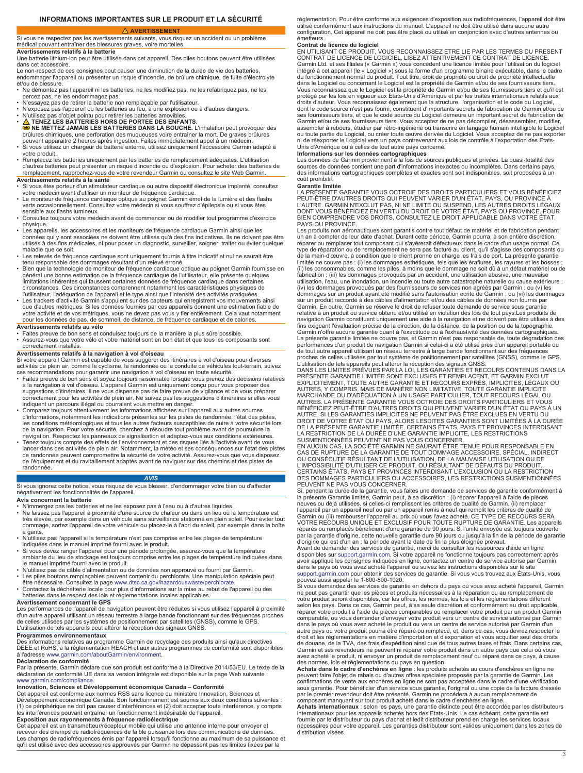# **AVERTISSEMENT**

<span id="page-2-0"></span>Si vous ne respectez pas les avertissements suivants, vous risquez un accident ou un problème médical pouvant entraîner des blessures graves, voire mortelles.

**Avertissements relatifs à la batterie** Une batterie lithium-ion peut être utilisée dans cet appareil. Des piles boutons peuvent être utilisées dans cet accessoire.

Le non-respect de ces consignes peut causer une diminution de la durée de vie des batteries, endommager l'appareil ou présenter un risque d'incendie, de brûlure chimique, de fuite d'électrolyte et/ou de blessure.

- Ne démontez pas l'appareil ni les batteries, ne les modifiez pas, ne les refabriquez pas, ne les percez pas, ne les endommagez pas.<br>N'essayez pas de retirer la batterie non remplaçable par l'utilisateur.
- N'essayez pas de retirer la batterie non remplaçable par l'utilisateur.<br>• N'exposez pas l'appareil ou les batteries au feu, à une explosion ou à d'autres dangers.<br>• N'utilisez pas d'objet pointu pour retirer les batteri
- 
- 
- **NE METTEZ JAMAIS LES BATTERIES DANS LA BOUCHE.** L'inhalation peut provoquer des brûlures chimiques, une perforation des muqueuses voire entraîner la mort. De graves brûlures peuvent apparaitre 2 heures après ingestion. Faites immédiatement appel à un médecin. • Si vous utilisez un chargeur de batterie externe, utilisez uniquement l'accessoire Garmin adapté à
- votre produit. Remplacez les batteries uniquement par les batteries de remplacement adéquates. L'utilisation
- d'autres batteries peut présenter un risque d'incendie ou d'explosion. Pour acheter des batteries de remplacement, rapprochez-vous de votre revendeur Garmin ou consultez le site Web Garmin.

# **Avertissements relatifs à la santé**

- Si vous êtes porteur d'un stimulateur cardiaque ou autre dispositif électronique implanté, consultez
- votre médecin avant d'utiliser un moniteur de fréquence cardiaque.<br>• Le moniteur de fréquence cardiaque optique au poignet Garmin émet de la lumière et des flashs<br>• verts occasionnellement. Consultez votre médecin si vous sensible aux flashs lumineux.
- Consultez toujours votre médecin avant de commencer ou de modifier tout programme d'exercice physique.
- Les appareils, les accessoires et les moniteurs de fréquence cardiaque Garmin ainsi que les données qui y sont associées ne doivent être utilisés qu'à des fins indicatives. Ils ne doivent pas être utilisés à des fins médicales, ni pour poser un diagnostic, surveiller, soigner, traiter ou éviter quelque maladie que ce soit.
- 
- Les relevés de fréquence cardiaque sont uniquement fournis à titre indicatif et nul ne saurait être<br>tenu responsable des dommages résultant d'un relevé erroné.<br>Bien que la technologie de moniteur de fréquence cardiaque opt circonstances. Ces circonstances comprennent notamment les caractéristiques physiques de
- l'utilisateur, l'adéquation de l'appareil et le type ainsi que l'intensité des activités pratiquées.<br>• Les trackers d'activité Garmin s'appuient sur des capteurs qui enregistrent vos mouvements ainsi<br>• que d'autres métriq votre activité et de vos métriques, vous ne devez pas vous y fier entièrement. Cela vaut notamment pour les données de pas, de sommeil, de distance, de fréquence cardiaque et de calories.

# **Avertissements relatifs au vélo**

- Faites preuve de bon sens et conduisez toujours de la manière la plus sûre possible. • Assurez-vous que votre vélo et votre matériel sont en bon état et que tous les composants sont
- correctement installés.

# **Avertissements relatifs à la navigation à vol d'oiseau**

Si votre appareil Garmin est capable de vous suggérer des itinéraires à vol d'oiseau pour diverses activités de plein air, comme le cyclisme, la randonnée ou la conduite de véhicules tout-terrain, suivez

- ces recommandations pour garantir une navigation à vol d'oiseau en toute sécurité. Faites preuve de bon sens et soyez toujours raisonnable lorsque vous prenez des décisions relatives à la navigation à vol d'oiseau. L'appareil Garmin est uniquement conçu pour vous proposer des suggestions d'itinéraires. Il ne vous dispense pas de faire preuve de vigilance et de vous préparer correctement pour les activités de plein air. Ne suivez pas les suggestions d'itinéraires si elles vous<br>indiquent un parcours illégal ou pourraient vous mettre en danger.<br>• Comparez toujours attentivement les informations
- d'informations, notamment les indications présentes sur les pistes de randonnée, l'état des pistes, les conditions météorologiques et tous les autres facteurs susceptibles de nuire à votre sécurité lors<br>de la navigation. Pour votre sécurité, cherchez à résoudre tout problème avant de poursuivre la<br>navigation. Respectez l
- Tenez toujours compte des effets de l'environnement et des risques liés à l'activité avant de vous lancer dans des activités de plein air. Notamment, la météo et ses conséquences sur l'état des pistes de randonnée peuvent compromettre la sécurité de votre activité. Assurez-vous que vous disposez de l'équipement et du ravitaillement adaptés avant de naviguer sur des chemins et des pistes de randonnée.

# *AVIS*

Si vous ignorez cette notice, vous risquez de vous blesser, d'endommager votre bien ou d'affecter négativement les fonctionnalités de l'appareil.

### **Avis concernant la batterie**

- 
- N'immergez pas les batteries et ne les exposez pas à l'eau ou à d'autres liquides.<br>• Ne laissez pas l'appareil à proximité d'une source de chaleur ou dans un lieu où la température est<br>• très élevée, par exemple d dommage, sortez l'appareil de votre véhicule ou placez-le à l'abri du soleil, par exemple dans la boîte
- 
- à gants.<br>• N'utilisez pas l'appareil si la température n'est pas comprise entre les plages de température<br>• N'utilisez dans le manuel imprimé fourni avec le produit.<br>• Si vous devez ranger l'appareil pour une période prolo
- N'utilisez pas de câble d'alimentation ou de données non approuvé ou fourni par Garmin.<br>• Les piles boutons remplaçables peuvent contenir du perchlorate. Une manipulation spéciale peut<br>• être nécessaire. Consultez
- Contactez la déchetterie locale pour plus d'informations sur la mise au rebut de l'appareil ou des batteries dans le respect des lois et réglementations locales applicables.

# **Avertissement concernant le GPS**

Les performances de l'appareil de navigation peuvent être réduites si vous utilisez l'appareil à proximité d'un autre appareil utilisant un réseau terrestre à large bande fonctionnant sur des fréquences proches de celles utilisées par les systèmes de positionnement par satellites (GNSS), comme le GPS. L'utilisation de tels appareils peut altérer la réception des signaux GNSS.

**Programmes environnementaux** Des informations relatives au programme Garmin de recyclage des produits ainsi qu'aux directives DEEE et RoHS, à la réglementation REACH et aux autres programmes de conformité sont disponibles à l'adresse [www.garmin.com/aboutGarmin/environment.](http://www.garmin.com/aboutGarmin/environment)

**Déclaration de conformité**<br>Par la présente, Garmin déclare que son produit est conforme à la Directive 2014/53/EU. Le texte de la déclaration de conformité UE dans sa version intégrale est disponible sur la page Web suivante : [www.garmin.com/compliance](http://www.garmin.com/compliance).

# **Innovation, Sciences et Développement économique Canada – Conformité**

Cet appareil est conforme aux normes RSS sans licence du ministère Innovation, Sciences et<br>Développement économique Canada. Son fonctionnement est soumis aux deux conditions suivantes :<br>(1) ce périphérique ne doit pas caus les interférences pouvant entraîner un fonctionnement indésirable de l'appareil. **Exposition aux rayonnements à fréquence radioélectrique**

Cet appareil est un transmetteur/récepteur mobile qui utilise une antenne interne pour envoyer et recevoir des champs de radiofréquences de faible puissance lors des communications de données. Les champs de radiofréquences émis par l'appareil lorsqu'il fonctionne au maximum de sa puissance et qu'il est utilisé avec des accessoires approuvés par Garmin ne dépassent pas les limites fixées par la réglementation. Pour être conforme aux exigences d'exposition aux radiofréquences, l'appareil doit être utilisé conformément aux instructions du manuel. L'appareil ne doit être utilisé dans aucune autre configuration. Cet appareil ne doit pas être placé ou utilisé en conjonction avec d'autres antennes ou émetteurs.

**Contrat de licence du logiciel**<br>EN UTILISANT CE PRODUIT, VOUS RECONNAISSEZ ETRE LIE PAR LES TERMES DU PRESENT<br>CONTRAT DE LICENCE DE LOGICIEL. LISEZ ATTENTIVEMENT CE CONTRAT DE LICENCE. Garmin Ltd. et ses filiales (« Garmin ») vous concèdent une licence limitée pour l'utilisation du logiciel<br>intégré à cet appareil (le « Logiciel ») sous la forme d'un programme binaire exécutable, dans le cadre<br>du fonction dans le Logiciel ou concernant le Logiciel est la propriété de Garmin et/ou de ses fournisseurs tiers.<br>Vous reconnaissez que le Logiciel est la propriété de Garmin et/ou de ses fournisseurs tiers et qu'il est<br>protégé par l droits d'auteur. Vous reconnaissez également que la structure, l'organisation et le code du Logiciel,<br>dont le code source n'est pas fourni, constituent d'importants secrets de fabrication de Garmin et/ou de ses fournisseurs tiers, et que le code source du Logiciel demeure un important secret de fabrication de Garmin et/ou de ses fournisseurs tiers. Vous acceptez de ne pas décompiler, désassembler, modifier, assembler à rebours, étudier par rétro-ingénierie ou transcrire en langage humain intelligible le Logiciel ou toute partie du Logiciel, ou créer toute œuvre dérivée du Logiciel. Vous acceptez de ne pas exporter ni de réexporter le Logiciel vers un pays contrevenant aux lois de contrôle à l'exportation des Etats-Unis d'Amérique ou à celles de tout autre pays concerné.

**Informations sur les données cartographiques** Les données de Garmin proviennent à la fois de sources publiques et privées. La quasi-totalité des sources de données contient une part d'informations inexactes ou incomplètes. Dans certains pays, des informations cartographiques complètes et exactes sont soit indisponibles, soit proposées à un coût prohibitif.

### **Garantie limitée**

LA PRÉSENTE GARANTIE VOUS OCTROIE DES DROITS PARTICULIERS ET VOUS BÉNÉFICIEZ PEUT-ÊTRE D'AUTRES DROITS QUI PEUVENT VARIER D'UN ÉTAT, PAYS, OU PROVINCE À L'AUTRE. GARMIN N'EXCLUT PAS, NI NE LIMITE OU SUSPEND, LES AUTRES DROITS LÉGAUX<br>DONT VOUS BÉNÉFICIEZ EN VERTU DU DROIT DE VOTRE ÉTAT, PAYS OU PROVINCE. POUR<br>BIEN COMPRENDRE VOS DROITS, CONSULTEZ LE DROIT APPLICABLE DANS VO PAYS OU PROVINCE.

Les produits non aéronautiques sont garantis contre tout défaut de matériel et de fabrication pendant<br>un an à compter de leur date d'achat. Durant cette période, Garmin pourra, à son entière discrétion, réparer ou remplacer tout composant qui s'avérerait défectueux dans le cadre d'un usage normal. Ce<br>type de réparation ou de remplacement ne sera pas facturé au client, qu'il s'agisse des composants ou<br>de la main-d'œuvre, à fabrication ; (iii) les dommages provoqués par un accident, une utilisation abusive, une mauvaise utilisation, l'eau, une inondation, un incendie ou toute autre catastrophe naturelle ou cause extérieure ; (iv) les dommages provoqués par des fournisseurs de services non agréés par Garmin ; ou (v) les dommages sur un produit ayant été modifié sans l'autorisation écrite de Garmin ; ou (vi) les dommages sur un produit raccordé à des câbles d'alimentation et/ou des câbles de données non fournis par Garmin. En outre, Garmin se réserve le droit de refuser toute demande de service sous garantie relative à un produit ou service obtenu et/ou utilisé en violation des lois de tout pays.Les produits de navigation Garmin constituent uniquement une aide à la navigation et ne doivent pas être utilisés à des fins exigeant l'évaluation précise de la direction, de la distance, de la position ou de la topographie. Garmin n'offre aucune garantie quant à l'exactitude ou à l'exhaustivité des données cartographiques. La présente garantie limitée ne couvre pas, et Garmin n'est pas responsable de, toute dégradation des<br>performances d'un produit de navigation Garmin si celui-ci a été utilisé près d'un appareil portable ou<br>de tout autre a

proches de celles utilisées par tout système de positionnement par satellites (GNSS), comme le GPS.<br>L'utilisation de tels appareils peut altérer la réception des signaux GNSS.<br>DANS LES LIMITES PRÉVUES PAR LA LOI, LES GARAN EXPLICITEMENT, TOUTE AUTRE GARANTIE ET RECOURS EXPRÈS, IMPLICITES, LÉGAUX OU AUTRES, Y COMPRIS, MAIS DE MANIÈRE NON LIMITATIVE, TOUTE GARANTIE IMPLICITE MARCHANDE OU D'ADÉQUATION À UN USAGE PARTICULIER, TOUT RECOURS LÉGAL OU<br>AUTRES. LA PRÉSENTE GARANTIE VOUS OCTROIE DES DROITS PARTICULIERS ET VOUS<br>BÉNÉFICIEZ PEUT-ÊTRE D'AUTRES DROITS QUI PEUVENT VARIER D'UN ÉTAT OU PAYS À DROIT DE VOTRE ÉTAT OU PAYS, ALORS LESDITES GARANTIES SONT LIMITÉES À LA DURÉE<br>DE LA PRÉSENTE GARANTIE LIMITÉE. CERTAINS ÉTATS, PAYS ET PROVINCES INTERDISANT<br>LA RESTRICTION DE LA DURÉE D'UNE GARANTIE IMPLICITE, LES RESTRIC

SUSMENTIONNÉES PEUVENT NE PAS VOUS CONCERNER. EN AUCUN CAS, LA SOCIÉTÉ GARMIN NE SAURAIT ÊTRE TENUE POUR RESPONSABLE EN CAS DE RUPTURE DE LA GARANTIE DE TOUT DOMMAGE ACCESSOIRE, SPÉCIAL, INDIRECT<br>OU CONSÉCUTIF RÉSULTANT DE L'UTILISATION, DE LA MAUVAISE UTILISATION OU DE<br>L'IMPOSSIBILITÉ D'UTILISER CE PRODUIT, OU RÉSULTANT DE DÉFAUTS DU PRODU DES DOMMAGES PARTICULIERS OU ACCESSOIRES, LES RESTRICTIONS SUSMENTIONNÉES PEUVENT NE PAS VOUS CONCERNER.

Si, pendant la durée de la garantie, vous faites une demande de services de garantie conformément à<br>la présente Garantie limitée, Garmin peut, à sa discrétion : (i) réparer l'appareil à l'aide de pièces<br>neuves ou déjà util l'appareil par un appareil neuf ou par un appareil remis à neuf qui remplit les critères de qualité de Garmin ou (iii) rembourser l'appareil au prix où vous l'avez acheté. CE TYPE DE RECOURS SERA<br>VOTRE RECOURS UNIQUE ET EXCLUSIF POUR TOUTE RUPTURE DE GARANTIE. Les appareils<br>réparés ou remplacés bénéficient d'une garantie de

Avant de demander des services de garantie, merci de consulter les ressources d'aide en ligne<br>disponibles sur [support.garmin.com](http://www.support.garmin.com). Si votre appareil ne fonctionne toujours pas correctement après<br>avoir appliqué les consignes [support.garmin.com](http://www.support.garmin.com) pour obtenir des services de garantie. Si vous vous trouvez aux États-Unis, vous pouvez aussi appeler le 1-800-800-1020.

Si vous demandez des services de garantie en dehors du pays où vous avez acheté l'appareil, Garmin<br>ne peut pas garantir que les pièces et produits nécessaires à la réparation ou au remplacement de<br>votre produit seront disp réparer votre produit à l'aide de pièces comparables ou remplacer votre produit par un produit Garmin<br>comparable, ou vous demander d'envoyer votre produit vers un centre de service autorisé par Garmin<br>dans le pays où vous autre pays où votre produit pourra être réparé ou remplacé, et, dans ce cas, vous devrez respecter le droit et les réglementations en matière d'importation et d'exportation et vous acquitter seul des droits de douane, de la TVA, des frais d'expédition ainsi que de tous autres taxes et frais. Dans certains cas, Garmin et ses revendeurs ne peuvent ni réparer votre produit dans un autre pays que celui où vous<br>avez acheté le produit, ni envoyer un produit de remplacement neuf ou réparé dans ce pays, à cause<br>des normes, lois et régle

Achats dans le cadre d'enchères en ligne : les produits achetés au cours d'enchères en ligne ne<br>peuvent faire l'objet de rabais ou d'autres offres spéciales proposés par la garantie de Garmin. Les<br>confirmations de vente au

**Achats internationaux** : selon les pays, une garantie distincte peut être accordée par les distributeurs<br>internationaux pour les appareils achetés hors des Etats-Unis. Le cas échéant, cette garantie est<br>fournie par le dis nécessaires pour votre appareil. Les garanties distributeur sont valides uniquement dans les zones de distribution visées.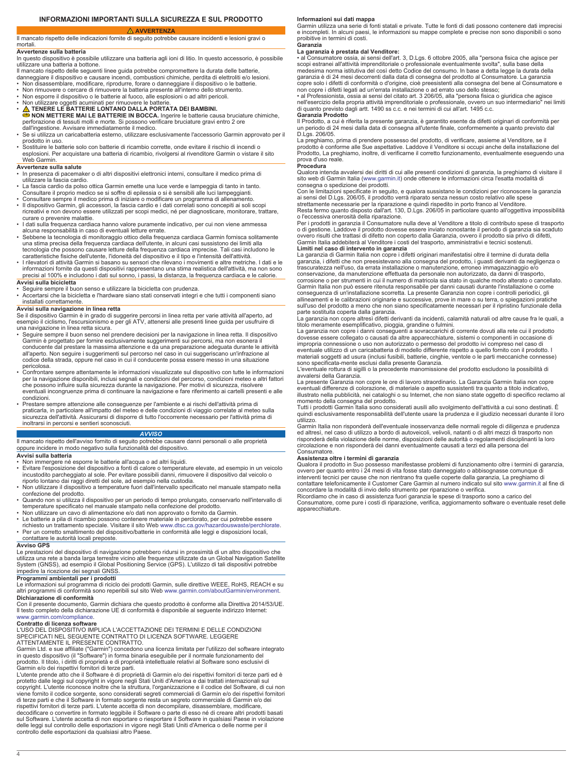# **AVVERTENZA**

# <span id="page-3-0"></span>Il mancato rispetto delle indicazioni fornite di seguito potrebbe causare incidenti e lesioni gravi o

# **Avvertenze sulla batteria**

mortali

In questo dispositivo è possibile utilizzare una batteria agli ioni di litio. In questo accessorio, è possibile utilizzare una batteria a bottone.

- Il mancato rispetto delle seguenti linee guida potrebbe compromettere la durata delle batterie, danneggiare il dispositivo e causare incendi, combustioni chimiche, perdita di elettroliti e/o lesioni.
- 
- Non disassemblare, modificare, riprodurre, forare o danneggiare il dispositivo o le batterie.<br>▪ Non rimuovere o cercare di rimuovere la batteria presente all'interno dello strumento.<br>▪ Non esporre il dispositivo o le ba
- 
- 

• Non utilizzare oggetti acuminati per rimuovere le batterie.<br>● NON METTERE LONTANO DALLA PORTATA DEI BAMBINI.<br>● NON METTERE MAI LE BATTERIE IN BOCCA. Ingerire le batterie causa bruciature chimiche,<br>perforazione di tessut

- dall'ingestione. Avvisare immediatamente il medico. Se si utilizza un caricabatteria esterno, utilizzare esclusivamente l'accessorio Garmin approvato per il
- prodotto in uso. Sostituire le batterie solo con batterie di ricambio corrette, onde evitare il rischio di incendi o esplosioni. Per acquistare una batteria di ricambio, rivolgersi al rivenditore Garmin o vistare il sito Web Garmin.

# **Avvertenze sulla salute**

- In presenza di pacemaker o di altri dispositivi elettronici interni, consultare il medico prima di utilizzare la fascia cardio.
- La fascia cardio da polso ottica Garmin emette una luce verde e lampeggia di tanto in tanto. Consultare il proprio medico se si soffre di epilessia o si è sensibili alle luci lampeggianti.
- Consultare sempre il medico prima di iniziare o modificare un programma di allenamento. Il dispositivo Garmin, gli accessori, la fascia cardio e i dati correlati sono concepiti ai soli scopi
- ricreativi e non devono essere utilizzati per scopi medici, né per diagnosticare, monitorare, trattare,
- curare o prevenire malattie. I dati sulla frequenza cardiaca hanno valore puramente indicativo, per cui non viene ammessa
- alcuna responsabilità in caso di eventuali letture errate. Sebbene la tecnologia di monitoraggio ottico della frequenza cardiaca Garmin fornisca solitamente una stima precisa della frequenza cardiaca dell'utente, in alcuni casi sussistono dei limiti alla tecnologia che possono causare letture della frequenza cardiaca imprecise. Tali casi includono le
- caratteristiche fisiche dell'utente, l'idoneità del dispositivo e il tipo e l'intensità dell'attività. I rilevatori di attività Garmin si basano su sensori che rilevano i movimenti e altre metriche. I dati e le informazioni fornite da questi dispositivi rappresentano una stima realistica dell'attività, ma non sono precisi al 100% e includono i dati sul sonno, i passi, la distanza, la frequenza cardiaca e le calorie.

**Avvisi sulla bicicletta** • Seguire sempre il buon senso e utilizzare la bicicletta con prudenza. • Accertarsi che la bicicletta e l'hardware siano stati conservati integri e che tutti i componenti siano

installati correttamente.

**Avvisi sulla navigazione in linea retta**<br>Se il dispositivo Garmin è in grado di suggerire percorsi in linea retta per varie attività all'aperto, ad<br>esempio il ciclismo, l'escursionismo e per gli ATV, attenersi alle presen una navigazione in linea retta sicura.

- Seguire sempre il buon senso nel prendere decisioni per la navigazione in linea retta. Il dispositivo Garmin è progettato per fornire esclusivamente suggerimenti sui percorsi, ma non esonera il conducente dal prestare la massima attenzione e da una preparazione adeguata durante le attività all'aperto. Non seguire i suggerimenti sul percorso nel caso in cui suggeriscano un'infrazione al codice della strada, oppure nel caso in cui il conducente possa essere messo in una situazione pericolosa. • Confrontare sempre attentamente le informazioni visualizzate sul dispositivo con tutte le informazioni
- per la navigazione disponibili, inclusi segnali e condizioni del percorso, condizioni meteo e altri fattori<br>che possono influire sulla sicurezza durante la navigazione. Per motivi di sicurezza, risolvere<br>eventuali incongru condizioni.
- Prestare sempre attenzione alle conseguenze per l'ambiente e ai rischi dell'attività prima di praticarla, in particolare all'impatto del meteo e delle condizioni di viaggio correlate al meteo sulla sicurezza dell'attività. Assicurarsi di disporre di tutto l'occorrente necessario per l'attività prima di inoltrarsi in percorsi e sentieri sconosciuti.

# *AVVISO*

Il mancato rispetto dell'avviso fornito di seguito potrebbe causare danni personali o alle proprietà oppure incidere in modo negativo sulla funzionalità del dispositivo.

# **Avvisi sulla batteria**

- Non immergere né esporre le batterie all'acqua o ad altri liquidi.
- Evitare l'esposizione del dispositivo a fonti di calore o temperature elevate, ad esempio in un veicolo<br>incustodito parcheggiato al sole. Per evitare possibili danni, rimuovere il dispositivo dal veicolo o<br>riporlo lontan
- 
- confezione del prodotto. Quando non si utilizza il dispositivo per un periodo di tempo prolungato, conservarlo nell'intervallo di
- 
- temperature specificato nel manuale stampato nella confezione del prodotto.<br>• Non utilizzare un cavo di alimentazione e/o dati non approvato o fornito da Garmin.<br>• Le batterie a pila di ricambio possono contenere materiale
- Per un corretto smaltimento del dispositivo/batterie in conformità alle leggi e disposizioni locali, contattare le autorità locali preposte.

# **Avviso GPS**

Le prestazioni del dispositivo di navigazione potrebbero ridursi in prossimità di un altro dispositivo che utilizza una rete a banda larga terrestre vicino alle frequenze utilizzate da un Global Navigation Satellite System (GNSS), ad esempio il Global Positioning Service (GPS). L'utilizzo di tali dispositivi potrebbe impedire la ricezione dei segnali GNSS.

**Programmi ambientali per i prodotti**<br>Le informazioni sul programma di riciclo dei prodotti Garmin, sulle direttive WEEE, RoHS, REACH e su<br>altri programmi di conformità sono reperibili sul sito Web www.garmin.com/aboutGarm

**Dichiarazione di conformità**<br>Con il presente documento, Garmin dichiara che questo prodotto è conforme alla Direttiva 2014/53/UE.<br>Il testo completo della dichiarazione UE di conformità è disponibile al seguente indirizzo [www.garmin.com/compliance](http://www.garmin.com/compliance).

# **Contratto di licenza software**

L'USO DEL DISPOSITIVO IMPLICA L'ACCETTAZIONE DEI TERMINI E DELLE CONDIZIONI<br>SPECIFICATI NEL SEGUENTE CONTRATTO DI LICENZA SOFTWARE. LEGGERE<br>ATTENTAMENTE IL PRESENTE CONTRATTO.

Garmin Ltd. e sue affiliate ("Garmin") concedono una licenza limitata per l'utilizzo del software integrato in questo dispositivo (il "Software") in forma binaria eseguibile per il normale funzionamento del prodotto. Il titolo, i diritti di proprietà e di proprietà intellettuale relativi al Software sono esclusivi di Garmin e/o dei rispettivi fornitori di terze parti.

L'utente prende atto che il Software è di proprietà di Garmin e/o dei rispettivi fornitori di terze parti ed è protetto dalle leggi sul copyright in vigore negli Stati Uniti d'America e dai trattati internazionali sul copyright. L'utente riconosce inoltre che la struttura, l'organizzazione e il codice del Software, di cui non viene fornito il codice sorgente, sono considerati segreti commerciali di Garmin e/o dei rispettivi fornitori<br>di terze parti e che il Software in formato sorgente resta un segreto commerciale di Garmin e/o dei<br>rispettivi f

decodificare o convertire in formato leggibile il Software o parte di esso né di creare altri prodotti basati sul Software. L'utente accetta di non esportare o riesportare il Software in qualsiasi Paese in violazione delle leggi sul controllo delle esportazioni in vigore negli Stati Uniti d'America o delle norme per il controllo delle esportazioni da qualsiasi altro Paese.

**Informazioni sui dati mappa**<br>Garmin utilizza una serie di fonti statali e private. Tutte le fonti di dati possono contenere dati imprecisi e incompleti. In alcuni paesi, le informazioni su mappe complete e precise non sono disponibili o sono proibitive in termini di costi.

### **Garanzia La garanzia è prestata dal Venditore:**

• al Consumatore ossia, ai sensi dell'art. 3, D.Lgs. 6 ottobre 2005, alla "persona fisica che agisce per<br>scopi estranei all'attività imprenditoriale o professionale eventualmente svolta", sulla base della<br>medesima norma is garanzia è di 24 mesi decorrenti dalla data di consegna del prodotto al Consumatore. La garanzia copre solo i difetti di conformità o d'origine, cioè preesistenti alla consegna del bene al Consumatore e<br>non copre i difetti legati ad un'errata installazione o ad errato uso dello stesso;<br>• al Professionista, ossia ai s

nell'esercizio della propria attività imprenditoriale o professionale, ovvero un suo intermediario" nei limiti di quanto previsto dagli artt. 1490 ss c.c. e nei termini di cui all'art. 1495 c.c. **Garanzia Prodotto**

Il Prodotto, a cui è riferita la presente garanzia, è garantito esente da difetti originari di conformità per un periodo di 24 mesi dalla data di consegna all'utente finale, conformemente a quanto previsto dal D.Lgs. 206/05.

La preghiamo, prima di prendere possesso del prodotto, di verificare, assieme al Venditore, se il<br>prodotto è conforme alle Sue aspettative. Laddove il Venditore si occupi anche della installazione del<br>Prodotto, La preghiam prova d'uso reale. **Procedura**

Qualora intenda avvalersi dei diritti di cui alle presenti condizioni di garanzia, la preghiamo di visitare il sito web di Garmin Italia [\(www.garmin.it](http://www.garmin.it)) onde ottenere le informazioni circa l'esatta modalità di<br>consegna o spedizione dei prodotti.<br>Con le limitazioni specificate in seguito, e qualora sussistano le condizioni per ricon

ai sensi del D.Lgs. 206/05, il prodotto verrà riparato senza nessun costo relativo alle spese strettamente necessarie per la riparazione e quindi rispedito in porto franco al Venditore.

Resta fermo quanto disposto dall'art. 130, D.Lgs. 206/05 in particolare quanto all'oggettiva impossibilità

o l'eccessiva onerosità della riparazione.<br>Per i prodotti in garanzia il Consumatore nulla deve al Venditore a titolo di contributo spese di trasporto<br>o di gestione. Laddove il prodotto dovesse essere inviato nonostante il ovvero risulti che trattasi di difetto non coperto dalla Garanzia, ovvero il prodotto sia privo di difetti, Garmin Italia addebiterà al Venditore i costi del trasporto, amministrativi e tecnici sostenuti.

**Limiti nel caso di intervento in garanzia** La garanzia di Garmin Italia non copre i difetti originari manifestatisi oltre il termine di durata della garanzia, i difetti che non preesistevano alla consegna del prodotto, i guasti derivanti da negligenza o trascuratezza nell'uso, da errata installazione o manutenzione, erroneo immagazzinaggio e/o

conservazione, da manutenzione effettuata da personale non autorizzato, da danni di trasporto, corrosione o per strumenti in cui il numero di matricola sia stato in qualche modo alterato o cancellato. Garmin Italia non può essere ritenuta responsabile per danni causati durante l'installazione o come conseguenza di un'installazione scorretta. La presente Garanzia non copre i controlli periodici, gli allineamenti e le calibrazioni originarie e successive, prove in mare o su terra, o spiegazioni pratiche<br>sull'uso del prodotto a meno che non siano specificatamente necessari per il ripristino funzionale della<br>parte sostit

La garanzia non copre altresì difetti derivanti da incidenti, calamità naturali od altre cause fra le quali, a titolo meramente esemplificativo, pioggia, grandine o fulmini.

La garanzia non copre i danni conseguenti a sovraccarichi di corrente dovuti alla rete cui il prodotto dovesse essere collegato o causati da altre apparecchiature, sistemi o componenti in occasione di impropria connessione o uso non autorizzato o permesso del prodotto ivi compreso nel caso di eventuale utilizzo di un caricabatteria di modello differente rispetto a quello fornito con il prodotto. I materiali soggetti ad usura (inclusi fusibili, batterie, cinghie, ventole o le parti meccaniche connesse) sono specificata-mente esclusi dalla presente Garanzia.

L'eventuale rottura di sigilli o la precedente manomissione del prodotto escludono la possibilità di avvalersi della Garanzia. La presente Garanzia non copre le ore di lavoro straordinario. La Garanzia Garmin Italia non copre

eventuali differenze di colorazione, di materiale o aspetto sussistenti tra quanto a titolo indicativo,<br>illustrato nella pubblicità, nei cataloghi o su Internet, che non siano state oggetto di specifico reclamo al<br>momento

quindi esclusivamente responsabilità dell'utente usare la prudenza e il giudizio necessari durante il loro utilizzo.

Garmin Italia non risponderà dell'eventuale inosservanza delle normali regole di diligenza e prudenza ed altresì, nel caso di utilizzo a bordo di autoveicoli, velivoli, natanti o di altri mezzi di trasporto non risponderà della violazione delle norme, disposizioni delle autorità o regolamenti disciplinanti la loro circolazione e non risponderà dei danni eventualmente causati a terzi ed alla persona del Consumatore.

# **Assistenza oltre i termini di garanzia**

Qualora il prodotto in Suo possesso manifestasse problemi di funzionamento oltre i termini di garanzia, ovvero per quanto entro i 24 mesi di vita fosse stato danneggiato o abbisognasse comunque di interventi tecnici per cause che non rientrano fra quelle coperte dalla garanzia, La preghiamo di

contattare telefonicamente il Customer Care Garmin al numero indicato sul sito [www.garmin.it](http://www.garmin.it) al fine di<br>concordare la modalità di invio dello strumento per riparazione o verifica.<br>Ricordiamo che in caso di assistenza fuori apparecchiature.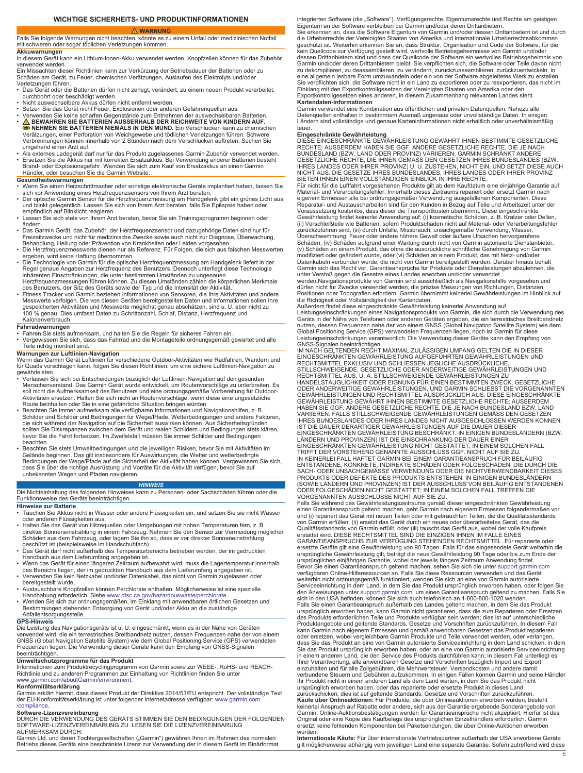# **WARNUNG**

# <span id="page-4-0"></span>Falls Sie folgende Warnungen nicht beachten, könnte es zu einem Unfall oder medizinischen Notfall mit schweren oder sogar tödlichen Verletzungen kommen.

# **Akkuwarnungen**

In diesem Gerät kann ein Lithium-Ionen-Akku verwendet werden. Knopfzellen können für das Zubehör verwendet werden.

Ein Missachten dieser Richtlinien kann zur Verkürzung der Betriebsdauer der Batterien oder zu Schäden am Gerät, zu Feuer, chemischen Verätzungen, Auslaufen des Elektrolyts und/oder

Verletzungen führen. • Das Gerät oder die Batterien dürfen nicht zerlegt, verändert, zu einem neuen Produkt verarbeitet, durchbohrt oder beschädigt werden. • Nicht auswechselbare Akkus dürfen nicht entfernt werden.

- 
- 
- Setzen Sie das Gerät nicht Feuer, Explosionen oder anderen Gefahrenquellen aus.<br>• Verwenden Sie keine scharfen Gegenstände zum Entnehmen der auswechselbaren Batterien.<br>• <u>∧ a</u> BEWAHREN SIE BATTERIEN AUSSERHALB DER REIC
- **⊜ NEHMEN SIE BATTERIEN NIEMALS IN DEN MUND.** Ein Verschlucken kann zu chemischen<br>Verätzungen, einer Perforation von Weichgewebe und tödlichen Verletzungen führen. Schwere Verbrennungen können innerhalb von 2 Stunden nach dem Verschlucken auftreten. Suchen Sie umgehend einen Arzt auf.
- Als externes Ladegerät darf nur für das Produkt zugelassenes Garmin Zubehör verwendet werden. Ersetzen Sie die Akkus nur mit korrekten Ersatzakkus. Bei Verwendung anderer Batterien besteht Brand- oder Explosionsgefahr. Wenden Sie sich zum Kauf von Ersatzakkus an einen Garmin Händler, oder besuchen Sie die Garmin Website.

- **Gesundheitswarnungen** Wenn Sie einen Herzschrittmacher oder sonstige elektronische Geräte implantiert haben, lassen Sie
- sich vor Anwendung eines Herzfrequenzsensors von Ihrem Arzt beraten.<br>• Der optische Garmin Sensor für die Herzfrequenzmessung am Handgelenk gibt ein grünes Licht aus<br>• und blinkt gelegentlich. Lassen Sie sich von Ihrem Arz
- empfindlich auf Blinklicht reagieren. Lassen Sie sich stets von Ihrem Arzt beraten, bevor Sie ein Trainingsprogramm beginnen oder ändern.
- Das Garmin Gerät, das Zubehör, der Herzfrequenzsensor und dazugehörige Daten sind nur für<br>Freizeitzwecke und nicht für medizinische Zwecke sowie auch nicht zur Diagnose, Überwachung,<br>Behandlung, Heilung oder Prävention
- 
- ergeben, wird keine Haftung übernommen.<br>• Die Technologie von Garmin für die optische Herzfrequenzmessung am Handgelenk liefert in der<br>· Regel genaue Angaben zur Herzfrequenz des Benutzers. Dennoch unterliegt diese Techn inhärenten Einschränkungen, die unter bestimmten Umständen zu ungenauen Herzfrequenzmessungen führen können. Zu diesen Umständen zählen die körperlichen Merkmale

des Benutzers, der Sitz des Geräts sowie der Typ und die Intensität der Aktivität. • Fitness Tracker von Garmin beziehen Informationen von Sensoren, die Ihre Aktivitäten und andere

Messwerte verfolgen. Die von diesen Geräten bereitgestellten Daten und Informationen sollen Ihre<br>gespeicherten Aktivitäten und Messwerte möglichst genau abschätzen, sind u. U. aber nicht zu<br>100 % genau. Dies umfasst Daten

### **Fahrradwarnungen**

- Fahren Sie stets aufmerksam, und halten Sie die Regeln für sicheres Fahren ein. Vergewissern Sie sich, dass das Fahrrad und die Montageteile ordnungsgemäß gewartet und alle
- Teile richtig montiert sind.

# **Warnungen zur Luftlinien-Navigation**

Wenn das Garmin Gerät Luftlinien für verschiedene Outdoor-Aktivitäten wie Radfahren, Wandern und für Quads vorschlagen kann, folgen Sie diesen Richtlinien, um eine sichere Luftlinien-Navigation zu gewährleisten.

- Verlassen Sie sich bei Entscheidungen bezüglich der Luftlinien-Navigation auf den gesunden Menschenverstand. Das Garmin Gerät wurde entwickelt, um Routenvorschläge zu unterbreiten. Es soll nicht die Aufmerksamkeit des Benutzers und eine ordnungsgemäße Vorbereitung für Outdoor-Aktivitäten ersetzen. Halten Sie sich nicht an Routenvorschläge, wenn diese eine ungesetzliche<br>Route beinhalten oder Sie in eine gefährliche Situation bringen würden.<br>• Beachten Sie immer aufmerksam alle verfügbaren Infor
- Schilder und Schilder und Bedingungen für Wege/Pfade, Wetterbedingungen und andere Faktoren,<br>die sich während der Navigation auf die Sicherheit auswirken können. Aus Sicherheitsgründen<br>sollten Sie Diskrepanzen zwischen de beachten.
- Beachten Sie stets Umweltbedingungen und die jeweiligen Risiken, bevor Sie mit Aktivitäten im Gelände beginnen. Das gilt insbesondere für Auswirkungen, die Wetter und wetterbedingte<br>Bedingungen der Wege/Pfade auf die Sicherheit der Aktivität haben können. Vergewissern Sie sich,<br>dass Sie über die richtige Ausrüstung

### *HINWEIS*

Die Nichteinhaltung des folgenden Hinweises kann zu Personen- oder Sachschäden führen oder die Funktionsweise des Geräts beeinträchtigen.

### **Hinweise zur Batterie**

- Tauchen Sie Akkus nicht in Wasser oder andere Flüssigkeiten ein, und setzen Sie sie nicht Wasser oder anderen Flüssigkeiten aus.
- Halten Sie das Gerät von Hitzequellen oder Umgebungen mit hohen Temperaturen fern, z. B. direkter Sonneneinstrahlung in einem Fahrzeug. Nehmen Sie den Sensor zur Vermeidung möglicher<br>Schäden aus dem Fahrzeug, oder lagern Sie ihn so, dass er vor direkter Sonneneinstrahlung<br>geschützt ist (beispielsweise im Hands
- Das Gerät darf nicht außerhalb des Temperaturbereichs betrieben werden, der im gedruckten<br>Handbuch aus dem Lieferumfang angegeben ist.<br>• Wenn das Gerät für einen längeren Zeitraum aufbewahrt wird, muss die Lagertemperat
- 
- bereitgestellt wurde.
- 
- Austauschbare Knopfzellen können Perchlorate enthalten. Möglicherweise ist eine spezielle<br>Handhabung erforderlich. Siehe [www.dtsc.ca.gov/hazardouswaste/perchlorate](http://www.dtsc.ca.gov/hazardouswaste/perchlorate).<br>• Wenden Sie sich zur ordnungsgemäßen, im Einklang mit Abfallentsorgungsstelle.

# **GPS-Hinweis**

Die Leistung des Navigationsgeräts ist u. U. eingeschränkt, wenn es in der Nähe von Geräten verwendet wird, die ein terrestrisches Breitbandnetz nutzen, dessen Frequenzen nahe der von einem<br>GNSS (Global Navigation Satellite System) wie dem Global Positioning Service (GPS) verwendeten<br>Frequenzen liegen. Die Verwen beeinträchtigen.

**Umweltschutzprogramme für das Produkt**<br>Informationen zum Produktrecyclingprogramm von Garmin sowie zur WEEE-, RoHS- und REACH-<br>Richtlinie und zu anderen Programmen zur Einhaltung von Richtlinien finden Sie unter<br>www.garmi

**Konformitätserklärung**<br>Garmin erklärt hiermit, dass dieses Produkt der Direktive 2014/53/EU entspricht. Der vollständige Text der EU-Konformitätserklärung ist unter folgender Internetadresse verfügbar: [www.garmin.com](http://www.garmin.com/compliance)

[/compliance](http://www.garmin.com/compliance).<br>**Software-Lizenzvereinbarung**<br>DURCH DIE VERWENDUNG DES GERÄTS STIMMEN SIE DEN BEDINGUNGEN DER FOLGENDEN SOFTWARE-LIZENZVEREINBARUNG ZU. LESEN SIE DIE LIZENZVEREINBARUNG AUFMERKSAM DURCH.

Garmin Ltd. und deren Tochtergesellschaften ("Garmin") gewähren Ihnen im Rahmen des normalen<br>Betriebs dieses Geräts eine beschränkte Lizenz zur Verwendung der in diesem Gerät im Binärformat

integrierten Software (die "Software"). Verfügungsrechte, Eigentumsrechte und Rechte am geistigen<br>Eigentum an der Software verbleiben bei Garmin und/oder deren Drittanbietern.

Sie erkennen an, dass die Software Eigentum von Garmin und/oder dessen Drittanbietern ist und durch die Urheberrechte der Vereinigten Staaten von Amerika und internationale Urheberrechtsabkommen geschützt ist. Weiterhin erkennen Sie an, dass Struktur, Organisation und Code der Software, für die<br>kein Quellcode zur Verfügung gestellt wird, wertvolle Betriebsgeheimnisse von Garmin und/oder<br>dessen Drittanbietern sind Garmin und/oder deren Drittanbietern bleibt. Sie verpflichten sich, die Software oder Teile davon nicht zu dekompilieren, zu deassemblieren, zu verändern, zurückzuassemblieren, zurückzuentwickeln, in eine allgemein lesbare Form umzuwandeln oder ein von der Software abgeleitetes Werk zu erstellen. Sie verpflichten sich, die Software nicht in ein Land zu exportieren oder zu reexportieren, das nicht im Einklang mit den Exportkontrollgesetzen der Vereinigten Staaten von Amerika oder den Exportkontrollgesetzen eines anderen, in diesem Zusammenhang relevanten Landes steht.

**Kartendaten-Informationen** Garmin verwendet eine Kombination aus öffentlichen und privaten Datenquellen. Nahezu alle Datenquellen enthalten in bestimmtem Ausmaß ungenaue oder unvollständige Daten. In einigen Ländern sind vollständige und genaue Karteninformationen nicht erhältlich oder unverhältnismäßig teuer.

**Eingeschränkte Gewährleistung**<br>DIESE EINGESCHRÄNKTE GEWÄHRLEISTUNG GEWÄHRT IHNEN BESTIMMTE GESETZLICHE<br>RECHTE; AUSSERDEM HABEN SIE GGF. ANDERE GESETZLICHE RECHTE, DIE JE NACH BUNDESLAND (BZW. LAND ODER PROVINZ) VARIIEREN. GARMIN SCHRÄNKT ANDERE<br>GESETZLICHE RECHTE, DIE IHNEN GEMÄSS DEN GESETZEN IHRES BUNDESLANDES (BZW. IHRES LANDES ODER IHRER PROVINZ) U. U. ZUSTEHEN, NICHT EIN, UND SETZT DIESE AUCH<br>NICHT AUS. DIE GESETZE IHRES BUNDESLANDES, IHRES LANDES ODER IHRER PROVINZ<br>BIETEN IHNEN EINEN VOLLSTÄNDIGEN EINBLICK IN IHRE RECHTE.

Für nicht für die Luftfahrt vorgesehenen Produkte gilt ab dem Kaufdatum eine einjährige Garantie auf Material- und Verarbeitungsfehler. Innerhalb dieses Zeitraums repariert oder ersetzt Garmin nach<br>eigenem Ermessen alle bei ordnungsgemäßer Verwendung ausgefallenen Komponenten. Diese<br>Reparatur- und Austauscharbeiten sind f (ii) Verschleißteile wie Batterien, sofern Produktschäden nicht auf Material- oder Verarbeitungsfehler<br>zurückzuführen sind, (iii) durch Unfälle, Missbrauch, unsachgemäße Verwendung, Wasser,<br>Überschwemmung, Feuer oder ander

(v) Schäden an einem Produkt, das ohne die ausdrückliche schriftliche Genehmigung von Garmin modifiziert oder geändert wurde, oder (vi) Schäden an einem Produkt, das mit Netz- und/oder Datenkabeln verbunden wurde, die nicht von Garmin bereitgestellt wurden. Darüber hinaus behält<br>Garmin sich das Recht vor, Garantieansprüche für Produkte oder Dienstleistungen abzulehnen, die<br>unter Verstoß gegen die Gesetze

dürfen nicht für Zwecke verwendet werden, die präzise Messungen von Richtungen, Distanzen,<br>Positionen oder Topografien erfordern. Garmin übernimmt keinerlei Gewährleistungen im Hinblick auf<br>die Richtigkeit oder Vollständig

Leistungseinschränkungen eines Navigationsprodukts von Garmin, die sich durch die Verwendung des<br>Geräts in der Nähe von Telefonen oder anderen Geräten ergeben, die ein terrestrisches Breitbandnetz<br>nutzen, dessen Frequenzen Global Positioning Service (GPS) verwendeten Frequenzen liegen, noch ist Garmin für diese Leistungseinschränkungen verantwortlich. Die Verwendung dieser Geräte kann den Empfang von

GNSS-Signalen beeinträchtigen.<br>IM NACH GELTENDEN RECHT MAXIMAL ZULÄSSIGEN UMFANG GELTEN DIE IN DIESER<br>EINGESCHRÄNKTEN GEWÄHRLEISTUNG AUFGEFÜHRTEN GEWÄHRLEISTUNGEN UND<br>RECHTSMITTEL EXKLUSIV UND SCHLIESSEN JEGLICHE AUSDRÜCKL STILLSCHWEIGENDE, GESETZLICHE ODER ANDERWEITIGE GEWÄHRLEISTUNGEN UND<br>RECHTSMITTEL AUS, U. A. STILLSCHWEIGENDE GEWÄHRLEISTUNGEN ZU<br>HANDELSTAUGLICHKEIT ODER EIGNUNG FÜR EINEN BESTIMMTEN ZWECK, GESETZLICHE ODER ANDERWEITIGE GEWÄHRLEISTUNGEN, UND GARMIN SCHLIESST DIE VORGENANNTEN<br>GEWÄHRLEISTUNGEN UND RECHTSMITTEL AUSDRÜCKLICH AUS. DIESE EINGESCHRÄNKTE GEWÄHRLEISTUNG GEWÄHRT IHNEN BESTIMMTE GESETZLICHE RECHTE; AUSSERDEM<br>HABEN SIE GGF. ANDERE GESETZLICHE RECHTE, DIE JE NACH BUNDESLAND BZW. LAND<br>VARIIEREN. FALLS STILLSCHWEIGENDE GEWÄHRLEISTUNGEN GEMÄSS DEN GESETZEN<br>IHRES B IST DIE DAUER DERARTIGER GEWÄHRLEISTUNGEN AUF DIE DAUER DIESER<br>EINGESCHRÄNKTEN GEWÄHRLEISTUNG BESCHRÄNKT. IN EINIGEN BUNDESLÄNDERN (BZW.<br>LÄNDERN UND PROVINZEN) IST DIE EINSCHRÄNKUNG DER DAUER EINER<br>EINGESCHRÄNKTEN GEWÄHRLE IN KEINERLEI FALL HAFTET GARMIN BEI EINEM GARANTIEANSPRUCH FÜR BEILÄUFIG<br>ENTSTANDENE, KONKRETE, INDIREKTE SCHÄDEN ODER FOLGESCHÄDEN, DIE DURCH DIE<br>SACH- ODER UNSACHGEMÄSSE VERWENDUNG ODER DIE NICHTVERWENDBARKEIT DIESES<br>PRO (SOWIE LÄNDERN UND PROVINZEN) IST DER AUSSCHLUSS VON BEILÄUFIG ENTSTANDENEN ODER FOLGESCHÄDEN NICHT GESTATTET; IN EINEM SOLCHEN FALL TREFFEN DIE

VORGENANNTEN AUSSCHLÜSSE NICHT AUF SIE ZU.

Falls Sie während des Gewährleistungszeitraums gemäß dieser eingeschränkten Gewährleistung<br>einen Garantieanspruch geltend machen, geht Garmin nach eigenem Ermessen folgendermaßen vor<br>und (i) repariert das Gerät mit neuen T erstattet wird. DIESE RECHTSMITTEL SIND DIE EINZIGEN IHNEN IM FALLE EINES<br>GARANTIEANSPRUCHS ZUR VERFÜGUNG STEHENDEN RECHTSMITTEL. Für reparierte oder<br>ersetzte Geräte gilt eine Gewährleistung von 90 Tagen. Falls für das ein ursprünglichen einjährigen Garantie, wobei der jeweils längere Zeitraum Anwendung findet.<br>Bevor Sie einen Garantieanspruch geltend machen, sehen Sie sich die unter support.garmin.com<br>verfügbaren Online-Hilferessourcen an. weiterhin nicht ordnungsgemäß funktioniert, wenden Sie sich an eine von Garmin autorisierte Serviceeinrichtung in dem Land, in dem Sie das Produkt ursprünglich erworben haben, oder folgen Sie den Anweisungen unter [support.garmin.com](http://www.support.garmin.com), um einen Garantieanspruch geltend zu machen. Falls Sie<br>sich in den USA befinden, können Sie sich auch telefonisch an 1-800-800-1020 wenden. Falls Sie einen Garantieanspruch außerhalb des Landes geltend machen, in dem Sie das Produkt ursprünglich erworben haben, kann Garmin nicht garantieren, dass die zum Reparieren oder Ersetzen

des Produkts erforderlichen Teile und Produkte verfügbar sein werden; dies ist auf unterschiedliche Produktangebote und geltende Standards, Gesetze und Vorschriften zurückzuführen. In diesem Fall kann Garmin nach eigenem Ermessen und gemäß anwendbaren Gesetzen das Produkt reparieren<br>oder ersetzen, wobei vergleichbare Garmin Produkte und Teile verwendet werden, oder verlangen,<br>dass Sie das Produkt an eine von Garmin verbundene Steuern und Gebühren aufzukommen. In einigen Fällen können Garmin und seine Händler<br>Ihr Produkt nicht in einem anderen Land als dem Land warten, in dem Sie das Produkt nicht

ursprünglich erworben haben, oder das reparierte oder ersetzte Produkt in dieses Land<br>zurückschicken; dies ist auf geltende Standards, Gesetze und Vorschriften zurückzuführen.<br>**Käufe über Onlineaktionen:** Für Produkte, die Garmin. Online-Auktionsbestätigungen werden für Garantieansprüche nicht akzeptiert. Hierfür ist das Original oder eine Kopie des Kaufbelegs des ursprünglichen Einzelhändlers erforderlich. Garmin ersetzt keine fehlenden Komponenten bei Paketsendungen, die über Online-Auktionen erworben

**Internationale Käufe:** Für über internationale Vertriebspartner außerhalb der USA erworbene Geräte gilt möglicherweise abhängig vom jeweiligen Land eine separate Garantie. Sofern zutreffend wird diese

wurden.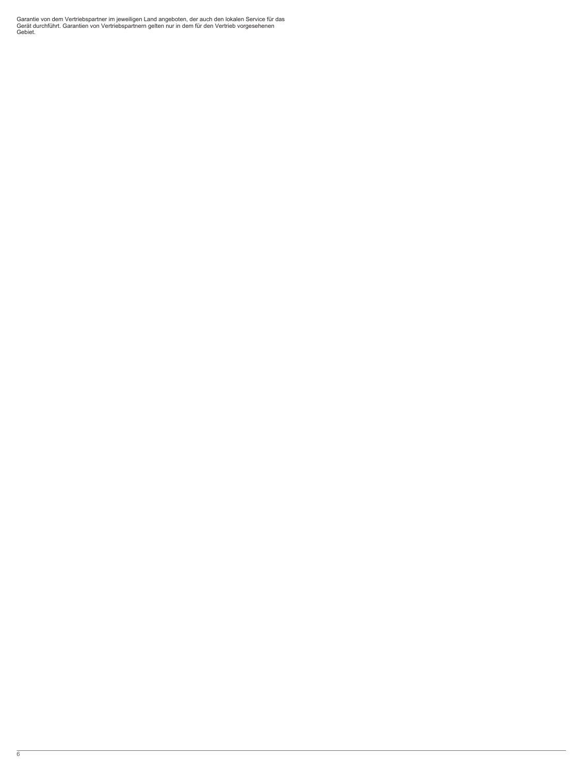Garantie von dem Vertriebspartner im jeweiligen Land angeboten, der auch den lokalen Service für das Gerät durchführt. Garantien von Vertriebspartnern gelten nur in dem für den Vertrieb vorgesehenen Gebiet.

6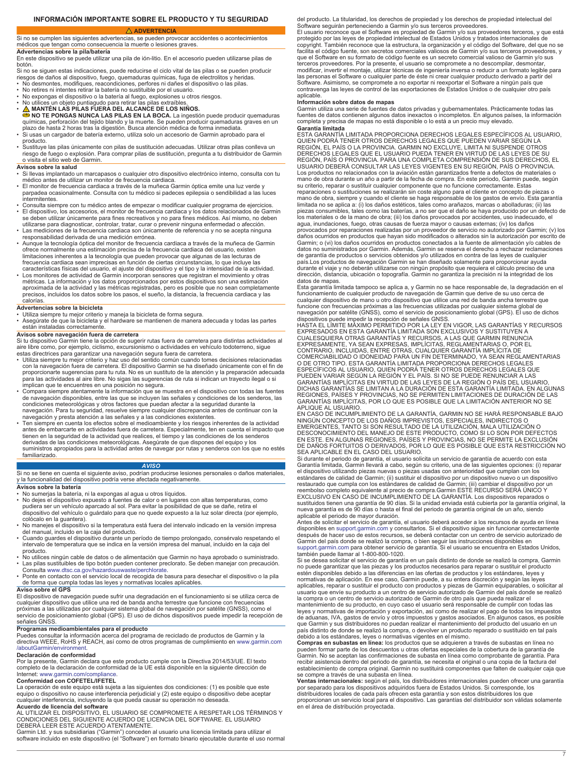# **ADVERTENCIA**

<span id="page-6-0"></span>Si no se cumplen las siguientes advertencias, se pueden provocar accidentes o acontecimientos médicos que tengan como consecuencia la muerte o lesiones graves.

### **Advertencias sobre la pila/batería**

En este dispositivo se puede utilizar una pila de ión-litio. En el accesorio pueden utilizarse pilas de botón.

Si no se siguen estas indicaciones, puede reducirse el ciclo vital de las pilas o se pueden producir<br>riesgos de daños al dispositivo, fuego, quemaduras químicas, fuga de electrolitos y heridas.<br>• No desmontes, modifiques,

- 
- 
- 
- 
- No expongas el dispositivo o la batería al fuego, explosiones u otros riesgos.<br>• No utilices un objeto puntiagudo para retirar las pilas extraíbles.<br>•  $\triangle$  MANTÉN LAS PILAS FUERA DEL ALCANCE DE LOS NIÑOS.<br>•  $\triangle$  MO TE P
- producto. Sustituye las pilas únicamente con pilas de sustitución adecuadas. Utilizar otras pilas conlleva un
- riesgo de fuego o explosión. Para comprar pilas de sustitución, pregunta a tu distribuidor de Garmin o visita el sitio web de Garmin.

# **Avisos sobre la salud**

- Si llevas implantado un marcapasos o cualquier otro dispositivo electrónico interno, consulta con tu médico antes de utilizar un monitor de frecuencia cardiaca. • El monitor de frecuencia cardiaca a través de la muñeca Garmin óptica emite una luz verde y
- parpadea ocasionalmente. Consulta con tu médico si padeces epilepsia o sendibilidad a las luces intermitentes.
- Consulta siempre con tu médico antes de empezar o modificar cualquier programa de ejercicios. El dispositivo, los accesorios, el monitor de frecuencia cardiaca y los datos relacionados de Garmin
- se deben utilizar únicamente para fines recreativos y no para fines médicos. Así mismo, no deben utilizarse para diagnosticar, controlar, tratar, curar o prevenir ninguna enfermedad o afección. • Las mediciones de la frecuencia cardiaca son únicamente de referencia y no se acepta ninguna
- responsabilidad derivada de una medición errónea.
- Aunque la tecnología óptica del monitor de frecuencia cardiaca a través de la muñeca de Garmin ofrece normalmente una estimación precisa de la frecuencia cardiaca del usuario, existen limitaciones inherentes a la tecnología que pueden provocar que algunas de las lecturas de<br>frecuencia cardiaca sean imprecisas en función de ciertas circunstancias, lo que incluye las<br>características físicas del usuario, e
- aproximada de la actividad y las métricas registradas, pero es posible que no sean completamente precisos, incluidos los datos sobre los pasos, el sueño, la distancia, la frecuencia cardiaca y las calorías.

### **Advertencias sobre la bicicleta**

• Utiliza siempre tu mejor criterio y maneja la bicicleta de forma segura.

• Asegúrate de que la bicicleta y el hardware se mantienen de manera adecuada y todas las partes están instaladas correctamente.

# **Avisos sobre navegación fuera de carretera**

Si tu dispositivo Garmin tiene la opción de sugerir rutas fuera de carretera para distintas actividades al<br>aire libre como, por ejemplo, ciclismo, excursionismo o actividades en vehículo todoterreno, sigue<br>estas directrice

- Utiliza siempre tu mejor criterio y haz uso del sentido común cuando tomes decisiones relacionadas<br>con la navegación fuera de carretera. El dispositivo Garmin se ha diseñado únicamente con el fin de<br>proporcionarte sugere
- implican que te encuentres en una posición no segura. Compara siempre atentamente la información que se muestra en el dispositivo con todas las fuentes de navegación disponibles, entre las que se incluyen las señales y condiciones de los senderos, las<br>condiciones meteorológicas y otros factores que puedan afectar a la seguridad durante la<br>navegación. Para tu seguridad, re navegación y presta atención a las señales y a las condiciones existentes.
- Ten siempre en cuenta los efectos sobre el medioambiente y los riesgos inherentes de la actividad<br>antes de embarcarte en actividades fuera de carretera. Especialmente, ten en cuenta el impacto que<br>tienen en la seguridad derivadas de las condiciones meteorológicas. Asegúrate de que dispones del equipo y los suministros apropiados para la actividad antes de navegar por rutas y senderos con los que no estés familiarizado.

# *AVISO*

Si no se tiene en cuenta el siguiente aviso, podrían producirse lesiones personales o daños materiales,<br>y la funcionalidad del dispositivo podría verse afectada negativamente.

# **Avisos sobre la batería**

- 
- No sumerjas la batería, ni la expongas al agua u otros líquidos. No dejes el dispositivo expuesto a fuentes de calor o en lugares con altas temperaturas, como pudiera ser un vehículo aparcado al sol. Para evitar la posibilidad de que se dañe, retira el<br>dispositivo del vehículo o guárdalo para que no quede expuesto a la luz solar directa (por ejemplo, colócalo en la guantera).
- No manejes el dispositivo si la temperatura está fuera del intervalo indicado en la versión impresa del manual, incluido en la caja del producto. • Cuando guardes el dispositivo durante un período de tiempo prolongado, consérvalo respetando el
- intervalo de temperatura que se indica en la versión impresa del manual, incluido en la caja del
- producto. No utilices ningún cable de datos o de alimentación que Garmin no haya aprobado o suministrado.
- Las pilas sustituibles de tipo botón pueden contener preclorato. Se deben manejar con precaución.<br> Consulta [www.dtsc.ca.gov/hazardouswaste/perchlorate](http://www.dtsc.ca.gov/hazardouswaste/perchlorate).<br>• Ponte en contacto con el servicio local de recogida de basur
- de forma que cumpla todas las leyes y normativas locales aplicables. **Aviso sobre el GPS**

El dispositivo de navegación puede sufrir una degradación en el funcionamiento si se utiliza cerca de cualquier dispositivo que utilice una red de banda ancha terrestre que funcione con frecuencias próximas a las utilizadas por cualquier sistema global de navegación por satélite (GNSS), como el servicio de posicionamiento global (GPS). El uso de dichos dispositivos puede impedir la recepción de señales GNSS.

# **Programas medioambientales para el producto**

Puedes consultar la información acerca del programa de reciclado de productos de Garmin y la directiva WEEE, RoHS y REACH, así como de otros programas de cumplimiento en [www.garmin.com](http://www.garmin.com/aboutGarmin/environment) [/aboutGarmin/environment](http://www.garmin.com/aboutGarmin/environment).

# **Declaración de conformidad**

Por la presente, Garmin declara que este producto cumple con la Directiva 2014/53/UE. El texto completo de la declaración de conformidad de la UE está disponible en la siguiente dirección de

# Internet: [www.garmin.com/compliance.](http://www.garmin.com/compliance) **Conformidad con COFETEL/IFETEL**

La operación de este equipo está sujeta a las siguientes dos condiciones: (1) es posible que este<br>equipo o dispositivo no cause interferencia perjudicial y (2) este equipo o dispositivo debe aceptar<br>cualquier interferencia

**Acuerdo de licencia del software**<br>AL UTILIZAR EL DISPOSITIVO, EL USUARIO SE COMPROMETE A RESPETAR LOS TÉRMINOS Y<br>CONDICIONES DEL SIGUIENTE ACUERDO DE LICENCIA DEL SOFTWARE. EL USUARIO

DEBERA LEER ESTE ACUERDO ATENTAMENTE.<br>Garmin Ltd. y sus subsidiarias ("Garmin") conceden al usuario una licencia limitada para utilizar el<br>software incluido en este dispositivo (el "Software") en formato binario ejecutabl

del producto. La titularidad, los derechos de propiedad y los derechos de propiedad intelectual del Software seguirán perteneciendo a Garmin y/o sus terceros proveedores.

El usuario reconoce que el Software es propiedad de Garmin y/o sus proveedores terceros, y que está protegido por las leyes de propiedad intelectual de Estados Unidos y tratados internacionales de copyright. También reconoce que la estructura, la organización y el código del Software, del que no se<br>facilita el código fuente, son secretos comerciales valiosos de Garmin y/o sus terceros proveedores, y<br>que el Software terceros proveedores. Por la presente, el usuario se compromete a no descompilar, desmontar,<br>modificar, invertir el montaje, utilizar técnicas de ingeniería inversa o reducir a un formato legible para<br>las personas el Softw contravenga las leyes de control de las exportaciones de Estados Unidos o de cualquier otro país aplicable.

**Información sobre datos de mapas** Garmin utiliza una serie de fuentes de datos privadas y gubernamentales. Prácticamente todas las fuentes de datos contienen algunos datos inexactos o incompletos. En algunos países, la información completa y precisa de mapas no está disponible o lo está a un precio muy elevado.

**Garantía limitada**<br>ESTA GARANTÍA LIMITADA PROPORCIONA DERECHOS LEGALES ESPECÍFICOS AL USUARIO,<br>QUIEN PODRÁ TENER OTROS DERECHOS LEGALES QUE PUEDEN VARIAR SEGÚN LA<br>REGIÓN, EL PAÍS O LA PROVINCIA. GARMIN NO EXCLUYE, LIMITA DERECHOS LEGALES QUE EL USUARIO PUEDA TENER EN VIRTUD DE LAS LEYES DE SU<br>REGIÓN, PAÍS O PROVINCIA. PARA UNA COMPLETA COMPRENSIÓN DE SUS DERECHOS, EL<br>USUARIO DEBERÁ CONSULTAR LAS LEYES VIGENTES EN SU REGIÓN, PAÍS O PROVINCI su criterio, reparar o sustituir cualquier componente que no funcione correctamente. Estas reparaciones o sustituciones se realizarán sin coste alguno para el cliente en concepto de piezas o mano de obra, siempre y cuando el cliente se haga responsable de los gastos de envío. Esta garantía limitada no se aplica a: (i) los daños estéticos, tales como arañazos, marcas o abolladuras; (ii) las piezas consumibles, tales como las baterías, a no ser que el daño se haya producido por un defecto de los materiales o de la mano de obra; (iii) los daños provocados por accidentes, uso inadecuado, el

agua, inundaciones, fuego, otras causas de fuerza mayor o causas externas; (iv) los daños<br>provocados por reparaciones realizadas por un proveedor de servicio no autorizado por Garmin; (v) los<br>daños ocurridos en productos q datos no suministrados por Garmin. Además, Garmin se reserva el derecho a rechazar reclamaciones de garantía de productos o servicios obtenidos y/o utilizados en contra de las leyes de cualquier país.Los productos de navegación Garmin se han diseñado solamente para proporcionar ayuda<br>durante el viaje y no deberán utilizarse con ningún propósito que requiera el cálculo preciso de una<br>dirección, distancia, ubicación datos de mapas.

Esta garantía limitada tampoco se aplica a, y Garmin no se hace responsable de, la degradación en el funcionamiento de cualquier producto de navegación de Garmin que derive de su uso cerca de cualquier dispositivo de mano u otro dispositivo que utilice una red de banda ancha terrestre que funcione con frecuencias próximas a las frecuencias utilizadas por cualquier sistema global de navegación por satélite (GNSS), como el servicio de posicionamiento global (GPS). El uso de dichos<br>dispositivos puede impedir la recepción de señales GNSS.<br>HASTA EL LÍMITE MÁXIMO PERMITIDO POR LA LEY EN VIGOR, LAS GARANTÍA

EXPRESADOS EN ESTA GARANTÍA LIMITADA SON EXCLUSIVOS Y SUSTITUYEN A<br>CUALESQUIERA OTRAS GARANTÍAS Y RECURSOS, A LAS QUE GARMIN RENUNCIA<br>EXPRESAMENTE, YA SEAN EXPRESAS, IMPLÍCITAS, REGLAMENTARIAS O, POR EL<br>CONTRARIO, INCLUIDA ESPECÍFICOS AL USUARIO, QUIEN PODRÁ TENER OTROS DERECHOS LEGALES QUE<br>PUEDEN VARIAR SEGÚN LA REGIÓN Y EL PAÍS. SI NO SE PUEDE RENUNCIAR A LAS<br>GARANTÍAS IMPLÍCITAS EN VIRTUD DE LAS LEYES DE LA REGIÓN O PAÍS DEL USUARIO, DICHAS GARANTÍAS SE LIMITAN A LA DURACIÓN DE ESTA GARANTÍA LIMITADA. EN ALGUNAS REGIONES, PAÍSES Y PROVINCIAS, NO SE PERMITEN LIMITACIONES DE DURACIÓN DE LAS GARANTÍAS IMPLÍCITAS, POR LO QUE ES POSIBLE QUE LA LIMITACIÓN ANTERIOR NO SE APLIQUE AL USUARIO.

EN CASO DE INCUMPLIMIENTO DE LA GARANTÍA, GARMIN NO SE HARÁ RESPONSABLE BAJO NINGÚN CONCEPTO DE LOS DAÑOS IMPREVISTOS, ESPECIALES, INDIRECTOS O EMERGENTES, TANTO SI SON RESULTADO DE LA UTILIZACIÓN, MALA UTILIZACIÓN O<br>DESCONOCIMIENTO DEL MANEJO DE ESTE PRODUCTO, COMO SI LO SON POR DEFECTOS<br>EN ESTE. EN ALGUNAS REGIONES, PAÍSES Y PROVINCIAS, NO SE PERMITE LA EXCLUSIÓ

Si durante el periodo de garantía, el usuario solicita un servicio de garantía de acuerdo con esta Garantía limitada, Garmin llevará a cabo, según su criterio, una de las siguientes opciones: (i) reparar el dispositivo utilizando piezas nuevas o piezas usadas con anterioridad que cumplan con los estándares de calidad de Garmin; (ii) sustituir el dispositivo por un dispositivo nuevo o un dispositivo<br>restaurado que cumpla con los estándares de calidad de Garmin; (iii) cambiar el dispositivo por un<br>reembolso completo EXCLUSIVO EN CASO DE INCUMPLIMIENTO DE LA GARANTÍA. Los dispositivos reparados o sustituidos tienen una garantía de 90 días. Si la unidad enviada está cubierta por la garantía original, la<br>nueva garantía es de 90 días o hasta el final del periodo de garantía original de un año, siendo aplicable el periodo de mayor duración.

Antes de solicitar el servicio de garantía, el usuario deberá acceder a los recursos de ayuda en línea disponibles en [support.garmin.com](http://www.support.garmin.com) y consultarlos. Si el dispositivo sigue sin funcionar correctamente después de hacer uso de estos recursos, se deberá contactar con un centro de servicio autorizado de<br>Garmin del país donde se realizó la compra, o bien seguir las instrucciones disponibles en<br>[support.garmin.com](http://www.support.garmin.com) para obtener también puede llamar al 1-800-800-1020.

Si se desea solicitar el servicio de garantía en un país distinto de donde se realizó la compra, Garmin<br>no puede garantizar que las piezas y los productos necesarios para reparar o sustituir el producto<br>estén disponibles d

usuario que envíe su producto a un centro de servicio autorizado de Garmin del país donde se realizó la compra o un centro de servicio autorizado de Garmin de otro país que pueda realizar el<br>mantenimiento de su producto, en cuyo caso el usuario será responsable de cumplir con todas las<br>leyes y normativas de importación y

de aduanas, IVA, gastos de envío y otros impuestos y gastos asociados. En algunos casos, es posible que Garmin y sus distribuidores no puedan realizar el mantenimiento del producto del usuario en un país distinto de donde se realizó la compra, o devolver un producto reparado o sustituido en tal país<br>debido a los estándares, leyes o normativas vigentes en el mismo.<br>Compras en subastas en línea: los productos que se adq

Garmin. No se aceptan las confirmaciones de subasta en línea como comprobante de garantía. Para recibir asistencia dentro del periodo de garantía, se necesita el original o una copia de la factura del establecimiento de compra original. Garmin no sustituirá componentes que falten de cualquier caja que se compre a través de una subasta en línea. **Ventas internacionales:** según el país, los distribuidores internacionales pueden ofrecer una garantía

por separado para los dispositivos adquiridos fuera de Estados Unidos. Si corresponde, los distribuidores locales de cada país ofrecen esta garantía y son estos distribuidores los que<br>proporcionan un servicio local para el dispositivo. Las garantías del distribuidor son válidas solamente<br>en el área de distribuci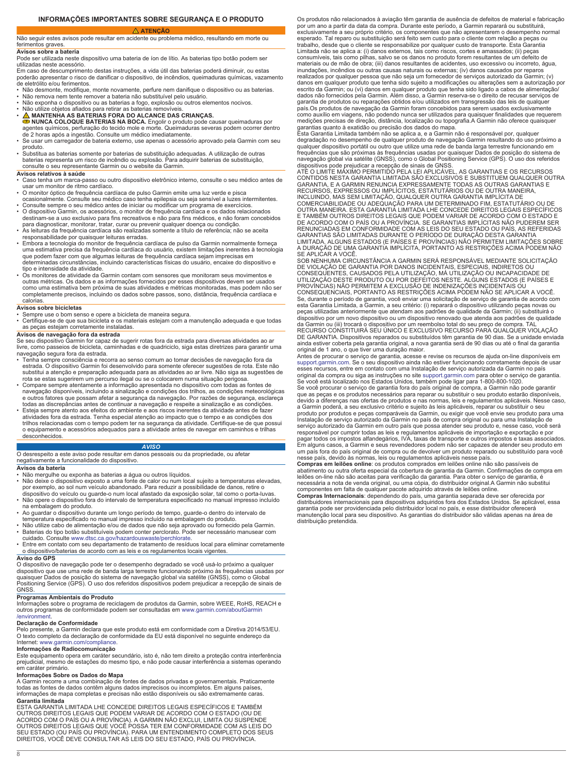<span id="page-7-0"></span>Não seguir estes avisos pode resultar em acidente ou problema médico, resultando em morte ou ferimentos graves.

# **Avisos sobre a bateria**

Pode ser utilizada neste dispositivo uma bateria de íon de lítio. As baterias tipo botão podem ser utilizadas neste acessório.

Em caso de descumprimento destas instruções, a vida útil das baterias poderá diminuir, ou estas poderão apresentar o risco de danificar o dispositivo, de incêndios, queimaduras químicas, vazamento de eletrólito e/ou ferimentos.

- Não desmonte, modifique, monte novamente, perfure nem danifique o dispositivo ou as baterias. Não remova nem tente remover a bateria não substituível pelo usuário.
- Não exponha o dispositivo ou as baterias a fogo, explosão ou outros elementos nocivos.
- Não utilize objetos afiados para retirar as baterias removíveis
- A MANTENHA AS BATERIAS FORA DO ALCANCE DAS CRIANÇAS.<br>
SPINNCA COLOQUE BATERIAS NA BOCA. Engolir o produto pode causar queimaduras por<br>
agentes químicos, perfuração do tecido mole e morte. Queimaduras severas podem ocorre
- Se usar um carregador de bateria externo, use apenas o acessório aprovado pela Garmin com seu produto.
- Substitua as baterias somente por baterias de substituição adequadas. A utilização de outras baterias representa um risco de incêndio ou explosão. Para adquirir baterias de substituição, consulte o seu representante Garmin ou o website da Garmin.

# **Avisos relativos à saúde**

- Caso tenha um marca-passo ou outro dispositivo eletrônico interno, consulte o seu médico antes de usar um monitor de ritmo cardíaco.
- O monitor óptico de frequência cardíaca de pulso Garmin emite uma luz verde e pisca
- ocasionalmente. Consulte seu médico caso tenha epilepsia ou seja sensível a luzes intermitentes.<br>• Consulte sempre o seu médico antes de iniciar ou modificar um programa de exercícios.<br>• O dispositivo Garmin, os acessório
- destinam-se a uso exclusivo para fins recreativos e não para fins médicos, e não foram concebidos para diagnosticar, monitorar, tratar, curar ou prevenir qualquer doença ou condição.
- As leituras da frequência cardíaca são realizadas somente a título de referência; não se aceita responsabilidade por quaisquer leituras erradas.
- Embora a tecnologia do monitor de frequência cardíaca de pulso da Garmin normalmente forneça uma estimativa precisa da frequência cardíaca do usuário, existem limitações inerentes à tecnologia que podem fazer com que algumas leituras de frequência cardíaca sejam imprecisas em determinadas circunstâncias, incluindo características físicas do usuário, encaixe do dispositivo e tipo e intensidade da atividade.
- Os monitores de atividade da Garmin contam com sensores que monitoram seus movimentos e outras métricas. Os dados e as informações fornecidos por esses dispositivos devem ser usados como uma estimativa bem próxima de suas atividades e métricas monitoradas, mas podem não ser completamente precisos, incluindo os dados sobre passos, sono, distância, frequência cardíaca e calorias.

### **Avisos sobre bicicletas**

• Sempre use o bom senso e opere a bicicleta de maneira segura.

• Certifique-se de que sua bicicleta e os materiais estejam com a manutenção adequada e que todas as peças estejam corretamente instaladas.

# **Avisos de navegação fora da estrada**

Se seu dispositivo Garmin for capaz de sugerir rotas fora da estrada para diversas atividades ao ar livre, como passeios de bicicleta, caminhadas e de quadriciclo, siga estas diretrizes para garantir uma navegação segura fora da estrada.

- Tenha sempre consciência e recorra ao senso comum ao tomar decisões de navegação fora da estrada. O dispositivo Garmin foi desenvolvido para somente oferecer sugestões de rota. Este não<br>substitui a atenção e preparação adequada para as atividades ao ar livre. Não siga as sugestões de<br>rota se estas sugerirem um
- Compare sempre atentamente a informação apresentada no dispositivo com todas as fontes de navegação disponíveis, incluindo a sinalização e condições de trihos, as condições meteorológicas e outros fatores que possam afetar
- atividades fora da estrada. Tenha especial atenção ao impacto que o tempo e as condições dos trilhos relacionadas com o tempo podem ter na segurança da atividade. Certifique-se de que possui o equipamento e acessórios adequados para a atividade antes de navegar em caminhos e trilhas desconhecidos.

# *AVISO*

O desrespeito a este aviso pode resultar em danos pessoais ou da propriedade, ou afetar negativamente a funcionalidade do dispositivo.

### **Avisos da bateria**

- Não mergulhe ou exponha as baterias a água ou outros líquidos.<br>• Não deixe o dispositivo exposto a uma fonte de calor ou num local sujeito a temperaturas elevadas,<br>• por exemplo, ao sol num veículo abandonado. Par dispositivo do veículo ou guarde-o num local afastado da exposição solar, tal como o porta-luvas. • Não opere o dispositivo fora do intervalo de temperatura especificado no manual impresso incluído
- na embalagem do produto.
- Ao guardar o dispositivo durante um longo período de tempo, guarde-o dentro do intervalo de<br> temperatura especificado no manual impresso incluído na embalagem do produto.<br>• Não utilize cabo de alimentação e/ou de
- 
- Baterias do tipo botão substituíveis podem conter perclorato. Pode ser necessário manusear com cuidado. Consulte [www.dtsc.ca.gov/hazardouswaste/perchlorate.](http://www.dtsc.ca.gov/hazardouswaste/perchlorate) • Entre em contato com seu departamento de tratamento de resíduos local para eliminar corretamente
- o dispositivo/baterias de acordo com as leis e os regulamentos locais vigentes.

**Aviso do GPS** O dispositivo de navegação pode ter o desempenho degradado se você usá-lo próximo a qualquer dispositivo que use uma rede de banda larga terrestre funcionando próximo às frequências usadas por<br>quaisquer Dados de posição do sistema de navegação global via satélite (GNSS), como o Global<br>Positioning Service (GPS). O **GNSS** 

# **Programas Ambientais do Produto**

Informações sobre o programa de reciclagem de produtos da Garmin, sobre WEEE, RoHS, REACH e outros programas de conformidade podem ser consultadas em [www.garmin.com/aboutGarmin](http://www.garmin.com/aboutGarmin/environment) [/environment.](http://www.garmin.com/aboutGarmin/environment)

# **Declaração de Conformidade**

Pelo presente, a Garmin declara que este produto está em conformidade com a Diretiva 2014/53/EU. O texto completo da declaração de conformidade da EU está disponível no seguinte endereço da Internet: [www.garmin.com/compliance.](http://www.garmin.com/compliance)

# **Informações de Radiocomunicação**

Este equipamento opera em caráter secundário, isto é, não tem direito a proteção contra interferência prejudicial, mesmo de estações do mesmo tipo, e não pode causar interferência a sistemas operando em caráter primário.

# **Informações Sobre os Dados do Mapa**

A Garmin recorre a uma combinação de fontes de dados privadas e governamentais. Praticamente<br>todas as fontes de dados contêm alguns dados imprecisos ou incompletos. Em alguns países,<br>informações de mapa completas e precisa

**Garantía limitada<br>ESTA GARANTIA LIMITADA LHE CONCEDE DIREITOS LEGAIS ESPECÍFICOS E TAMBÉM** ESTA GARANTIA LIMITADA LHE CONCEDE DIREITOS LEGAIS ESPECIFICOS E TAMBÉM<br>OUTROS DIREITOS LEGAIS QUE PODEM VARIAR DE ACORDO COM O ESTADO (OU DE<br>ACORDO COM O PAÍS OU A PROVÍNCIA). A GARMIN NÃO EXCLUI, LIMITA OU SUSPENDE<br>OUTRO Os produtos não relacionados à aviação têm garantia de ausência de defeitos de material e fabricação por um ano a partir da data da compra. Durante este período, a Garmin reparará ou substituirá, exclusivamente a seu próprio critério, os componentes que não apresentarem o desempenho normal esperado. Tal reparo ou substituição será feito sem custo para o cliente com relação a peças ou trabalho, desde que o cliente se responsabilize por qualquer custo de transporte. Esta Garantia Limitada não se aplica a: (i) danos externos, tais como riscos, cortes e amassados; (ii) peças consumíveis, tais como pilhas, salvo se os danos no produto forem resultantes de um defeito de materiais ou de mão de obra; (iii) danos resultantes de acidentes, uso excessivo ou incorreto, água, inundações, incêndios ou outras causas naturais ou externas; (iv) danos causados por reparos realizados por qualquer pessoa que não seja um fornecedor de serviços autorizado da Garmin; (v) danos em qualquer produto que tenha sido sujeito a modificações ou alterações sem a autorização por escrito da Garmin; ou (vi) danos em qualquer produto que tenha sido ligado a cabos de alimentação/ dados não fornecidos pela Garmin. Além disso, a Garmin reserva-se o direito de recusar serviços de garantia de produtos ou reparações obtidos e/ou utilizados em transgressão das leis de qualquer<br>país.Os produtos de navegação da Garmin foram concebidos para serem usados exclusivamente<br>como auxílio em viagens, não podendo

garantias quanto à exatidão ou precisão dos dados do mapa. Esta Garantia Limitada também não se aplica a, e a Garmin não é responsável por, qualquer degradação no desempenho de qualquer produto de navegação Garmin resultando do uso próximo a<br>qualquer dispositivo portátil ou outro que utilize uma rede de banda larga terrestre funcionando em<br>frequências que são próximas

GARANTIA, E A GARMIN RENUNCIA EXPRESSAMENTE TODAS AS OUTRAS GARANTIAS E<br>RECURSOS, EXPRESSOS OU IMPLÍCITOS, ESTATUTÁRIOS OU DE OUTRA MANEIRA,<br>INCLUINDO, MAS SEM LIMITAÇÃO, QUALQUER OUTRA GARANTIA IMPLÍCITA DE<br>COMERCIABILIDA E TAMBEM OUTROS DIREITOS LEGAIS QUE PODEM VARIAR DE ACORDO COM O ESTADO E<br>DE ACORDO COM O PAÍS OU A PROVÍNCIA. SE GARANTIAS IMPLÍCITAS NÃO PUDEREM SER<br>RENUNCIADAS EM CONFORMIDADE COM AS LEIS DO SEU ESTADO OU PAÍS, AS REFER

SE APLICAR A VOCE.<br>SOB NENHUMA CIRCUNSTÂNCIA A GARMIN SERÁ RESPONSÁVEL MEDIANTE SOLICITAÇÃO<br>DE VIOLAÇÃO DE GARANTIA POR DANOS INCIDENTAIS, ESPECIAIS, INDIRETOS OU<br>CONSEQUENTES, CAUSADOS PELA UTILIZAÇÃO, MÁ UTILIZAÇÃO OU IN esta Garantia Limitada, a Garmin, a seu critério: (i) reparará o dispositivo utilizando peças novas ou peças utilizadas anteriormente que atendam aos padrões de qualidade da Garmin; (ii) substituirá o dispositivo por um novo dispositivo ou um dispositivo renovado que atenda aos padrões de qualidade<br>da Garmin ou (iii) trocará o dispositivo por um reembolso total do seu preço de compra. TAL<br>RECURSO CONSTITUIRÁ SEU ÚNICO E DE GARANTIA. Dispositivos reparados ou substituídos têm garantia de 90 dias. Se a unidade enviada ainda estiver coberta pela garantia original, a nova garantia será de 90 dias ou até o final da garantia original de 1 ano, o que tiver uma duração maior.

Antes de procurar o serviço de garantia, acesse e revise os recursos de ajuda on-line disponíveis em [support.garmin.com.](http://www.support.garmin.com) Se o seu dispositivo ainda não estiver funcionando corretamente depois de usar esses recursos, entre em contato com uma Instalação de serviço autorizada da Garmin no país

original da compra ou siga as instruções no site [support.garmin.com](http://www.support.garmin.com) para obter o serviço de garantia.<br>Se você está localizado nos Estados Unidos, também pode ligar para 1-800-800-1020.<br>Se você procurar o serviço de garanti devido a diferenças nas ofertas de produtos e nas normas, leis e regulamentos aplicáveis. Nesse caso, a Garmin poderá, a seu exclusivo critério e sujeito às leis aplicáveis, reparar ou substituir o seu produto por produtos e peças comparáveis da Garmin, ou exigir que você envie seu produto para uma Instalação de serviço autorizado da Garmin no país de compra original ou para uma Instalação de<br>serviço autorizado da Garmin em outro país que possa atender seu produto e, nesse caso, você será<br>responsável por cumprir toda

nesse país, devido às normas, leis ou regulamentos aplicáveis nesse país. **Compras em leilões online**: os produtos comprados em leilões online não são passíveis de abatimento ou outra oferta especial da cobertura de garantia da Garmin. Confirmações de compra em<br>leilões on-line não são aceitas para verificação da garantia. Para obter o serviço de garantia, é<br>necessária a nota de venda componentes em falta de qualquer pacote adquirido através de leilões online.

**Compras Internacionais**: dependendo do país, uma garantia separada deve ser oferecida por<br>distribuidores internacionais para dispositivos adquiridos fora dos Estados Unidos. Se aplicável, essa<br>garantia pode ser providenci manutenção local para seu dispositivo. As garantias do distribuidor são válidas apenas na área de distribuição pretendida.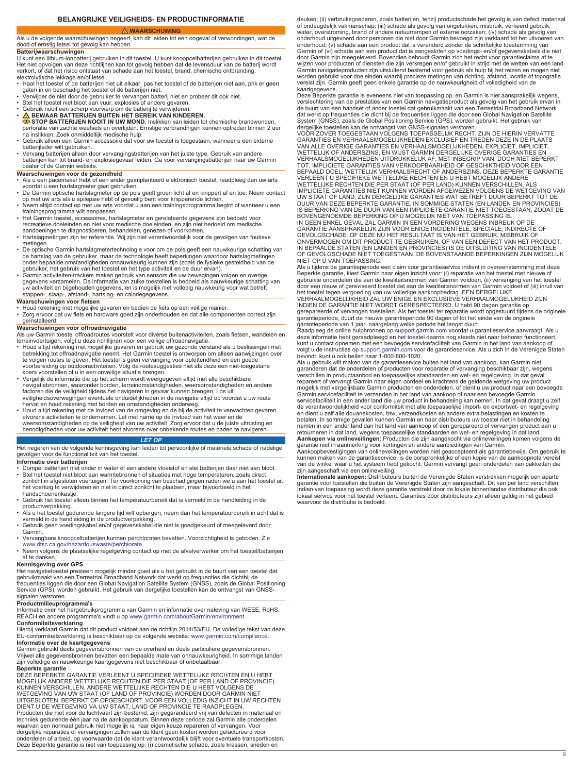# **BELANGRIJKE VEILIGHEIDS- EN PRODUCTINFORMATIE**

### **WAARSCHUWING**

### <span id="page-8-0"></span>Als u de volgende waarschuwingen negeert, kan dit leiden tot een ongeval of verwondingen, wat de dood of ernstig letsel tot gevolg kan hebben. **Batterijwaarschuwingen**

U kunt een lithium-ionbatterij gebruiken in dit toestel. U kunt knoopcelbatterijen gebruiken in dit toestel. Het niet opvolgen van deze richtlijnen kan tot gevolg hebben dat de levensduur van de batterij wordt verkort, of dat het risico ontstaat van schade aan het toestel, brand, chemische ontbranding, elektrolytische lekkage en/of letsel.

- Haal het toestel of de batterijen niet uit elkaar, pas het toestel of de batterijen niet aan, prik er geen<br>• daten in en beschadig het toestel of de batterijen niet.<br>• Verwijder de niet door de gebruiker te vervangen bat
- 
- 
- 
- Gebruik nooit een scherp voorwerp om de batterij te verwijderen. **BEWAAR BATTERIJEN BUITEN HET BEREIK VAN KINDEREN. STOP BATTERIJEN NOOIT IN UW MOND.** Inslikken kan leiden tot chemische brandwonden,
- perforatie van zachte weefsels en overlijden. Ernstige verbrandingen kunnen optreden binnen 2 uur na inslikken. Zoek onmiddellijk medische hulp. Gebruik alleen een Garmin accessoire dat voor uw toestel is toegestaan, wanneer u een externe
- batterijlader wilt gebruiken. • Vervang batterijen alleen door vervangingsbatterijen van het juiste type. Gebruik van andere batterijen kan tot brand- en explosiegevaar leiden. Ga voor vervangingsbatterijen naar uw Garmin

# dealer of de Garmin website.

- 
- **Waarschuwingen voor de gezondheid**<br>• Als u een pacemaker hebt of een ander geïmplanteerd elektronisch toestel, raadpleeg dan uw arts<br> voordat u een hartslagmeter gaat gebruiken.
- De Garmin optische hartslagmeter op de pols geeft groen licht af en knippert af en toe. Neem contact<br> op met uw arts als u epilepsie hebt of gevoelig bent voor knipperende lichten.<br>• Neem altijd contact op met uw
- trainingsprogramma wilt aanpassen.
- Het Garmin toestel, accessoires, hartslagmeter en gerelateerde gegevens zijn bedoeld voor recreatieve doeleinden en niet voor medische doeleinden, en zijn niet bedoeld om medische
- aandoeningen te diagnosticeren, behandelen, genezen of voorkomen. Hartslagmetingen zijn ter referentie. Wij zijn niet verantwoordelijk voor de gevolgen van foutieve metingen.
- De optische Garmin hartslagmetertechnologie voor om de pols geeft een nauwkeurige schatting van de hartslag van de gebruiker, maar de technologie heeft beperkingen waardoor hartslagmetingen<br>onder bepaalde omstandigheden onnauwkeurig kunnen zijn (zoals de fysieke gesteldheid van de<br>gebruiker, het gebruik van het toest
- uw activiteit en bijgehouden gegevens, en is mogelijk niet volledig nauwkeurig voor wat betreft stappen-, slaap-, afstand-, hartslag- en caloriegegevens.

# **Waarschuwingen voor fietsen**

- 
- Houd rekening met mogelijke gevaren en bedien de fiets op een veilige manier. Zorg ervoor dat uw fiets en hardware goed zijn onderhouden en dat alle componenten correct zijn geïnstalleerd.

**Waarschuwingen voor offroadnavigatie**<br>Als uw Garmin toestel offroadroutes voorstelt voor diverse buitenactiviteiten, zoals fietsen, wandelen en<br>terreinvoertuigen, volgt u deze richtlijnen voor een veilige offroadnavigatie

- Houd altijd rekening met mogelijke gevaren en gebruik uw gezonde verstand als u beslissingen met betrekking tot offroadnavigatie neemt. Het Garmin toestel is ontworpen om alleen aanwijzingen over te volgen routes te geven. Het toestel is geen vervanging voor oplettendheid en een goede<br>voorbereiding op outdooractiviteiten. Volg de routesuggesties niet als deze een niet-toegestane<br>koers voorstellen of u in een onveil
- navigatiebronnen, waaronder borden, terreinomstandigheden, weersomstandigheden en andere factoren die de veiligheid tijdens het navigeren in gevaar kunnen brengen. Los uit
- veiligheidsoverwegingen eventuele onduidelijkheden in de navigatie altijd op voordat u uw route<br>hervat en houd rekening met borden en omstandigheden onderweg.<br>• Houd altijd rekening met de invloed van de omgeving en de bij weersomstandigheden op de veiligheid van uw activiteit. Zorg ervoor dat u de juiste uitrusting en benodigdheden voor uw activiteit hebt alvorens over onbekende routes en paden te navigeren.

### *LET OP*

# Het negeren van de volgende kennisgeving kan leiden tot persoonlijke of materiële schade of nadelige gevolgen voor de functionaliteit van het toestel.

### **Informatie over batterijen**

- Dompel batterijen niet onder in water of een andere vloeistof en stel batterijen daar niet aan bloot.<br>• Stel het toestel niet bloot aan warmtebronnen of situaties met hoge temperaturen, zoals direct<br>zonlicht in afgeslote
- handschoenenkastje. Gebruik het toestel alleen binnen het temperatuurbereik dat is vermeld in de handleiding in de
- 
- productverpakking.<br>• Als u het toestel gedurende langere tijd wilt opbergen, neem dan het temperatuurbereik in acht dat is<br>• vermeld in de handleiding in de productverpakking.<br>• Gebruik geen voedingskabel en/of gegevenska
- Garmin. • Vervangbare knoopcelbatterijen kunnen perchloraten bevatten. Voorzichtigheid is geboden. Zie
- [www.dtsc.ca.gov/hazardouswaste/perchlorate](http://www.dtsc.ca.gov/hazardouswaste/perchlorate).
- Neem volgens de plaatselijke regelgeving contact op met de afvalverwerker om het toestel/batterijen af te danken.

# **Kennisgeving over GPS**

Het navigatietoestel presteert mogelijk minder goed als u het gebruikt in de buurt van een toestel dat<br>gebruikmaakt van een Terrestrial Broadband Network dat werkt op frequenties die dichtbij de<br>frequenties liggen die door signalen verstoren.

**Productmilieuprogramma's**<br>Informatie over het hergebruikprogramma van Garmin en informatie over naleving van WEEE, RoHS,<br>REACH en andere programma's vindt u op [www.garmin.com/aboutGarmin/environment.](http://www.garmin.com/aboutGarmin/environment)

**Conformiteitsverklaring**<br>Hierbij verklaart Garmin dat dit product voldoet aan de richtlijn 2014/53/EU. De volledige tekst van deze EU-conformiteitsverklaring is beschikbaar op de volgende website: [www.garmin.com/compliance](http://www.garmin.com/compliance). **Informatie over de kaartgegevens**

Garmin gebruikt deels gegevensbronnen van de overheid en deels particuliere gegevensbronnen. Vrijwel alle gegevensbronnen bevatten een bepaalde mate van onnauwkeurigheid. In sommige landen zijn volledige en nauwkeurige kaartgegevens niet beschikbaar of onbetaalbaar.

**Beperkte garantie**<br>DEZE BEPERKTE GARANTIE VERLEENT U SPECIFIEKE WETTELIJKE RECHTEN EN U HEBT<br>DIOGELIJK ANDERE WETTELIJKE RECHTEN DIE PER STAAT (OF PER LAND OF PROVINCIE)<br>KUNNEN VERSCHILLEN. ANDERE WETTELIJKE RECHTEN DIE U Producten die niet voor de luchtvaart zijn bestemd, zijn gegarandeerd vrij van defecten in materiaal en<br>techniek gedurende één jaar na de aankoopdatum. Binnen deze periode zal Garmin alle onderdelen waarvan een normaal gebruik niet mogelijk is, naar eigen keuze repareren of vervangen. Voor dergelijke reparaties of vervangingen zullen aan de klant geen kosten worden gefactureerd voor onderdelen of arbeid, op voorwaarde dat de klant verantwoordelijk blijft voor eventuele transportkosten. Deze Beperkte garantie is niet van toepassing op: (i) cosmetische schade, zoals krassen, sneden en deuken; (ii) verbruiksgoederen, zoals batterijen, tenzij productschade het gevolg is van defect materiaal<br>of ondeugdelijk vakmanschap; (iii) schade als gevolg van ongelukken, misbruik, verkeerd gebruik,<br>water, overstroming onderhoud; (v) schade aan een product dat is veranderd zonder de schriftelijke toestemming van Garmin of (vi) schade aan een product dat is aangesloten op voedings- en/of gegevenskabels die niet door Garmin zijn meegeleverd. Bovendien behoudt Garmin zich het recht voor garantieclaims af te wijzen voor producten of diensten die zijn verkregen en/of gebruikt in strijd met de wetten van een land.<br>Garmin navigatieproducten zijn uitsluitend bestemd voor gebruik als hulp bij het reizen en mogen niet<br>worden gebruik

kaartgegevens. Deze Beperkte garantie is eveneens niet van toepassing op, en Garmin is niet aansprakelijk wegens, verslechtering van de prestaties van een Garmin navigatieproduct als gevolg van het gebruik ervan in<br>de buurt van een handset of ander toestel dat gebruikmaakt van een Terrestrial Broadband Network<br>dat werkt op frequenties

VAN ALLE OVERIGE GARANTIES EN VERHAALSMOGELIJKHEDEN, EXPLICIET, IMPLICIET, WETTELIJK OF ANDERSZINS, EN WIJST GARMIN DERGELIJKE OVERIGE GARANTIES EN VERHAALSMOGELIJKHEDEN UITDRUKKELIJK AF, MET INBEGRIP VAN, DOCH NIET BEPERKT<br>TOT, IMPLICIETE GARANTIES VAN VERKOOPBAARHEID OF GESCHIKTHEID VOOR EEN<br>BEPAALD DOEL, WETTELIJK VERHAALSRECHT OF ANDERSZINS. DEZE BEPERKTE GARANTIE WETTELIJKE RECHTEN DIE PER STAAT (OF PER LAND) KUNNEN VERSCHILLEN. ALS<br>IMPLICIETE GARANTIES NIET KUNNEN WORDEN AFGEWEZEN VOLGENS DE WETGEVING VAN<br>UW STAAT OF LAND, ZIJN DERGELIJKE GARANTIES WAT BETREFT DUUR BEPERKT TOT DE<br>

BOVENGENOEMDE BEPERKING OP U MOGELIJK NIET VAN TOEPASSING IS.<br>IN GEEN ENKEL GEVAL ZAL GARMIN IN EEN VORDERING WEGENS INBREUK OP DE<br>GARANTIE AANSPRAKELIJK ZIJN VOOR ENIGE INCIDENTELE, SPECIALE, INDIRECTE OF<br>GEVOLGSCHADE, OF ONVERMOGEN OM DIT PRODUCT TE GEBRUIKEN, OF VAN EEN DEFECT VAN HET PRODUCT. IN BEPAALDE STATEN (EN LANDEN EN PROVINCIES) IS DE UITSLUITING VAN INCIDENTELE OF GEVOLGSCHADE NIET TOEGESTAAN. DE BOVENSTAANDE BEPERKINGEN ZIJN MOGELIJK NIET OP U VAN TOEPASSING.

Als u tijdens de garantieperiode een claim voor garantieservice indient in overeenstemming met deze Beperkte garantie, kiest Garmin naar eigen inzicht voor: (i) reparatie van het toestel met nieuwe of gebruikte onderdelen die aan de kwaliteitsnormen van Garmin voldoen, (ii) vervanging van het toestel<br>door een nieuw of gereviseerd toestel dat aan de kwaliteitsnormen van Garmin voldoet of (iii) inruil van<br>het toestel tege

INDIEN DE GARANTIE NIET WORDT GERESPECTEERD. U hebt 90 dagen garantie op<br>gerepareerde of verwangen toestellen. Als het toestel ter reparatie wordt opgestuurd tijdens de originele<br>garantieperiode, duurt de nieuwe garantiepe

Als u gebruik wilt maken van de garantieservice buiten het land van aankoop, kan Garmin niet garanderen dat de onderdelen of producten voor reparatie of vervanging beschikbaar zijn, wegens verschillen in productaanbod en toepasselijke standaarden en wet- en regelgeving. In dat geval<br>repareert of vervangt Garmin naar eigen oordeel en krachtens de geldende wetgeving uw product<br>mogelijk met vergelijkbare Garmin servicefaciliteit in een ander land die uw product in behandeling kan nemen. In dat geval draagt u zelf de verantwoordelijkheid voor conformiteit met alle toepasselijke import- en exportwet- en regelgeving en dient u zelf alle douanekosten, btw, verzendkosten en andere extra belastingen en kosten te betalen. In sommige gevallen kunnen Garmin en haar distributeurs uw toestel niet in behandeling<br>nemen in een ander land dan het land van aankoop of een gerepareerd of vervangen product aan u<br>retourneren in dat land, wegens

Aankopen via onlineveilingen: Producten die zijn aangekocht via onlineveilingen komen volgens de<br>garantie niet in aanmerking voor kortingen en andere aanbiedingen van Garmin.<br>Aankoopbevestigingen van onlineveilingen worden

zijn aangeschaft via een onlineveiling.<br>**Internationale aankopen:** Distributeurs buiten de Verenigde Staten verstrekken mogelijk een aparte<br>garantie voor toestellen die buiten de Verenigde Staten zijn aangeschaft. Dit kan lokaal service voor het toestel verleent. Garanties door distributeurs zijn alleen geldig in het gebied waarvoor de distributie is bedoeld.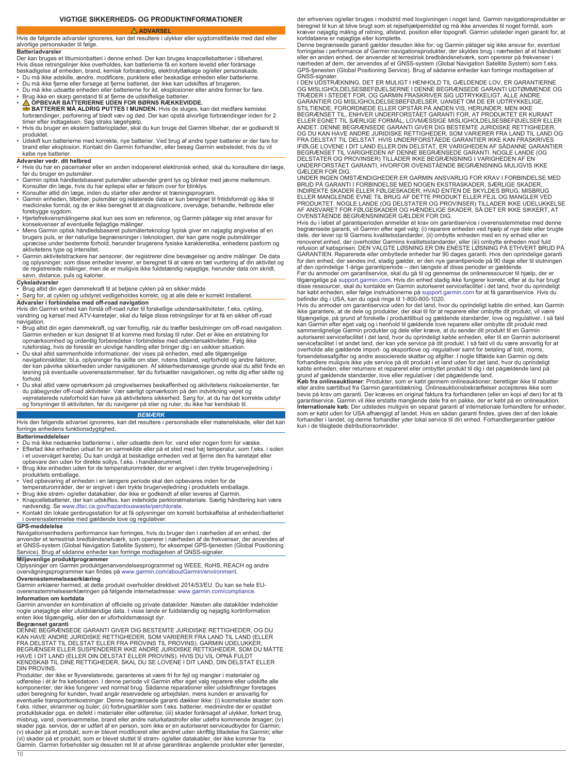# **VIGTIGE SIKKERHEDS- OG PRODUKTINFORMATIONER ADVARSEL**

<span id="page-9-0"></span>Hvis de følgende advarsler ignoreres, kan det resultere i ulykker eller sygdomstilfælde med død eller alvorlige personskader til følge. **Batteriadvarsler**

Der kan bruges et litiumionbatteri i denne enhed. Der kan bruges knapcellebatterier i tilbehøret. Hvis disse retningslinjer ikke overholdes, kan batterierne få en kortere levetid eller forårsage

beskadigelse af enheden, brand, kemisk forbrænding, elektrolytlækage og/eller personskade. • Du må ikke adskille, ændre, modificere, punktere eller beskadige enheden eller batterierne.

- 
- Du må ikke fjerne eller forsøge at fjerne batteriet, der ikke kan udskiftes af brugeren.<br>• Du må ikke udsætte enheden eller batterierne for ild, eksplosioner eller andre former for fare.<br>• Brug ikke en skarp genstand til
- 
- **△** OPBEVAR BATTERIERNE UDEN FOR BØRNS RÆKKEVIDDE.<br>● BATTERIER MÅ ALDRIG PUTTES I MUNDEN. Hvis de sluges, kan det medføre kemiske<br>forbrændinger, perforering af blødt væv og død. Der kan opstå alvorlige forbrændinger ind
- Hvis du bruger en ekstern batterioplader, skal du kun bruge det Garmin tilbehør, der er godkendt til produktet.
- Udskift kun batterierne med korrekte, nye batterier. Ved brug af andre typer batterier er der fare for brand eller eksplosion. Kontakt din Garmin forhandler, eller besøg Garmin webstedet, hvis du vil købe nye batterier.

- **Advarsler vedr. dit helbred** Hvis du har en pacemaker eller en anden indopereret elektronisk enhed, skal du konsultere din læge, før du bruger en pulsmåler.
- Garmin optisk håndledsbaseret pulsmåler udsender grønt lys og blinker med jævne mellemrum. Konsulter din læge, hvis du har epilepsi eller er følsom over for blinklys.
- 
- ∙ Konsulter altid din læge, inden du starter eller ændrer et træningsprogram.<br>• Garmin enheden, tilbehør, pulsmåler og relaterede data er kun beregnet til fritidsformål og ikke til<br>• medicinske formål, og de er ikke b forebygge sygdom.
- Hjertefrekvensmålingerne skal kun ses som en reference, og Garmin påtager sig intet ansvar for konsekvenser af eventuelle fejlagtige målinger.
- Mens Garmin optisk håndledsbaseret pulsmålerteknologi typisk giver en nøjagtig angivelse af en<br>brugers puls, er der naturlige begrænsninger i teknologien, der kan gøre nogle pulsmålinger<br>upræcise under bestemte forhold, aktivitetens type og intensitet.
- Garmin aktivitetstrackere har sensorer, der registrerer dine bevægelser og andre målinger. De data<br>og oplysninger, som disse enheder leverer, er beregnet til at være en tæt vurdering af din aktivitet og<br>de registrerede m

- **Cykeladvarsler** Brug altid din egen dømmekraft til at betjene cyklen på en sikker måde.
- Sørg for, at cyklen og udstyret vedligeholdes korrekt, og at alle dele er korrekt installeret.

# **Advarsler i forbindelse med off-road navigation**

Hvis din Garmin enhed kan forslå off-road ruter til forskellige udendørsaktiviteter, f.eks. cykling, vandring og kørsel med ATV-køretøjer, skal du følge disse retningslinjer for at få en sikker off-road navigation.

- Brug altid din egen dømmekraft, og vær fornuftig, når du træffer beslutninger om off-road navigation.<br>Garmin enheden er kun designet til at komme med forslag til ruter. Det er ikke en erstatning for<br>opmærksomhed og orden
- ruteforslag, hvis de foreslår en ulovlige handling eller bringer dig i en usikker situation. Du skal altid sammenholde informationer, der vises på enheden, med alle tilgængelige navigationskilder, bl.a. oplysninger fra skilte om stier, rutens tilstand, vejrforhold og andre faktorer,<br>der kan påvirke sikkerheden under navigationen. Af sikkerhedsmæssige grunde skal du altid finde en<br>løsning på eventu forhold
- Du skal altid være opmærksom på omgivelsernes beskaffenhed og aktivitetens risikoelementer, før<br>du påbegynder off-road aktiviteter. Vær særligt opmærksom på den indvirkning vejret og<br>vejrrelaterede ruteforhold kan have p

### *BEMÆRK*

Hvis den følgende advarsel ignoreres, kan det resultere i personskade eller materielskade, eller det kan forringe enhedens funktionsdygtighed.

### **Batterimeddelelser**

- Du må ikke nedsænke batterierne i, eller udsætte dem for, vand eller nogen form for væske. • Efterlad ikke enheden udsat for en varmekilde eller på et sted med høj temperatur, som f.eks. i solen<br>i et uovervåget køretøj. Du kan undgå at beskadige enheden ved at fjerne den fra køretøjet eller<br>opbevare den uden for
- Brug ikke enheden uden for de temperaturområder, der er angivet i den trykte brugervejledning i
- produktets emballage. Ved opbevaring af enheden i en længere periode skal den opbevares inden for de temperaturområder, der er angivet i den trykte brugervejledning i produktets emballage.
- 
- Brug ikke strøm- og/eller datakabler, der ikke er godkendt af eller leveres af Garmin. Knapcellebatterier, der kan udskiftes, kan indeholde perkloratmateriale. Særlig håndtering kan være
- nødvendig. Se [www.dtsc.ca.gov/hazardouswaste/perchlorate](http://www.dtsc.ca.gov/hazardouswaste/perchlorate). Kontakt din lokale genbrugsstation for at få oplysninger om korrekt bortskaffelse af enheden/batteriet i overensstemmelse med gældende love og regulativer

# **GPS-meddelelse**

Navigationsenhedens performance kan forringes, hvis du bruger den i nærheden af en enhed, der anvender et terrestrisk bredbåndsnetværk, som opererer i nærheden af de frekvenser, der anvendes af<br>et GNSS-system (Global Navigation Satellite System), for eksempel GPS-tjenesten (Global Positioning<br>Service). Brug af såda

# **Miljøvenlige produktprogrammer**

Oplysninger om Garmin produktgenanvendelsesprogrammet og WEEE, RoHS, REACH og andre overvågningsprogrammer kan findes på [www.garmin.com/aboutGarmin/environment](http://www.garmin.com/aboutGarmin/environment).

**Overensstemmelseserklæring** Garmin erklærer hermed, at dette produkt overholder direktivet 2014/53/EU. Du kan se hele EUoverensstemmelseserklæringen på følgende internetadresse: [www.garmin.com/compliance.](http://www.garmin.com/compliance)

# **Information om kortdata**

Garmin anvender en kombination af officielle og private datakilder. Næsten alle datakilder indeholder<br>nogle unøjagtige eller ufuldstændige data. I visse lande er fuldstændig og nøjagtig kortinformation<br>enten ikke tilgængel

**Begrænset garanti** DENNE BEGRÆNSEDE GARANTI GIVER DIG BESTEMTE JURIDISKE RETTIGHEDER, OG DU KAN HAVE ANDRE JURIDISKE RETTIGHEDER, SOM VARIERER FRA LAND TIL LAND (ELLER FRA DELSTAT TIL DELSTAT ELLER FRA PROVINS TIL PROVINS). GARMIN UDELUKKER,<br>BEGRÆNSER ELLER SUSPENDERER IKKE ANDRE JURIDISKE RETTIGHEDER, SOM DU MÅTTE<br>HAVE I DIT LAND (ELLER DIN DELSTAT ELLER PROVINS). HVIS DU VIL OPNÅ FULDT DIN PROVINS.

Produkter, der ikke er flyverelaterede, garanteres at være fri for fejl og mangler i materialer og udførelse i ét år fra købsdatoen. I denne periode vil Garmin efter eget valg reparere eller udskifte alle<br>komponenter, der ikke fungerer ved normal brug. Sådanne reparationer eller udskiftninger foretages<br>uden beregning fo f.eks. ridser, skrammer og buler; (ii) forbrugsartikler som f.eks. batterier, medmindre der er opstået<br>produktskader pga. en defekt i materialer eller udførelse; (iii) skader forårsaget af ulykker, forkert brug,<br>misbrug, v skader pga. service, der er udført af en person, som ikke er en autoriseret serviceudbyder for Garmin;<br>(v) skader på et produkt, som er blevet modificeret eller ændret uden skriftlig tilladelse fra Garmin; eller (vi) skader på et produkt, som er blevet sluttet til strøm- og/eller datakabler, der ikke kommer fra Garmin. Garmin forbeholder sig desuden ret til at afvise garantikrav angående produkter eller tjenester,  $10$ 

der erhverves og/eller bruges i modstrid med lovgivningen i noget land. Garmin navigationsprodukter er<br>beregnet til kun at blive brugt som et rejsehjælpemiddel og må ikke anvendes til noget formål, som kræver nøjagtig måling af retning, afstand, position eller topografi. Garmin udsteder ingen garanti for, at kortdataene er nøjagtige eller komplette.

Denne begrænsede garanti gælder desuden ikke for, og Garmin påtager sig ikke ansvar for, eventuel<br>forringelse i performance af Garmin navigationsprodukter, der skyldes brug i nærheden af et håndsæt<br>eller en anden enhed, de nærheden af dem, der anvendes af et GNSS-system (Global Navigation Satellite System) som f.eks. GPS-tjenesten (Global Positioning Service). Brug af sådanne enheder kan forringe modtagelsen af GNSS-signaler

I DEN UDSTRÆKNING, DET ER MULIGT I HENHOLD TIL GÆLDENDE LOV, ER GARANTIERNE OG MISLIGHOLDELSESBEFØJELSERNE I DENNE BEGRÆNSEDE GARANTI UDTØMMENDE OG TRÆDER I STEDET FOR, OG GARMIN FRASKRIVER SIG UDTRYKKELIGT, ALLE ANDRE GARANTIER OG MISLIGHOLDELSESBEFØJELSER, UANSET OM DE ER UDTRYKKELIGE,<br>STILTIENDE, FORORDNEDE ELLER OPSTÅR PÅ ANDEN VIS, HERUNDER, MEN IKKE<br>BEGRÆNSET TIL, ENHVER UNDERFORSTÅET GARANTI FOR, AT PRODUKTET ER KURANT ELLER EGNET TIL SÆRLIGE FORMÅL, LOVMÆSSIGE MISLIGHOLDELSESBEFØJELSER ELLER ANDET. DENNE BEGRÆNSEDE GARANTI GIVER DIG BESTEMTE JURIDISKE RETTIGHEDER,<br>OG DU KAN HAVE ANDRE JURIDISKE RETTIGHEDER, SOM VARIERER FRA LAND TIL LAND OG<br>FRA DELSTAT TIL DELSTAT. HVIS UNDERFORSTÅEDE GARANTIER IKKE KAN FRASKR IFØLGE LOVENE I DIT LAND ELLER DIN DELSTAT, ER VARIGHEDEN AF SÅDANNE GARANTIER BEGRÆNSET TIL VARIGHEDEN AF DENNE BEGRÆNSEDE GARANTI. NOGLE LANDE (OG DELSTATER OG PROVINSER) TILLADER IKKE BEGRÆNSNING I VARIGHEDEN AF EN UNDERFORSTÅET GARANTI, HVORFOR OVENSTÅENDE BEGRÆNSNING MULIGVIS IKKE GÆLDER FOR DIG.

UNDER INGEN OMSTÆNDIGHEDER ER GARMIN ANSVARLIG FOR KRAV I FORBINDELSE MED BRUD PÅ GARANTI I FORBINDELSE MED NOGEN EKSTRASKADER, SÆRLIGE SKADER,<br>INDIREKTE SKADER ELLER FØLGESKADER, HVAD ENTEN DE SKYLDES BRUG, MISBRUG<br>ELLER MANGLENDE EVNE TIL BRUG AF DETTE PRODUKT ELLER FEJL OG MANGLER VED<br>PRODUKT OVENSTÅENDE BEGRÆNSNINGER GÆLDER FOR DIG.

Hvis du i løbet af garantiperioden anmelder et krav om garantiservice i overensstemmelse med denne<br>begrænsede garanti, vil Garmin efter eget valg: (i) reparere enheden ved hjælp af nye dele eller brugte<br>dele, der lever op

GARANTIEN. Reparerede eller ombyttede enheder har 90 dages garanti. Hvis den oprindelige garanti<br>for den enhed, der sendes ind, stadig gælder, er den nye garantiperiode på 90 dage eller til slutningen<br>af den oprindelige 1 tilgængelige på [support.garmin.com](http://www.support.garmin.com). Hvis din enhed stadig ikke fungerer korrekt, efter at du har brugt disse ressourcer, skal du kontakte en Garmin autoriseret servicefacilitet i det land, hvor du oprindeligt

har købt enheden, eller følge instruktionerne på [support.garmin.com](http://www.support.garmin.com) for at få garantiservice. Hvis du befinder dig i USA, kan du også ringe til 1-800-800-1020.

Hvis du anmoder om garantiservice uden for det land, hvor du oprindeligt købte din enhed, kan Garmin<br>ikke garantere, at de dele og produkter, der skal til for at reparere eller ombytte dit produkt, vil være<br>tilgængelige, p servicefacilitet i et andet land, der kan yde service på dit produkt. I så fald vil du være ansvarlig for at<br>overholde alle gældende import- og eksportlove og -regulativer samt for betaling af told, moms,<br>forsendelsesatgif

grund af gældende standarder, love eller regulativer i det pågældende land.<br>**Køb fra onlineauktioner**: Produkter, som er købt gennem onlineauktioner, berettiger ikke til rabatter<br>eller andre særtilbud fra Garmin garantidæk garantiservice. Garmin vil ikke erstatte manglende dele fra en pakke, der er købt på en onlineauktion.<br>Internationale køb: Der udstedes muligvis en separat garanti af internationale forhandlere for enheder, som er<br>som er k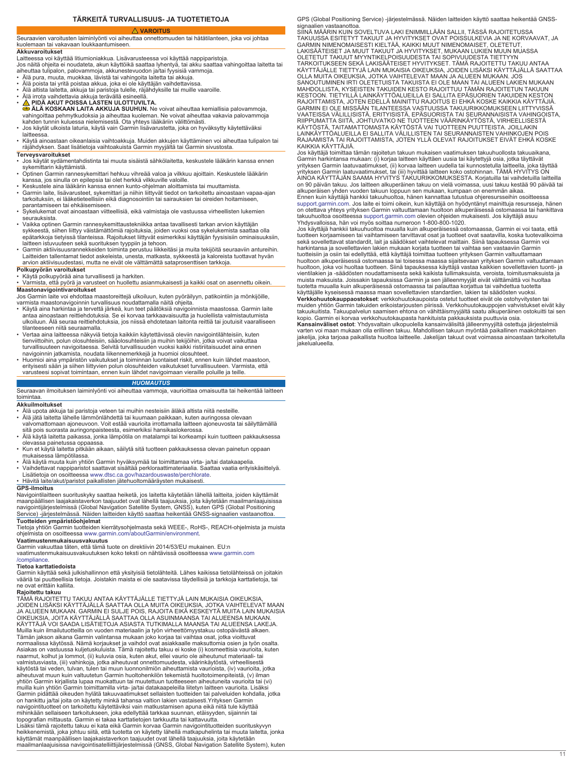# **TÄRKEITÄ TURVALLISUUS- JA TUOTETIETOJA**

# **VAROITUS**

<span id="page-10-0"></span>Seuraavien varoitusten laiminlyönti voi aiheuttaa onnettomuuden tai hätätilanteen, joka voi johtaa kuolemaan tai vakavaan loukkaantumiseen.

# **Akkuvaroitukset**

Laitteessa voi käyttää litiumioniakkua. Lisävarusteessa voi käyttää nappiparistoja. Jos näitä ohjeita ei noudateta, akun käyttöikä saattaa lyhentyä, tai akku saattaa vahingoittaa laitetta tai

- aiheuttaa tulipalon, palovammoja, akkunestevuodon ja/tai fyysisiä vammoja. Älä pura, muuta, muokkaa, lävistä tai vahingoita laitetta tai akkuja.
- 
- Älä poista tai yritä poistaa akkua, joka ei ole käyttäjän vaihdettavissa.<br>• Älä altista laitetta, akkuja tai paristoja tulelle, räjähdyksille tai muille vaaroille.<br>• Älä irrota vaihdettavia akkuja terävällä esineellä.
- 
- 
- <u>∧</u> PIDÄ AKUT POISSA LASTEN ULOTTUVILTA.<br>● ÄLÄ KOSKAAN LAITA AKKUJA SUUHUN. Ne voivat aiheuttaa kemiallisia palovammoja, vahingoittaa pehmytkudoksia ja aiheuttaa kuoleman. Ne voivat aiheuttaa vakavia palovammoja<br>kahden tunnin kuluessa nielemisestä. Ota yhteys lääkäriin välittömästi.
- Jos käytät ulkoista laturia, käytä vain Garmin lisävarustetta, joka on hyväksytty käytettäväksi
- laitteessa. Käytä ainoastaan oikeanlaisia vaihtoakkuja. Muiden akkujen käyttäminen voi aiheuttaa tulipalon tai räjähdyksen. Saat lisätietoja vaihtoakuista Garmin myyjältä tai Garmin sivustosta.

# **Terveysvaroitukset**

- Jos käytät sydämentahdistinta tai muuta sisäistä sähkölaitetta, keskustele lääkärin kanssa ennen sykemittarin käyttämistä. • Optinen Garmin rannesykemittari hehkuu vihreää valoa ja vilkkuu ajoittain. Keskustele lääkärin
- 
- kanssa, jos sinulla on epilepsia tai olet herkkä vilkkuville valoille. Keskustele aina lääkärin kanssa ennen kunto-ohjelman aloittamista tai muuttamista.
- Garmin laite, lisävarusteet, sykemittari ja niihin liittyvät tiedot on tarkoitettu ainoastaan vapaa-ajan tarkoituksiin, ei lääketieteellisiin eikä diagnosointiin tai sairauksien tai oireiden hoitamiseen, parantamiseen tai ehkäisemiseen. • Sykelukemat ovat ainoastaan viitteellisiä, eikä valmistaja ole vastuussa virheellisten lukemien
- seurauksista. Vaikka optinen Garmin rannesykemittaustekniikka antaa tavallisesti tarkan arvion käyttäjän
- sykkeestä, siihen liittyy väistämättömiä rajoituksia, joiden vuoksi osa sykelukemista saattaa olla epätarkkoja tietyissä tilanteissa. Rajoitukset liittyvät esimerkiksi käyttäjän fyysisisiin ominaisuuksiin, laitteen istuvuuteen sekä suorituksen tyyppiin ja tehoon. • Garmin aktiivisuusrannekkeiden toiminta perustuu liikkeitäsi ja muita tekijöitä seuraaviin antureihin.
- Laitteiden tallentamat tiedot askeleista, unesta, matkasta, sykkeestä ja kaloreista tuottavat hyvän arvion aktiivisuudestasi, mutta ne eivät ole välttämättä sataprosenttisen tarkkoja.

# **Polkupyörän varoitukset**

- Käytä polkupyörää aina turvallisesti ja harkiten.
- Varmista, että pyörä ja varusteet on huollettu asianmukaisesti ja kaikki osat on asennettu oikein.
- **Maastonavigointivaroitukset**<br>Jos Garmin laite voi ehdottaa maastoreittejä ulkoiluun, kuten pyöräilyyn, patikointiin ja mönkijöille, varmista maastonavigoinnin turvallisuus noudattamalla näitä ohjeita.
- Käytä aina harkintaa ja tervettä järkeä, kun teet päätöksiä navigoinnista maastossa. Garmin laite antaa ainoastaan reittiehdotuksia. Se ei korvaa tarkkaavaisuutta ja huolellista valmistautumista ulkoiluun. Älä seuraa reittiehdotuksia, jos niissä ehdotetaan laitonta reittiä tai joutuisit vaaralliseen tilanteeseen niitä seuraamalla.
- Vertaa aina laitteessa näkyviä tietoja kaikkiin käytettävissä oleviin navigointilähteisiin, kuten<br>tienviittoihin, polun olosuhteisiin, sääolosuhteisiin ja muihin tekijöihin, jotka voivat vaikuttaa<br>turvallisuuteen navigoi
- Huomioi aina ympäristön vaikutukset ja toiminnan luontaiset riskit, ennen kuin lähdet maastoon, erityisesti sään ja siihen liittyvien polun olosuhteiden vaikutukset turvallisuuteen. Varmista, että varusteesi sopivat toimintaan, ennen kuin lähdet navigoimaan vieraille poluille ja teille.

# *HUOMAUTUS*

Seuraavan ilmoituksen laiminlyönti voi aiheuttaa vammoja, vaurioittaa omaisuutta tai heikentää laitteen toimintaa.

### **Akkuilmoitukset**

- 
- Älä upota akkuja tai paristoja veteen tai muihin nesteisiin äläkä altista niitä nesteille.<br>• Älä jätä laitetta lähelle lämmönlähdettä tai kuumaan paikkaan, kuten auringossa olevaan<br>• valvomattomaan ajoneuvoon. Voit es sitä pois suorasta auringonpaisteesta, esimerkiksi hansikaslokerossa.
- Älä käytä laitetta paikassa, jonka lämpötila on matalampi tai korkeampi kuin tuotteen pakkauksessa olevassa painetussa oppaassa.
- Kun et käytä laitetta pitkään aikaan, säilytä sitä tuotteen pakkauksessa olevan painetun oppaan
- mukaisessa lämpötilassa. Älä käytä muuta kuin yhtiön Garmin hyväksymää tai toimittamaa virta- ja/tai datakaapelia.
- Vaihdettavat nappiparistot saattavat sisältää perkloraattimateriaalia. Saattaa vaatia erityiskäsittelyä.
- Lisätietoja on osoitteessa [www.dtsc.ca.gov/hazardouswaste/perchlorate](http://www.dtsc.ca.gov/hazardouswaste/perchlorate). Hävitä laite/akut/paristot paikallisten jätehuoltomääräysten mukaisesti.

# **GPS-ilmoitus**

Navigointilaitteen suorituskyky saattaa heiketä, jos laitetta käytetään lähellä laitteita, joiden käyttämät maanpäällisen laajakaistaverkon taajuudet ovat lähellä taajuuksia, joita käytetään maailmanlaajuisissa navigointijärjestelmissä (Global Navigation Satellite System, GNSS), kuten GPS (Global Positioning Service) -järjestelmässä. Näiden laitteiden käyttö saattaa heikentää GNSS-signaalien vastaanottoa. **Tuotteiden ympäristöohjelmat**

Tietoja yhtiön Garmin tuotteiden kierrätysohjelmasta sekä WEEE-, RoHS-, REACH-ohjelmista ja muista ohjelmista on osoitteessa [www.garmin.com/aboutGarmin/environment](http://www.garmin.com/aboutGarmin/environment).

**Vaatimustenmukaisuusvakuutus** Garmin vakuuttaa täten, että tämä tuote on direktiivin 2014/53/EU mukainen. EU:n vaatimustenmukaisuusvakuutuksen koko teksti on nähtävissä osoitteessa [www.garmin.com](http://www.garmin.com/compliance) [/compliance](http://www.garmin.com/compliance).

**Tietoa karttatiedoista**<br>Garmin käyttää sekä julkishallinnon että yksityisiä tietolähteitä. Lähes kaikissa tietolähteissä on joitakin<br>vääriä tai puutteellisia tietoja. Joistakin maista ei ole saatavissa täydellisiä ja tark

# **Rajoitettu takuu**

TÄMÄ RAJOITETTU TAKUU ANTAA KÄYTTÄJÄLLE TIETTYJÄ LAIN MUKAISIA OIKEUKSIA, JOIDEN LISÄKSI KÄYTTÄJÄLLÄ SAATTAA OLLA MUITA OIKEUKSIA, JOTKA VAIHTELEVAT MAAN JA ALUEEN MUKAAN. GARMIN EI SULJE POIS, RAJOITA EIKÄ KESKEYTÄ MUITA LAIN MUKAISIA OIKEUKSIA, JOITA KÄYTTÄJÄLLÄ SAATTAA OLLA ASUINMAANSA TAI ALUEENSA MUKAAN.<br>KÄYTTÄJÄ VOI SAADA LISÄTIETOJA ASIASTA TUTKIMALLA MAANSA TAI ALUEENSA LAKEJA. Muilla kuin ilmailutuotteilla on vuoden materiaalin ja työn virheettömyystakuu ostopäivästä alkaen. Tämän jakson aikana Garmin valintansa mukaan joko korjaa tai vaihtaa osat, jotka vioittuvat normaalissa käytössä. Nämä korjaukset ja vaihdot ovat asiakkaalle maksuttomia osien ja työn osalta. Asiakas on vastuussa kuljetuskuluista. Tämä rajoitettu takuu ei koske (i) kosmeettisia vaurioita, kuten naarmut, kolhut ja lommot, (ii) kuluvia osia, kuten akut, ellei vaurio ole aiheutunut materiaali- tai valmistusviasta, (iii) vahinkoja, jotka aiheutuvat onnettomuudesta, väärinkäytöstä, virheellisestä käytöstä tai veden, tulvan, tulen tai muun luonnonilmiön aiheuttamista vaurioista, (iv) vaurioita, jotka<br>aiheutuvat muun kuin valtuutetun Garmin huoltohenkilön tekemistä huoltotoimenpiteistä, (v) ilman yhtiön Garmin kirjallista lupaa muokattuun tai muutettuun tuotteeseen aiheutuneita vaurioita tai (vi) muilla kuin yhtiön Garmin toimittamilla virta- ja/tai datakaapeleilla liitetyn laitteen vaurioita. Lisäksi Garmin pidättää oikeuden hylätä takuuvaatimukset sellaisten tuotteiden tai palveluiden kohdalla, jotka on hankittu ja/tai joita on käytetty minkä tahansa valtion lakien vastaisesti.Yrityksen Garmin navigointituotteet on tarkoitettu käytettäviksi vain matkustamisen apuna eikä niitä tule käyttää<br>mihinkään sellaiseen tarkoitukseen, joka edellyttää tarkkaa suunnan, etäisyyden, sijainnin tai<br>topografian mittausta. Garmin Lisäksi tämä rajoitettu takuu ei kata eikä Garmin korvaa Garmin navigointituotteiden suorituskyvyn heikkenemistä, joka johtuu siitä, että tuotetta on käytetty lähellä matkapuhelinta tai muuta laitetta, jonka käyttämät maanpäällisen laajakaistaverkon taajuudet ovat lähellä taajuuksia, joita käytetään maailmanlaajuisissa navigointisatelliittijärjestelmissä (GNSS, Global Navigation Satellite System), kuten GPS (Global Positioning Service) -järjestelmässä. Näiden laitteiden käyttö saattaa heikentää GNSSsignaalien vastaanottoa

SIINÄ MÄÄRIN KUIN SOVELTUVA LAKI ENIMMILLÄÄN SALLII, TÄSSÄ RAJOITETUSSA<br>TAKUUSSA ESITETYT TAKUUT JA HYVITYKSET OVAT POISSULKEVIA JA NE KORVAAVAT, JA<br>GARMIN NIMENOMAISESTI KIELTÄÄ, KAIKKI MUUT NIMENOMAISET, OLETETUT, LAKISÄÄTEISET JA MUUT TAKUUT JA HYVITYKSET, MUKAAN LUKIEN MUUN MUASSA<br>OLETETUT TAKUUT MYYNTIKELPOISUUDESTA TAI SOPIVUUDESTA TIETTYYN<br>TARKOITUKSEEN SEKÄ LAKISÄÄTEISET HYVITYKSET. TÄMÄ RAJOITETTU TAKUU ANTAA<br>KÄYTTÄJÄLLE TIET MAHDOLLISTA, KYSEISTEN TAKUIDEN KESTO RAJOITTUU TÄMÄN RAJOITETUN TAKUUN<br>KESTOON. TIETYILLÄ LAINKÄYTTÖALUEILLA EI SALLITA EPÄSUORIEN TAKUIDEN KESTOON.<br>RAJOITTAMISTA, JOTEN EDELLÄ MAINITTU RAJOITUS EI EHKÄ KOSKE KAIKKIA KÄYT

KAIKKIA KÄYTTÄJIÄ. Jos käyttäjä toimittaa tämän rajoitetun takuun mukaisen vaatimuksen takuuhuollosta takuuaikana, Garmin harkintansa mukaan: (i) korjaa laitteen käyttäen uusia tai käytettyjä osia, jotka täyttävät<br>yrityksen Garmin laatuvaatimukset, (ii) korvaa laitteen uudella tai kunnostetulla laitteella, joka täyttää<br>yrityksen Garmi on 90 päivän takuu. Jos laitteen alkuperäinen takuu on vielä voimassa, uusi takuu kestää 90 päivää tai alkuperäisen yhden vuoden takuun loppuun sen mukaan, kumpaan on enemmän aikaa. Ennen kuin käyttäjä hankkii takuuhuoltoa, hänen kannattaa tutustua ohjeresursseihin osoitteessa

[support.garmin.com.](http://www.support.garmin.com) Jos laite ei toimi oikein, kun käyttäjä on hyödyntänyt mainittuja resursseja, hänen on otettava yhteys yrityksen Garmin valtuuttamaan huoltoon alkuperäisessä ostomaassa tai hankittava takuuhuoltoa osoitteessa [support.garmin.com](http://www.support.garmin.com) olevien ohjeiden mukaisesti. Jos käyttäjä asuu

Yhdysvalloissa, hän voi myös soittaa numeroon 1-800-800-1020.<br>Jos käyttäjä hankkii takuuhuoltoa muualla kuin alkuperäisessä ostomaassa, Garmin ei voi taata, että<br>tuotteen korjaamiseen tai vaihtamiseen tarvittavat osat ja t sekä sovellettavat standardit, lait ja säädökset vaihtelevat maittain. Siinä tapauksessa Garmin voi<br>harkintansa ja sovellettavien lakien mukaan korjata tuotteen tai vaihtaa sen vastaaviin Garmin tuotteisiin ja osiin tai edellyttää, että käyttäjä toimittaa tuotteen yrityksen Garmin valtuuttamaan huoltoon alkuperäisessä ostomaassa tai toisessa maassa sijaitsevaan yrityksen Garmin valtuuttamaan<br>huoltoon, joka voi huoltaa tuotteen. Siinä tapauksessa käyttäjä vastaa kaikkien sovellettavien tuonti- ja<br>vientilakien ja muista maksuista. Joissakin tapauksissa Garmin ja sen jälleenmyyjät eivät välttämättä voi huoltaa<br>tuotetta muualla kuin alkuperäisessä ostomaassa tai palauttaa korjattua tai vaihdettua tuotetta<br>käyttäjälle kyseisessä maass **Verkkohuutokauppaostokset**: verkkohuutokaupoista ostetut tuotteet eivät ole ostohyvitysten tai muiden yhtiön Garmin takuiden erikoistarjousten piirissä. Verkkohuutokauppojen vahvistukset eivät käy takuukuitista. Takuupalvelun saamisen ehtona on vähittäismyyjältä saatu alkuperäinen ostokuitti tai sen

kopio. Garmin ei korvaa verkkohuutokaupasta hankituista pakkauksista puuttuvia osia. **Kansainväliset ostot**: Yhdysvaltain ulkopuolella kansainvälisiltä jälleenmyyjiltä ostettuja järjestelmiä varten voi maan mukaan olla erillinen takuu. Mahdollisen takuun myöntää paikallinen maakohtainen jakelija, joka tarjoaa paikallista huoltoa laitteelle. Jakelijan takuut ovat voimassa ainoastaan tarkoitetulla jakelualueella.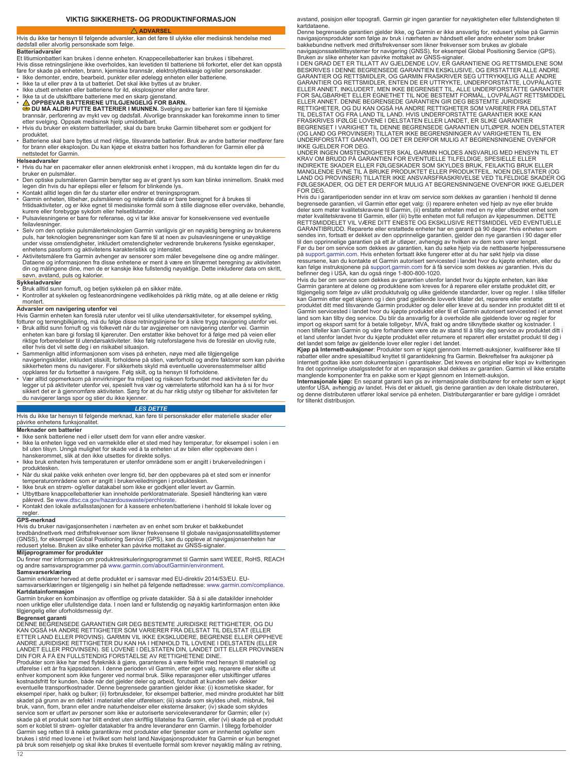# **VIKTIG SIKKERHETS- OG PRODUKTINFORMASJON**

# **ADVARSEL**

<span id="page-11-0"></span>Hvis du ikke tar hensyn til følgende advarsler, kan det føre til ulykke eller medisinsk hendelse med dødsfall eller alvorlig personskade som følge.

### **Batteriadvarsler**

Et litiumionbatteri kan brukes i denne enheten. Knappecellebatterier kan brukes i tilbehøret. Hvis disse retningslinjene ikke overholdes, kan levetiden til batteriene bli forkortet, eller det kan oppstå fare for skade på enheten, brann, kjemiske brannsår, elektrolyttlekkasje og/eller personskader. • Ikke demonter, endre, bearbeid, punkter eller ødelegg enheten eller batteriene.

- Ikke ta ut eller prøv å ta ut batteriet. Det skal ikke byttes ut av bruker.
- Ikke utsett enheten eller batteriene for ild, eksplosjoner eller andre farer. Ikke ta ut de utskiftbare batteriene med en skarp gjenstand.
- 
- △ OPPBEVAR BATTERIENE UTILGJENGELIG FOR BARN.<br>
SOU MA ALDRI PUTTE BATTERIER I MUNNEN. Svelging av batterier kan føre til kjemiske<br>
brannsår, perforering av mykt vev og dødsfall. Alvorlige brannskader kan forekomme innen
- produktet.
- Batteriene skal bare byttes ut med riktige, tilsvarende batterier. Bruk av andre batterier medfører fare for brann eller eksplosjon. Du kan kjøpe et ekstra batteri hos forhandleren for Garmin eller på nettstedet for Garmin.

# **Helseadvarsler**

- Hvis du har en pacemaker eller annen elektronisk enhet i kroppen, må du kontakte legen din før du bruker en pulsmåler.
- Den optiske pulsmåleren Garmin benytter seg av et grønt lys som kan blinke innimellom. Snakk med legen din hvis du har epilepsi eller er følsom for blinkende lys.
- 
- Kontakt alltid legen din før du starter eller endrer et treningsprogram.<br>• Garmin enheten, tilbehør, pulsmåleren og relaterte data er bare beregnet for å brukes til<br>• fritidsaktiviteter, og er ikke egnet til medisinske f
- Pulsavlesningene er bare for referanse, og vi tar ikke ansvar for konsekvensene ved eventuelle feilavlesninger.
- Selv om den optiske pulsmålerteknologien Garmin vanligvis gir en nøyaktig beregning av brukerens<br>puls, har teknologien begrensninger som kan føre til at noen av pulsavlesningene er unøyaktige<br>under visse omstendigheter,
- Aktivitetsmålere fra Garmin avhenger av sensorer som måler bevegelsene dine og andre målinger. Dataene og informasjonen fra disse enhetene er ment å være en tilnærmet beregning av aktiviteten din og målingene dine, men de er kanskje ikke fullstendig nøyaktige. Dette inkluderer data om skritt, søvn, avstand, puls og kalorier.

- **Sykkeladvarsler** Bruk alltid sunn fornuft, og betjen sykkelen på en sikker måte.
- Kontroller at sykkelen og festeanordningene vedlikeholdes på riktig måte, og at alle delene er riktig montert.

- **Advarsler om navigering utenfor vei**<br>Hvis Garmin enheten kan foreslå ruter utenfor vei til ulike utendørsaktiviteter, for eksempel sykling,
- fotturer og terrengbilkjøring, må du følge disse retningslinjene for å sikre trygg navigering utenfor vei. • Bruk alltid sunn fornuft og vis folkevett når du tar avgjørelser om navigering utenfor vei. Garmin<br>enheten kan bare gi forslag til kjøreruter. Den erstatter ikke behovet for å følge med på veien eller<br>riktige forberedels
- eller hvis det vil sette deg i en risikabel situasjon. Sammenlign alltid informasjonen som vises på enheten, nøye med alle tilgjengelige navigeringskilder, inkludert stiskilt, forholdene på stien, værforhold og andre faktorer som kan påvirke<br>sikkerheten mens du navigerer. For sikkerhets skyld må eventuelle uoverensstemmelser alltid
- oppklares før du fortsetter å navigere. Følg skilt, og ta hensyn til forholdene. Vær alltid oppmerksom på innvirkninger fra miljøet og risikoen forbundet med aktiviteten før du
- legger ut på aktiviteter utenfor vei, spesielt hva vær og værrelaterte stiforhold kan ha å si for hvor sikkert det er å gjennomføre aktiviteten. Sørg for at du har riktig utstyr og tilbehør for aktiviteten før du navigerer langs spor og stier du ikke kjenner.

# *LES DETTE*

Hvis du ikke tar hensyn til følgende merknad, kan føre til personskader eller materielle skader eller påvirke enhetens funksjonalitet.

### **Merknader om batterier**

- 
- Ikke senk batteriene ned i eller utsett dem for vann eller andre væsker. Ikke la enheten ligge ved en varmekilde eller et sted med høy temperatur, for eksempel i solen i en bil uten tilsyn. Unngå mulighet for skade ved å ta enheten ut av bilen eller oppbevare den i
- hanskerommet, slik at den ikke utsettes for direkte sollys. Ikke bruk enheten hvis temperaturen er utenfor områdene som er angitt i brukerveiledningen i produktesken.
- Når du skal pakke vekk enheten over lengre tid, bør den oppbevares på et sted som er innenfor<br>· temperaturområdene som er angitt i brukerveiledningen i produktesken.<br>• Ikke bruk en strøm- og/eller datakabel som ikke er g
- 
- Utbyttbare knappcellebatterier kan inneholde perkloratmateriale. Spesiell håndtering kan være påkrevd. Se [www.dtsc.ca.gov/hazardouswaste/perchlorate.](http://www.dtsc.ca.gov/hazardouswaste/perchlorate) • Kontakt den lokale avfallsstasjonen for å kassere enheten/batteriene i henhold til lokale lover og

### regler **GPS-merknad**

Hvis du bruker navigasjonsenheten i nærheten av en enhet som bruker et bakkebundet bredbåndnettverk med driftsfrekvenser som likner frekvensene til globale navigasjonssatellittsystemer<br>(GNSS), for eksempel Global Positioning Service (GPS), kan du oppleve at navigasjonsenheten har<br>redusert ytelse. Bruken

# **Miljøprogrammer for produkter**

Du finner mer informasjon om produktresirkuleringsprogrammet til Garmin samt WEEE, RoHS, REACH og andre samsvarsprogrammer på [www.garmin.com/aboutGarmin/environment.](http://www.garmin.com/aboutGarmin/environment)

# **Samsvarserklæring**

Garmin erklærer herved at dette produktet er i samsvar med EU-direktiv 2014/53/EU. EU-samsvarserklæringen er tilgjengelig i sin helhet på følgende nettadresse: [www.garmin.com/compliance](http://www.garmin.com/compliance).

**Kartdatainformasjon**<br>Garmin bruker en kombinasjon av offentlige og private datakilder. Så å si alle datakilder inneholder noen uriktige eller ufullstendige data. I noen land er fullstendig og nøyaktig kartinformasjon enten ikke tilgjengelig eller uforholdsmessig dyr.

**Begrenset garanti**<br>DENNE BEGRENSEDE GARANTIEN GIR DEG BESTEMTE JURIDISKE RETTIGHETER, OG DU<br>KAN OGSÅ HA ANDRE RETTIGHETER SOM VARIERER FRA DELSTAT TIL DELSTAT (ELLER<br>ETTER LAND ELLER PROVINS). GARMIN VIL IKKE EKSKLUDERE, ANDRE JURIDISKE RETTIGHETER DU KAN HA I HENHOLD TIL LOVENE I DELSTATEN (ELLER<br>LANDET ELLER PROVINSEN). SE LOVENE I DELSTATEN DIN, LANDET DITT ELLER PROVINSEN<br>DIN FOR Å FÅ EN FULLSTENDIG FORSTÅELSE AV RETTIGHETENE DINE. Produkter som ikke har med flyteknikk å gjøre, garanteres å være feilfrie med hensyn til materiell og

utførelse i ett år fra kjøpsdatoen. I denne perioden vil Garmin, etter eget valg, reparere eller skifte ut<br>enhver komponent som ikke fungerer ved normal bruk. Slike reparasjoner eller utskiftinger utføres kostnadsfritt for kunden, både når det gjelder deler og arbeid, forutsatt at kunden selv dekker<br>eventuelle transportkostnader. Denne begrensede garantien gjelder ikke: (i) kosmetiske skader, for<br>eksempel riper, hakk og bul bruk, vann, flom, brann eller andre naturhendelser eller eksterne årsaker; (iv) skade som skyldes<br>service som er utført av personer som ikke er autoriserte serviceleverandører for Garmin; eller (v)<br>skade på et produkt som brukes i strid med lovene i et hvilket som helst land.Navigasjonsprodukter fra Garmin er kun beregnet<br>på bruk som reisehjelp og skal ikke brukes til eventuelle formål som krever nøyaktig måling av retning,

avstand, posisjon eller topografi. Garmin gir ingen garantier for nøyaktigheten eller fullstendigheten til

kartdataene.<br>Denne begrensede garantien gjelder ikke, og Garmin er ikke ansvarlig for, redusert ytelse på Garmin<br>navigasjonsprodukter som følge av bruk i nærheten av håndsett eller andre enheter som bruker<br>bakkebundne nett navigasjonssatellittsystemer for navigering (GNSS), for eksempel Global Positioning Service (GPS). Bruken av slike enheter kan påvirke mottaket av GNSS-signaler.

I DEN GRAD DET ER TILLATT AV GJELDENDE LOV, ER GARANTIENE OG RETTSMIDLENE SOM<br>BESKRIVES I DENNE BEGRENSEDE GARANTIEN EKSKLUSIVE, OG ERSTATTER ALLE ANDRE<br>GARANTIER OG RETTSMIDLER, OG GARMIN FRASKRIVER SEG UTTRYKKELIG ALLE A ELLER ANNET, INKLUDERT, MEN IKKE BEGRENSET TIL, ALLE UNDERFORSTATTE GARANTIER<br>FOR SALGBARHET ELLER EGNETHET TIL NOE BESTEMT FORMÅL, LOVPÅLAGT RETTSMIDDEL<br>ELLER ANNET. DENNE BEGRENSEDE GARANTIEN GIR DEG BESTEMTE JURIDISKE<br>R FRASKRIVES IFØLGE LOVENE I DELSTATEN ELLER LANDET, ER SLIKE GARANTIER<br>BEGRENSET I VARIGHET TIL DENNE BEGRENSEDE GARANTIEN UTLØPER. NOEN DELSTATER<br>(OG LAND OG PROVINSER) TILLATER IKKE BEGRENSNINGER AV VARIGHETEN TIL EN<br>UNDE

IKKE GJELDER FOR DEG. UNDER INGEN OMSTENDIGHETER SKAL GARMIN HOLDES ANSVARLIG MED HENSYN TIL ET KRAV OM BRUDD PÅ GARANTIEN FOR EVENTUELLE TILFELDIGE, SPESIELLE ELLER<br>INDIREKTE SKADER ELLER FØLGESKADER SOM SKYLDES BRUK, FEILAKTIG BRUK ELLER<br>MANGLENDE EVNE TIL Å BRUKE PRODUKTET ELLER PRODUKTFEIL. NOEN DELSTATER (OG<br>LAN FØLGESKADER, OG DET ER DERFOR MULIG AT BEGRENSNINGENE OVENFOR IKKE GJELDER

FOR DEG.<br>Hvis du i garantiperioden sender inn et krav om service som dekkes av garantien i henhold til denne<br>hegrensede garantien, vil Garmin etter eget valg: (i) reparere enheten ved hjelp av nye eller brukte<br>deler som mø på [support.garmin.com](http://www.support.garmin.com). Hvis enheten fortsatt ikke fungerer etter at du har søkt hjelp via disse<br>ressursene, kan du kontakte et Garmin autorisert servicested i landet hvor du kjøpte enheten, eller du<br>kan følge instruksjonen

Hvis du ber om service som dekkes av garantien utenfor landet hvor du kjøpte enheten, kan ikke<br>Garmin garantere at delene og produktene som kreves for å reparere eller erstatte produktet ditt, er<br>tilgjengelig som følge av produktet ditt med tilsvarende Garmin produkter og deler eller kreve at du sender inn produktet ditt til et Garmin servicested i landet hvor du kjøpte produktet eller til et Garmin autorisert servicested i et annet land som kan tilby deg service. Du blir da ansvarlig for å overholde alle gjeldende lover og regler for<br>import og eksport samt for å betale tollgebyr, MVA, frakt og andre tilknyttede skatter og kostnader. I<br>noen tilfeller

det landet som følge av gjeldende lover eller regler i det landet.<br>**Kjøp på Internett-auksjoner**: Produkter som er kjøpt gjennom Internett-auksjoner, kvalifiserer ikke til<br>rabatter eller andre spesialtilbud knyttet til gar

manglende komponenter fra en pakke som er kjøpt gjennom en Internett-auksjon.<br>**Internasjonale kjøp:** En separat garanti kan gis av internasjonale distributører for enheter som er kjøpt<br>utenfor USA, avhengig av landet. Hvis for tiltenkt distribusjon.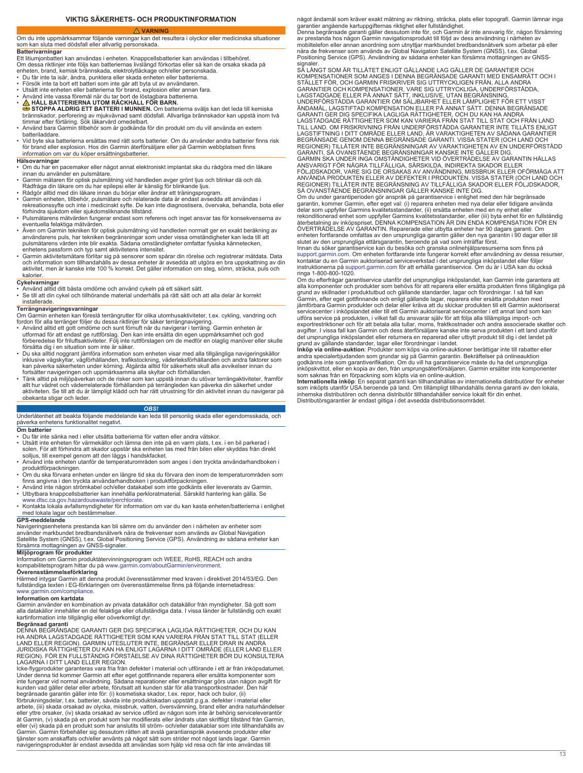# **VARNING**

<span id="page-12-0"></span>Om du inte uppmärksammar följande varningar kan det resultera i olyckor eller medicinska situationer som kan sluta med dödsfall eller allvarlig personskada.

**Batterivarningar**<br>Ett litiumjonbatteri kan användas i enheten. Knappcellsbatterier kan användas i tillbehöret.

- Om dessa riktlinjer inte följs kan batteriernas livslängd förkortas eller så kan de orsaka skada på
- enheten, brand, kemisk brännskada, elektrolytläckage och/eller personskada. Du får inte ta isär, ändra, punktera eller skada enheten eller batterierna.
- Försök inte ta bort ett batteri som inte går att byta ut av användaren.
- Utsätt inte enheten eller batterierna för brand, explosion eller annan fara. Använd inte vassa föremål när du tar bort de löstagbara batterierna.
- 
- **A HALL BATTERIERNA UTOM RACKHALL FÖR BARN.**<br>STOPPA ALDRIG ETT BATTERI I MUNNEN. Om batterierna sväljs kan det leda till kemiska<br>brännskador, perforering av mjukvävnad samt dödsfall. Allvarliga brännskador kan uppstå in
- Använd bara Garmin tillbehör som är godkända för din produkt om du vill använda en extern batteriladdare.
- Vid byte ska batterierna ersättas med rätt sorts batterier. Om du använder andra batterier finns risk för brand eller explosion. Hos din Garmin återförsäljare eller på Garmin webbplatsen finns information om var du köper ersättningsbatterier.

- **Hälsovarningar** Om du har en pacemaker eller något annat elektroniskt implantat ska du rådgöra med din läkare innan du använder en pulsmätare.
- Garmin mätaren för optisk pulsmätning vid handleden avger grönt ljus och blinkar då och då. Rådfråga din läkare om du har epilepsi eller är känslig för blinkande ljus.
- 
- Rådgör alltid med din läkare innan du börjar eller ändrar ett träningsprogram.<br>• Garmin enheten, tillbehör, pulsmätare och relaterade data är endast avsedda att användas i<br>rekreationssyfte och inte i medicinskt syfte. De
- Pulsmätarens mätvärden fungerar endast som referens och inget ansvar tas för konsekvenserna av eventuella felaktiga mätvärden.
- Åven om Garmin tekniken för optisk pulsmätning vid handleden normalt ger en exakt beräkning av<br> användarens puls, har tekniken begränsningar som under vissa omständigheter kan leda till att<br> pulsmätarens värden inte enhetens passform och typ samt aktivitetens intensitet.
- ∙ Garmin aktivitetsmätare förlitar sig på sensorer som spårar din rörelse och registrerar mätdata. Data<br>• och information som tillhandahålls av dessa enheter är avsedda att utgöra en bra uppskattning av din<br>• aktivitet, kalorier.

- **Cykelvarningar** Använd alltid ditt bästa omdöme och använd cykeln på ett säkert sätt.
- Se till att din cykel och tillhörande material underhålls på rätt sätt och att alla delar är korrekt installerade.

**Terrängnavigeringsvarningar**<br>Om Garmin enheten kan föreslå terrängrutter för olika utomhusaktiviteter, t.ex. cykling, vandring och fordon för alla terränger följer du dessa riktlinjer för säker terrängnavigering.

- Använd alltid ett gott omdöme och sunt förnuft när du navigerar i terräng. Garmin enheten är<br> utformad för att endast ge rutförslag. Den kan inte ersätta din egen uppmärksamhet och god<br> förberedelse för friluftsaktivi
- försätta dig i en situation som inte är säker. Du ska alltid noggrant jämföra information som enheten visar med alla tillgängliga navigeringskällor inklusive vägskyltar, vägförhållanden, trafikstockning, väderleksförhållanden och andra faktorer som<br>kan påverka säkerheten under körning. Åtgärda alltid för säkerhets skull alla avvikelser innan du<br>fortsätter navigeringe
- allt hur vädret och väderrelaterade förhållanden på terrängleden kan påverka din säkerhet under aktiviteten. Se till att du är lämpligt klädd och har rätt utrustning för din aktivitet innan du navigerar på obekanta stigar och leder.

# *OBS!*

Underlåtenhet att beakta följande meddelande kan leda till personlig skada eller egendomsskada, och påverka enhetens funktionalitet negativt.

# **Om batterie**

- 
- Du får inte sänka ned i eller utsätta batterierna för vatten eller andra vätskor.<br>• Utsätt inte enheten för värmekällor och lämna den inte på en varm plats, t.ex. i en bil parkerad i<br>• solen. För att förhindra att ska
- solljus, till exempel genom att den läggs i handskfacket. Använd inte enheten utanför de temperaturområden som anges i den tryckta användarhandboken i produktförpackningen.
- Om du ska förvara enheten under en längre tid ska du förvara den inom de temperaturområden som<br> finns angivna i den tryckta användarhandboken i produktförpackningen.<br>• Använd inte någon strömkabel och/eller datakab
- 
- Utbytbara knappcellsbatterier kan innehålla perkloratmaterial. Särskild hantering kan gälla. Se<br>- [www.dtsc.ca.gov.hazardouswaste/perchlorate](http://www.dtsc.ca.gov/hazardouswaste/perchlorate).<br>• Kontakta lokala avfallsmyndigheter för information om var du kan kasta enhet

# med lokala lagar och bestämmelser.

**GPS-meddelande** Navigeringsenhetens prestanda kan bli sämre om du använder den i närheten av enheter som använder markbundet bredbandsnätverk nära de frekvenser som används av Global Navigation<br>Satellite System (GNSS), t.ex. Global Positioning Service (GPS). Användning av sådana enheter kan<br>försämra mottagningen av GNSS-signa

**Miljöprogram för produkter**<br>Information om Garmin produktåtervinningsprogram och WEEE, RoHS, REACH och andra kompabilitetsprogram hittar du på [www.garmin.com/aboutGarmin/environment.](http://www.garmin.com/aboutGarmin/environment)

**Överensstämmelseförklaring**

Härmed intygar Garmin att denna produkt överensstämmer med kraven i direktivet 2014/53/EG. Den fullständiga texten i EG-förklaringen om överensstämmelse finns på följande internetadress: [www.garmin.com/compliance](http://www.garmin.com/compliance).

# **Information om kartdata**

Garmin använder en kombination av privata datakällor och datakällor från myndigheter. Så gott som<br>alla datakällor innehåller en del felaktiga eller ofullständiga data. I vissa länder är fullständig och exakt<br>kartinformatio

**Begränsad garanti<br>DENNA BEGRÄNSADE GARANTI GER DIG SPECIFIKA LAGLIGA RÄTTIGHETER. OCH DU KAN** DENNA BEGRÄNSADE GARANTI GER DIG SPECIFIKA LAGLIGA RÄTTIGHETER, OCH DU KAN<br>HA ANDRA LAGSTADGADE RÄTTIGHETER SOM KAN VARIERA FRÅN STAT TILL STAT (ELLER<br>LAND ELLER REGION). GARMIN UTESLUTER INTE, BEGRÄNSAR ELLER DRAR IN ANDR LAGARNA I DITT LAND ELLER REGION.

lcke-flygprodukter garanteras vara fria från defekter i material och utförande i ett år från inköpsdatumet.<br>Under denna tid kommer Garmin att efter eget gottfinnande reparera eller ersätta komponenter som<br>inte fungerar vid

förbrukningsdelar, t.ex. batterier, såvida inte produktskadan uppstått p.g.a. defekter i material eller arbete, (iii) skada orsakad av olycka, missbruk, vatten, översvämning, brand eller andra naturhändelser<br>eller yttre orsaker, (iv) skada orsakad av service utförd av någon som inte är behörig serviceleverantör<br>åt Garmin, (v eller (vi) skada på en produkt som har anslutits till ström- och/eller datakablar som inte tillhandahålls av Garmin. Garmin förbehåller sig dessutom rätten att avslå garantianspråk avseende produkter eller tjänster som anskaffats och/eller använts på något sätt som strider mot något lands lagar. Garmin navigeringsprodukter är endast avsedda att användas som hjälp vid resa och får inte användas till

något ändamål som kräver exakt mätning av riktning, sträcka, plats eller topografi. Garmin lämnar inga<br>garantier angående kartuppgifternas riktighet eller fullständighet.<br>Denna begränsade garanti gäller dessutom inte för,

signaler.<br>SÅ LÅNGT SOM ÄR TILLÅTET ENLIGT GÄLLANDE LAG GÄLLER DE GARANTIER OCH<br>KOMPENSATIONER SOM ANGES I DENNA BEGRÄNSADE GARANTI MED ENSAMRÄTT OCH I<br>STÄLLET FÖR, OCH GARMIN FRISKRIVER SIG UTTRYCKLIGEN FRÅN, ALLA ANDRA<br>GA LAGSTADGADE ELLER PÅ ANNAT SÄTT, INKLUSIVE, UTAN BEGRÄNSNING,<br>UNDERFÖRSTÅDDA GARANTIER OM SÄLJBARHET ELLER LÄMPLIGHET FÖR ETT VISST<br>ÄNDAMÅL, LAGSTIFTAD KOMPENSATION ELLER PÅ ANNAT SÄTT. DENNA BEGRÄNSADE<br>GARANTI GER DIG SPE LAGSTADGADE RÄTTIGHETER SOM KAN VARIERA FRAN STAT TILL STAT OCH FRAN LAND<br>TILL LAND. OM FRISKRIVNING FRÅN UNDERFÖRSTÅDDA GARANTIER INTE TILLÅTS ENLIGT<br>LAGSTIFTNING I DITT OMRÅDE ELLER LAND, ÄR VARAKTIGHETEN AV SÅDANA GARAN REGIONER) TILLÅTER INTE BEGRÄNSNINGAR AV VARAKTIGHETEN AV EN UNDERFÖRSTÅDD GARANTI, SÅ OVANSTÅENDE BEGRÄNSNINGAR KANSKE INTE GÄLLER DIG.

GARMIN SKA UNDER INGA OMSTÄNDIGHETER VID ÖVERTRÄDELSE AV GARANTIN HALLAS<br>ANSVARIGT FÖR NÅGRA TILLFÄLLIGA, SÄRSKILDA, INDIREKTA SKADOR ELLER<br>FÖLJDSKADOR, VARE SIG DE ORSAKAS AV ANVÄNDNING, MISSBRUK ELLER OFÖRMÅGA ATT<br>ANVÄND REGIONER) TILLÅTER INTE BEGRÄNSNING AV TILLFÄLLIGA SKADOR ELLER FÖLJDSKADOR,

SÅ OVANSTÄENDE BEGRÄNSNINGAR GÄLLER KANSKE INTE DIG.<br>Om du under gramtiperioden gör anspräk på gramtiservice i enlighet med den här begränsade<br>garantin, kommer Garmin, efter eget val: (i) reparera enheten med nya delar ell

slutet av den ursprungliga ettårsgarantin, beroende på vad som inträffar först.<br>Innan du söker garantiservice kan du besöka och granska onlinehjälpsresurserna som finns på<br>[support.garmin.com.](http://www.support.garmin.com) Om enheten fortfarande inte fu ringa 1-800-800-1020.

Om du efterfrågar garantiservice utanför det ursprungliga inköpslandet, kan Garmin inte garantera att<br>alla komponenter och produkter som behövs för att reparera eller ersätta produkten finns tillgängliga på<br>grund av skilln jämförbara Garmin produkter och delar eller kräva att du skickar produkten till ett Garmin auktoriserat<br>servicecenter i inköpslandet eller till ett Garmin auktoriserat servicecenter i ett annat land som kan<br>utföra service det ursprungliga inköpslandet eller returnera en reparerad eller utbytt produkt till dig i det landet på

grund av gällande standarder, lagar eller förordningar i landet.<br>I**nköp via online-auktio**n: Produkter som köps via online-auktioner berättigar inte till rabatter eller<br>andra specialerbjudanden som grundar sig på Garmin ga

som saknas från en förpackning som köpts via en online-auktion.<br>**Internationella inköp**: En separat garanti kan tillhandahållas av internationella distributörer för enheter<br>som inköpts utanför USA beroende på land. Om till Distributörsgarantier är endast giltiga i det avsedda distributionsområdet.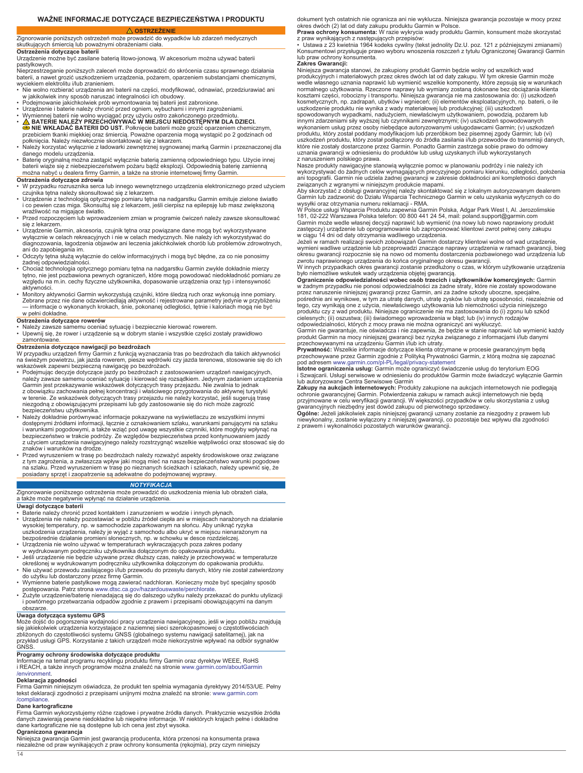# **WAŻNE INFORMACJE DOTYCZĄCE BEZPIECZEŃSTWA I PRODUKTU**

# <span id="page-13-0"></span> **OSTRZEŻENIE** Zignorowanie poniższych ostrzeżeń może prowadzić do wypadków lub zdarzeń medycznych

skutkujących śmiercią lub poważnymi obrażeniami ciała.

# **Ostrzeżenia dotyczące baterii**

Urządzenie możne być zasilane baterią litowo-jonową. W akcesorium można używać baterii pastylkowych.

Nieprzestrzeganie poniższych zaleceń może doprowadzić do skrócenia czasu sprawnego działania baterii, a nawet grozić uszkodzeniem urządzenia, pożarem, oparzeniem substancjami chemicznymi, wyciekiem elektrolitu i/lub zranieniem.

- Nie wolno rozbierać urządzenia ani baterii na części, modyfikować, odnawiać, przedziurawiać ani<br>– w jakikolwiek inny sposób naruszać integralności ich obudowy.<br>• Podejmowanie jakichkolwiek prób wymontowania tej baterii j
- 
- 
- Urządzenie i baterie należy chronić przed ogniem, wybuchami i innymi zagrożeniami.<br>• Wymiennej baterii nie wolno wyciągać przy użyciu ostro zakończonego przedmiotu.<br>• <u>∧ β</u> BATERIE NALEŻY PRZECHOWYWAĆ W MIEJSCU NIEDOST
- **⊜ NIE WKŁADAĊ BATERII DO UST.** Połknięcie baterii może grozić oparzeniem chemicznym,<br>przebiciem tkanki miękkiej oraz śmiercią. Poważne oparzenia mogą wystąpić po 2 godzinach od
- połknięcia. Należy niezwłocznie skontaktować się z lekarzem. Należy korzystać wyłącznie z ładowarki zewnętrznej sygnowanej marką Garmin i przeznaczonej dla danego modelu urządzenia. • Baterię oryginalną można zastąpić wyłącznie baterią zamienną odpowiedniego typu. Użycie innej
- baterii wiąże się z niebezpieczeństwem pożaru bądź eksplozji. Odpowiednią baterię zamienną można nabyć u dealera firmy Garmin, a także na stronie internetowej firmy Garmin.

# **Ostrzeżenia dotyczące zdrowia**

- W przypadku rozrusznika serca lub innego wewnętrznego urządzenia elektronicznego przed użyciem czujnika tętna należy skonsultować się z lekarzem.
- Urządzenie z technologią optycznego pomiaru tętna na nadgarstku Garmin emituje zielone światło<br> i co pewien czas miga. Skonsultuj się z lekarzem, jeśli cierpisz na epilepsję lub masz zwiększoną<br> wrażliwość na migając
- Przed rozpoczęciem lub wprowadzeniem zmian w programie ćwiczeń należy zawsze skonsultować się z lekarzem.
- Urządzenie Garmin, akcesoria, czujnik tętna oraz powiązane dane mogą być wykorzystywane wyłącznie w celach rekreacyjnych i nie w celach medycznych. Nie należy ich wykorzystywać do diagnozowania, łagodzenia objawów ani leczenia jakichkolwiek chorób lub problemów zdrowotnych, ani do zapobiegania im.
- Odczyty tętna służą wyłącznie do celów informacyjnych i mogą być błędne, za co nie ponosimy żadnej odpowiedzialności.
- Chociaż technologia optycznego pomiaru tętna na nadgarstku Garmin zwykle dokładnie mierzy<br>tętno, nie jest pozbawiona pewnych ograniczeń, które mogą powodować niedokładność pomiaru ze<br>względu na m.in. cechy fizyczne użyt aktywności.
- Monitory aktywności Garmin wykorzystują czujniki, które śledzą ruch oraz wykonują inne pomiary.<br>Zebrane przez nie dane odzwierciedlają aktywność i rejestrowane parametry jedynie w przybliżeniu<br>informacje o wykonanych kr w pełni dokładne

- **Ostrzeżenia dotyczące rowerów** Należy zawsze samemu oceniać sytuację i bezpiecznie kierować rowerem.
- Upewnij się, że rower i urządzenie są w dobrym stanie i wszystkie części zostały prawidłowo zamontowane.

**Ostrzeżenia dotyczące nawigacji po bezdrożach** W przypadku urządzeń firmy Garmin z funkcją wyznaczania tras po bezdrożach dla takich aktywności na świeżym powietrzu, jak jazda rowerem, piesze wędrówki czy jazda terenowa, stosowanie się do ich

- wskazówek zapewni bezpieczną nawigację po bezdrożach.<br>• Podejmując decyzje dotyczące jazdy po bezdrożach z zastosowaniem urządzeń nawigacyjnych,<br>• należy zawsze samemu oceniać sytuację i kierować się rozsądkiem. Jedynym z Garmin jest przekazywanie wskazówek dotyczących trasy przejazdu. Nie zwalnia to jednak z obowiązku zachowania pełnej koncentracji i właściwego przygotowania do aktywnej turystyki w terenie. Ze wskazówek dotyczących trasy przejazdu nie należy korzystać, jeśli sugerują trasę niezgodną z obowiązującymi przepisami lub gdy zastosowanie się do nich może zagrozić bezpieczeństwu użytkownika.
- Należy dokładnie porównywać informacje pokazywane na wyświetlaczu ze wszystkimi innymi dostępnymi źródłami informacji, łącznie z oznakowaniem szlaku, warunkami panującymi na szlaku<br>i warunkami pogodowymi, a także wziąć pod uwagę wszystkie czynniki, które mogłyby wpłynąć na<br>bezpieczeństwo w trakcie podróży. Z z użyciem urządzenia nawigacyjnego należy rozstrzygnąć wszelkie wątpliwości oraz stosować się do znaków i warunków na drodze.
- Przed wyruszeniem w trasę po bezdrożach należy rozważyć aspekty środowiskowe oraz związane<br>z tym zagrożenia, a zwłaszcza wpływ jaki mogą mieć na nasze bezpieczeństwo warunki pogodowe<br>na szlaku. Przed wyruszeniem w trasę

# *NOTYFIKACJA*

Zignorowanie poniższego ostrzeżenia może prowadzić do uszkodzenia mienia lub obrażeń ciała, a także może negatywnie wpłynąć na działanie urządzenia.

### **Uwagi dotyczące baterii**

- Baterie należy chronić przed kontaktem i zanurzeniem w wodzie i innych płynach.
- Urządzenia nie należy pozostawiać w pobliżu źródeł ciepła ani w miejscach narażonych na działanie wysokiej temperatury, np. w samochodzie zaparkowanym na słońcu. Aby uniknąć ryzyka
- uszkodzenia urządzenia, należy je wyjąć z samochodu albo ukryć w miejscu nienarażonym na bezpośrednie działanie promieni słonecznych, np. w schowku w desce rozdzielczej. • Urządzenia nie wolno używać w temperaturach wykraczających poza zakres podany
- 
- w wydrukowanym podręczniku użytkownika dołączonym do opakowania produktu. Jeśli urządzenie nie będzie używane przez dłuższy czas, należy je przechowywać w temperaturze
- określonej w wydrukowanym podręczniku użytkownika dołączonym do opakowania produktu.<br>• Nie używać przewodu zasilającego i/lub przewodu do przesyłu danych, który nie został zatwierdzony<br>• do użytku lub dostarczony przez fi
- Wymienne baterie pastylkowe mogą zawierać nadchloran. Konieczny może być specjalny sposób
- postępowania. Patrz strona [www.dtsc.ca.gov/hazardouswaste/perchlorate](http://www.dtsc.ca.gov/hazardouswaste/perchlorate). Zużyte urządzenie/baterię nienadającą się do dalszego użytku należy przekazać do punktu utylizacji i powtórnego przetwarzania odpadów zgodnie z prawem i przepisami obowiązującymi na danym obszarze.

**Uwaga dotycząca systemu GPS** Może dojść do pogorszenia wydajności pracy urządzenia nawigacyjnego, jeśli w jego pobliżu znajdują<br>się jakiekolwiek urządzenia korzystające z naziemnej sieci szerokopasmowej o częstotliwościach<br>zbliżonych do częstotliwości

# **Programy ochrony środowiska dotyczące produktu**

Informacje na temat programu recyklingu produktu firmy Garmin oraz dyrektyw WEEE, RoHS i REACH, a także innych programów można znaleźć na stronie [www.garmin.com/aboutGarmin](http://www.garmin.com/aboutGarmin/environment) [/environment.](http://www.garmin.com/aboutGarmin/environment)

# **Deklaracja zgodności**

Firma Garmin niniejszym oświadcza, że produkt ten spełnia wymagania dyrektywy 2014/53/UE. Pełny tekst deklaracji zgodności z przepisami unijnymi można znaleźć na stronie: [www.garmin.com](http://www.garmin.com/compliance) [/compliance](http://www.garmin.com/compliance).

### **Dane kartograficzne**

14

Firma Garmin wykorzystujemy różne rządowe i prywatne źródła danych. Praktycznie wszystkie źródła danych zawierają pewne niedokładne lub niepełne informacje. W niektórych krajach pełne i dokładne dane kartograficzne nie są dostępne lub ich cena jest zbyt wysoka.

**Ograniczona gwarancja**

Niniejsza gwarancja Garmin jest gwarancją producenta, która przenosi na konsumenta prawa niezależne od praw wynikających z praw ochrony konsumenta (rękojmia), przy czym niniejszy

dokument tych ostatnich nie ogranicza ani nie wyklucza. Niniejsza gwarancja pozostaje w mocy przez okres dwóch (2) lat od daty zakupu produktu Garmin w Polsce.

**Prawa ochrony konsumenta:** W razie wykrycia wady produktu Garmin, konsument może skorzystać<br>z praw wynikających z następujących przepisów:<br>• Ustawa z 23 kwietnia 1964 kodeks cywilny (tekst jednolity Dz.U. poz. 121 z późni

lub praw ochrony konsumenta.

# **Zakres Gwarancji:**

Niniejsza gwarancja stanowi, że zakupiony produkt Garmin będzie wolny od wszelkich wad<br>produkcyjnych i materiałowych przez okres dwóch lat od daty zakupu. W tym okresie Garmin może<br>wedle własnego uznania naprawić lub wymie normalnego użytkowania. Rzeczone naprawy lub wymiany zostaną dokonane bez obciążania klienta kosztami części, robocizny i transportu. Niniejsza gwarancja nie ma zastosowania do: (i) uszkodzeń kosmetycznych, np. zadrapań, ubytków i wgnieceń; (ii) elementów eksploatacyjnych, np. baterii, o ile uszkodzenie produktu nie wynika z wady materiałowej lub produkcyjnej; (iii) uszkodzeń

spowodowanych wypadkami, nadużyciem, niewłaściwym użytkowaniem, powodzią, pożarem lub innymi zdarzeniami siły wyższej lub czynnikami zewnętrznymi; (iv) uszkodzeń spowodowanych wykonaniem usług przez osoby niebędące autoryzowanymi usługodawcami Garmin; (v) uszkodzeń produktu, który został poddany modyfikacjom lub przeróbkom bez pisemnej zgody Garmin; lub (vi) uszkodzeń produktu, który został podłączony do źródła zasilania i/lub przewodów do transmisji danych,<br>które nie zostały dostarczone przez Garmin. Ponadto Garmin zastrzega sobie prawo do odmowy<br>uznania gwarancji w odniesien z naruszeniem polskiego prawa.

Nasze produkty nawigacyjne stanowią wyłącznie pomoc w planowaniu podróży i nie należy ich<br>wykorzystywać do żadnych celów wymagających precyzyjnego pomiaru kierunku, odległości, położenia<br>ani topografii. Garmin nie udziela

związanych z wgranymi w niniejszym produkcie mapami. Aby skorzystać z obsługi gwarancyjnej należy skontaktować się z lokalnym autoryzowanym dealerem Garmin lub zadzwonić do Działu Wsparcia Technicznego Garmin w celu uzyskania wytycznych co do<br>wysyłki oraz otrzymania numeru reklamacji - RMA.<br>W Polsce usługi Wsparcia Produktu zapewnia Garmin Polska, Adgar Park West I, Al

Garmin może wedle własnej decyzji naprawić lub wymienić (na nowy lub nowo naprawiony produkt zastępczy) urządzenie lub oprogramowanie lub zaproponować klientowi zwrot pełnej ceny zakupu w ciągu 14 dni od daty otrzymania wadliwego urządzenia.

Jeżeli w ramach realizacji swoich zobowiązań Garmin dostarczy klientowi wolne od wad urządzenie,<br>wymieni wadliwe urządzenie lub przeprowadzi znaczące naprawy urządzenia w ramach gwarancji, bieg<br>okresu gwarancji rozpocznie

**Ograniczenie odpowiedzialności wobec osób trzecich i użytkowników komercyjnych:** Garmin<br>w żadnym przypadku nie ponosi odpowiedzialności za żadne straty, które nie zostały spowodowane<br>przez naruszenie niniejszej gwarancji tego, czy wynikają one z użycia, niewłaściwego użytkowania lub niemożności użycia niniejszego produktu czy z wad produktu. Niniejsze ograniczenie nie ma zastosowania do (i) zgonu lub szkód cielesnych; (ii) oszustwa; (iii) świadomego wprowadzenia w błąd; lub (iv) innych rodzajów<br>odpowiedzialności, których z mocy prawa nie można ograniczyć ani wykluczyć.<br>Garmin nie gwarantuje, nie oświadcza i nie zapewnia, że

produkt Garmin na mocy niniejszej gwarancji bez ryzyka związanego z informacjami i/lub danymi

przechowywanymi na urządzeniu Garmin i/lub ich utraty.<br>**Prywatność:** Wszelkie informacje dotyczące klienta otrzymane w procesie gwarancyjnym będą<br>przechowywane przez Garmin zgodnie z Polityką Prywatności Garmin, z którą mo

i Szwajcarii. Usługi serwisowe w odniesieniu do produktów Garmin może świadczyć wyłącznie Garmin lub autoryzowane Centra Serwisowe Garmin

**Zakupy na aukcjach internetowych:** Produkty zakupione na aukcjach internetowych nie podlegają<br>ochronie gwarancyjnej Garmin. Potwierdzenia zakupu w ramach aukcji internetowych nie będą

przyjmowane w celu weryfikacji gwarancji. W większości przypadków w celu skorzystania z usług<br>Qydner. Jeżeli jakikolwiek zapis niniejszej gwarancji uznany zostanie za niezgodny z prawem lub<br>Ogólne: Jeżeli jakikolwiek zapis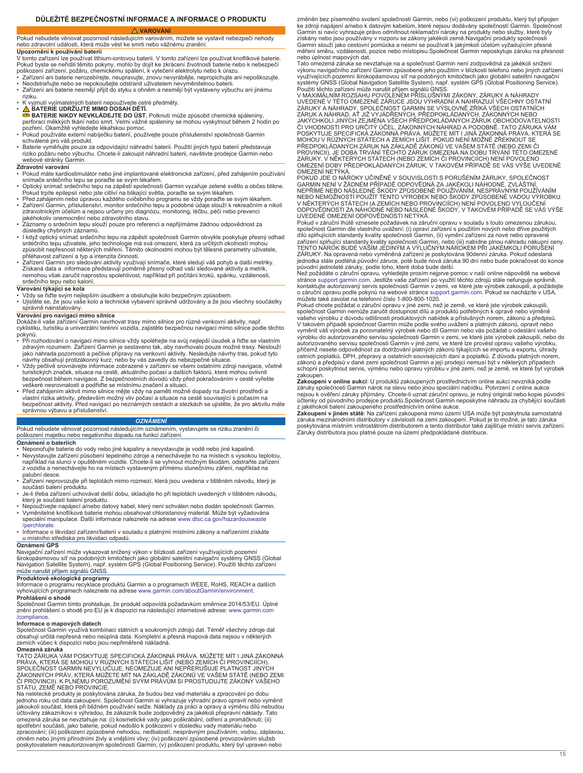# <span id="page-14-0"></span>**DŮLEŽITÉ BEZPEČNOSTNÍ INFORMACE A INFORMACE O PRODUKTU**

# **VAROVÁNÍ**

Pokud nebudete věnovat pozornost následujícím varováním, můžete se vystavit nebezpečí nehody nebo zdravotní události, která může vést ke smrti nebo vážnému zranění. **Upozornění k používání baterií**

V tomto zařízení lze používat lithium-iontovou baterii. V tomto zařízení lze používat knoflíkové baterie. Pokud byste se neřídili těmito pokyny, mohlo by dojít ke zkrácení životnosti baterie nebo k nebezpečí poškození zařízení, požáru, chemickému spálení, k vytečení elektrolytu nebo k úrazu. • Zařízení ani baterie nerozebírejte, neupravujte, znovu nevyrábějte, nepropichujte ani nepoškozujte.

- Neodstraňujte nebo se nepokoušejte odstranit uživatelem nevyměnitelnou baterii.
- Zařízení ani baterie nesmějí přijít do styku s ohněm a nesmějí být vystaveny výbuchu ani jinému
- 
- 
- riziku.<br>• K vyjmutí vyjímatelných baterií nepoužívejte ostré předměty.<br>• <mark>△ BATERIE UDRŽUJTE MIMO DOSAH DĚTÍ.</mark><br>● BATERIE NIKDY NEVKLÁDEJTE DO ÚST. Polknutí může způsobit chemické spáleniny,<br>perforaci měkkých tkání nebo sm pozření. Okamžitě vyhledejte lékařskou pomoc. • Pokud používáte externí nabíječku baterií, používejte pouze příslušenství společnosti Garmin
- schválené pro váš produkt. Baterie vyměňujte pouze za odpovídající náhradní baterii. Použití jiných typů baterií představuje
- riziko požáru nebo výbuchu. Chcete-li zakoupit náhradní baterii, navštivte prodejce Garmin nebo webové stránky Garmin.

# **Zdravotní varování**

- Pokud máte kardiostimulátor nebo jiné implantované elektronické zařízení, před zahájením používání<br> snímače srdečního tepu se poraďte se svým lékařem.<br>• Optický snímač srdečního tepu na zápěstí společnosti Garmin vy
- 
- Pokud trpíte epilepsií nebo jste citliví na blikající světla, poraďte se svým lékařem.<br>• Před zahájením nebo úpravou každého cvičebního programu se vždy poraďte se svým lékařem.<br>• Zařízení Garmin, příslušenství, monitor sr
- jakéhokoliv onemocnění nebo zdravotního stavu. Záznamy o srdečním tepu slouží pouze pro referenci a nepřijímáme žádnou odpovědnost za
- důsledky chybných záznamů. • I když optický snímač srdečního tepu na zápěstí společnosti Garmin obvykle poskytuje přesný odhad<br> srdečního tepu uživatele, jeho technologie má svá omezení, která za určitých okolností mohou<br> způsobit nepřesnost někt
- přiléhavost zařízení a typ a intenzita činnosti. Zařízení Garmin pro sledování aktivity využívají snímače, které sledují váš pohyb a další metriky. Získaná data a informace představují poměrně přesný odhad vaší sledované aktivity a metrik, nemohou však zaručit naprostou spolehlivost, například při počítání kroků, spánku, vzdálenosti, srdečního tepu nebo kalorií.

# **Varování týkající se kola**

• Vždy se řiďte svým nejlepším úsudkem a obsluhujte kolo bezpečným způsobem. • Ujistěte se, že jsou vaše kolo a technické vybavení správně udržovány a že jsou všechny součástky správně nainstalovány.

### **Varování pro navigaci mimo silnice**

Dokáže-li vaše zařízení Garmin navrhovat trasy mimo silnice pro různé venkovní aktivity, např. cyklistiku, turistiku a univerzální terénní vozidla, zajistěte bezpečnou navigaci mimo silnice podle těchto

- pokynů. Při rozhodování o navigaci mimo silnice vždy spoléhejte na svůj nejlepší úsudek a řiďte se vlastním zdravým rozumem. Zařízení Garmin je sestaveno tak, aby navrhovalo pouze možné trasy. Neslouží jako náhrada pozornosti a pečlivé přípravy na venkovní aktivity. Nesledujte návrhy tras, pokud tyto
- návrhy obsahují protizákonný kurz, nebo by vás zavedly do nebezpečné situace.<br>• Vždy pečlivě srovnávejte informace zobrazené v zařízení se všemi ostatními zdroji navigace, včetně<br>turistických značek, situace na cestě, aktu
- veškeré nesrovnalosti a podřiďte se místnímu značení a situaci. Před zahájením aktivit mimo silnice mějte vždy na paměti možné dopady na životní prostředí a vlastní rizika aktivity, především možný vliv počasí a situace na cestě související s počasím na<br>bezpečnost aktivity. Před navigací po neznámých cestách a stezkách se ujistěte, že pro aktivitu máte<br>správnou výbavu a příslu

# *OZNÁMENÍ*

Pokud nebudete věnovat pozornost následujícím oznámením, vystavujete se riziku zranění či poškození majetku nebo negativního dopadu na funkci zařízení.

**Oznámení o bateriích**

- Neponořujte baterie do vody nebo jiné kapaliny a nevystavujte je vodě nebo jiné kapalině. • Nevystavujte zařízení působení tepelného zdroje a nenechávejte ho na místech s vysokou teplotou, například na slunci v opuštěném vozidle. Chcete-li se vyhnout možným škodám, odstraňte zařízení z vozidla a nenechávejte ho na místech vystaveným přímému slunečnímu záření, například na
- palubní desce. Zařízení neprovozujte při teplotách mimo rozmezí, která jsou uvedena v tištěném návodu, který je součástí balení produktu.
- Je-li třeba zařízení uchovávat delší dobu, skladujte ho při teplotách uvedených v tištěném návodu, který je součástí balení produktu.
- Nepoužívejte napájecí a/nebo datový kabel, který není schválen nebo dodán společností Garmin. Vyměnitelné knoflíkové baterie mohou obsahovat chloristanový materiál. Může být vyžadována speciální manipulace. Další informace naleznete na adrese [www.dtsc.ca.gov/hazardouswaste](http://www.dtsc.ca.gov/hazardouswaste/perchlorate)
- [/perchlorate.](http://www.dtsc.ca.gov/hazardouswaste/perchlorate) • Informace o likvidaci zařízení/baterií v souladu s platnými místními zákony a nařízeními získáte u místního střediska pro likvidaci odpadů.

# **Oznámení GPS**

Navigační zařízení může vykazovat snížený výkon v blízkosti zařízení využívajících pozemní širokopásmovou síť na podobných kmitočtech jako globální satelitní navigační systémy GNSS (Global Navigation Satellite System), např. systém GPS (Global Positioning Service). Použití těchto zařízení může narušit příjem signálů GNSS.

**Produktové ekologické programy**<br>Informace o programu recyklace produktů Garmin a o programech WEEE, RoHS, REACH a dalších<br>vyhovujících programech naleznete na adrese [www.garmin.com/aboutGarmin/environment](http://www.garmin.com/aboutGarmin/environment).

# **Prohlášení o shodě**

Společnost Garmin tímto prohlašuje, že produkt odpovídá požadavkům směrnice 2014/53/EU. Úplné znění prohlášení o shodě pro EU je k dispozici na následující internetové adrese: [www.garmin.com](http://www.garmin.com/compliance) [/compliance](http://www.garmin.com/compliance).

# **Informace o mapových datech**

Společnost Garmin využívá kombinaci státních a soukromých zdrojů dat. Téměř všechny zdroje dat obsahují určitá nepřesná nebo neúplná data. Kompletní a přesná mapová data nejsou v některých zemích vůbec k dispozici nebo jsou nepřiměřeně nákladná.

**Omezená záruka**<br>TATO ZÁRUKA VÁM POSKYTUJE SPECIFICKÁ ZÁKONNÁ PRÁVA. MŮŽETE MÍT I JINÁ ZÁKONNÁ PRÁVA, KTERÁ SE MOHOU V RŮZNÝCH STÁTECH LIŠIT (NEBO ZEMÍCH ČI PROVINCIÍCH). SPOLEČNOST GARMIN NEVYLUČUJE, NEOMEZUJE ANI NEPRERUSUJE PLATNOST JINÝCH<br>ZÁKONNÝCH PRÁV, KTERÁ MŮŽETE MÍT NA ZÁKLADĚ ZÁKONŮ VE VAŠEM STÁTĚ (NEBO ZEMI<br>ČI PROVINCII). K PLNÉMU POROZUMĚNÍ SVÝM PRÁVŮM SI PROSTUDUJTE ZÁKONY VAŠE STÁTU, ZEMĚ NEBO PROVINCIE.

Na neletecké produkty je poskytována záruka, že budou bez vad materiálu a zpracování po dobu<br>jednoho roku od data zakoupení. Splolečnost Garmin si vyhrazuje výhradní právo opravit nebo vyměnit<br>jakoukoli součást, která při ohněm nebo jinými přírodními živly a vnějšími vlivy; (iv) poškození způsobené provozováním služeb poskytovatelem neautorizovaným společností Garmin; (v) poškození produktu, který byl upraven nebo

změněn bez písemného svolení společnosti Garmin, nebo (vi) poškození produktu, který byl připojen ke zdroji napájení a/nebo k datovým kabelům, které nejsou dodávány společností Garmin. Společnost Garmin si navíc vyhrazuje právo odmítnout reklamační nároky na produkty nebo služby, které byly<br>získány nebo jsou používány v rozporu se zákony jakékoli země.Navigační produkty společnosti<br>Garmin slouží jako cestovní pomůc měření směru, vzdálenosti, pozice nebo místopisu.Společnost Garmin neposkytuje záruku na přesnost nebo úplnost mapových dat.

Tato omezená záruka se nevztahuje na a společnost Garmin není zodpovědná za jakékoli snížení<br>výkonu navígačního zařízení Garmin způsobené jeho použitím v blízkosti telefonů nebo jiných zařízení<br>využívajících pozemní široko

Použití těchto zařízení může narušit příjem signálů GNSS.<br>V MAXIMÁLNÍM ROZSAHU POVOLENÉM PŘÍSLUŠNÝMI ZÁKONY, ZÁRUKY A NÁHRADY<br>UVEDENÉ V TÉTO OMEZENÉ ZÁRUCE JSOU VÝHRADNÍ A NAHRAZUJÍ VŠECHNY OSTATNÍ<br>ZÁRUKY A NÁHRADY. SPOLEČ JAKÝCHKOLI JINÝCH ZEJMÉNA VŠECH PŘEDPOKLÁDANÝCH ZÁRUK OBCHODOVATELNOSTI<br>ČI VHODNOSTI PRO URČITÝ ÚČEL, ZÁKONNÝCH NÁHRAD A PODOBNĚ. TATO ZÁRUKA VÁM<br>POSKYTUJE SPECIFICKÁ ZÁKONNÁ PRÁVA. MŮŽETE MÍT I JINÁ ZÁKONNÁ PRÁVA, KTERÁ S PŘEDPOKLÁDANÝCH ZÁRUK NA ZÁKLADĚ ZÁKONŮ VE VAŠEM STÁTĚ (NEBO ZEMI ČI<br>PROVINCII), JE DOBA TRVÁNÍ TĚCHTO ZÁRUK OMEZENA NA DOBU TRVÁNÍ TÉTO OMEZENÉ ZÁRUKY. V NĚKTERÝCH STÁTECH (NEBO ZEMÍCH ČI PROVINCIÍCH) NENÍ POVOLENO<br>OMEZENÍ DOBY PŘEDPOKLÁDANÝCH ZÁRUK, V TAKOVÉM PŘÍPADĚ SE VÁS VÝŠE UVEDENÉ

OMEZENÍ NETÝKÁ.<br>POKUD JDE O NÁROKY UČINĚNÉ V SOUVISLOSTI S PORUŠENÍM ZÁRUKY, SPOLEČNOST<br>GARMIN NENÍ V ŽÁDNÉM PŘÍPADĚ ODPOVĚDNÁ ZA JAKÉKOLI NÁHODNÉ, ZVLÁŠTNÍ,<br>NEPŘÍMÉ NEBO NÁSLEDNÉ ŠKODY ZPŮSOBENÉ POUŽÍVÁNÍM, NESPRÁVNÝM POU UVEDENÉ OMEZENÍ ODPOVĚDNOSTI NETÝKÁ.

Pokud v záruční lhůtě vznesete požadavek na záruční opravu v souladu s touto omezenou zárukou,<br>společnost Garmin dle vlastního uvážení: (i) opraví zařízení s použitím nových nebo dříve použitých<br>dílů splňujících standardy ZARUKY. Na opravená nebo vyměněná zařízení je poskytována 90denní záruka. Pokud odeslaná<br>jednotka stále podléhá původní záruce, poté bude nová záruka 90 dní nebo bude pokračovat do konce<br>původní jednoleté záruky, podle toh

Než požádáte o záruční opravu, vyhledejte prosím nejprve pomoc v naší online nápovědě na webové stránce [support.garmin.com](http://www.support.garmin.com). Jestliže vaše zařízení po využití těchto zdrojů stále nefunguje správně,<br>kontaktujte autorizovaný servis společnosti Garmin v zemi, ve které jste výrobek zakoupili, a požádejte<br>o záruční opravu

Pokud chcete požádat o záruční opravu v jiné zemi, než je země, ve které jste výrobek zakoupili,<br>společnost Garmin nemůže zaručit dostupnost dílů a produktů potřebných k opravě nebo výměně<br>vašeho výrobku z důvodu odlišnost výrobku do autorizovaného servisu společnosti Garmin v zemi, ve které jste výrobek zakoupili, nebo do<br>autorizovaného servisu společnosti Garmin v jiné zemi, ve které lze provést opravu vašeho výrobku,<br>přičemž nesete odpově zákonů a předpisů v dané zemi společnost Garmin a její prodejci nemusí být v některých případech schopni poskytnout servis, výměnu nebo opravu výrobku v jiné zemi, než je země, ve které byl výrobek zakoupen

**Zakoupení v online aukci**: U produktů zakoupených prostřednictvím online aukcí nevzniká podle záruky společnosti Garmin nárok na slevu nebo jinou speciální nabídku. Potvrzení z online aukce<br>nejsou k ověření záruky přijímány. Chcete-li uznat záruční opravu, je nutný originál nebo kopie původní

účtenky od původního prodejce produktů.Společnost Garmin neposkytne náhradu za chybějící součásti<br>z jakéhokoli balení zakoupeného prostřednictvím online aukce.<br>Zakoupení v jiném státě: Na zařízení zakoupená mimo území USA Záruky distributora jsou platné pouze na území předpokládané distribuce.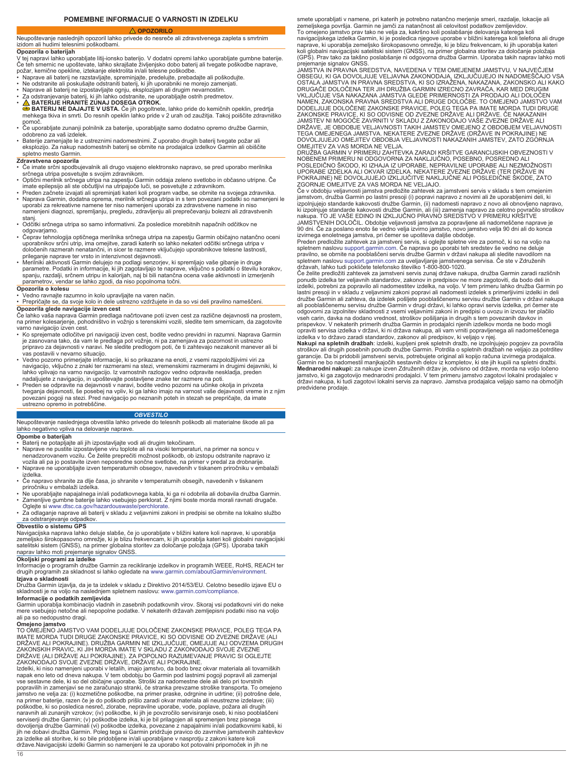# **OPOZORILO**

# <span id="page-15-0"></span>Neupoštevanje naslednjih opozoril lahko privede do nesreče ali zdravstvenega zapleta s smrtnim izidom ali hudimi telesnimi poškodbami.

# **Opozorila o baterijah**

V tej napravi lahko uporabljate litij-ionsko baterijo. V dodatni opremi lahko uporabljate gumbne baterije.<br>Če teh smernic ne upoštevate, lahko skrajšate življenjsko dobo baterij ali tvegate poškodbe naprave,

- 
- 
- požar, kemične opekline, iztekanje elektrolita in/ali telesne poškodbe.<br>• Naprave ali baterij ne razstavljajte, spreminjajte, predelujte, prebadajte ali poškodujte.<br>• Ne odstranite ali poskušajte odstraniti baterij, ki jih
- 
- <mark>A</mark> BATERIJE HRANITE ZUNAJ DOSEGA OTROK.<br>● BATERIJ NE DAJAJTE V USTA. Če jih pogoltnete, lahko pride do kemičnih opeklin, predrtja<br>□ mehkega tkiva in smrti. Do resnih opeklin lahko pride v 2 urah od zaužitja. Takoj po
- pomoč. Če uporabljate zunanji polnilnik za baterije, uporabljajte samo dodatno opremo družbe Garmin, odobreno za vaš izdelek.
- Baterije zamenjajte le z ustreznimi nadomestnimi. Z uporabo drugih baterij tvegate požar ali eksplozijo. Za nakup nadomestnih baterij se obrnite na prodajalca izdelkov Garmin ali obiščite spletno mesto Garmin.

- **Zdravstvena opozorila** Če imate srčni spodbujevalnik ali drugo vsajeno elektronsko napravo, se pred uporabo merilnika
- srčnega utripa posvetujte s svojim zdravnikom. Optični merilnik srčnega utripa na zapestju Garmin oddaja zeleno svetlobo in občasno utripne. Če imate epilepsijo ali ste občutljivi na utripajoče luči, se posvetujte z zdravnikom.
- Preden začnete izvajati ali spreminjati kateri koli program vadbe, se obrnite na svojega zdravnika. • Naprava Garmin, dodatna oprema, merilnik srčnega utripa in s tem povezani podatki so namenjeni le uporabi za rekreativne namene ter niso namenjeni uporabi za zdravstvene namene in niso
- namenjeni diagnozi, spremljanju, pregledu, zdravljenju ali preprečevanju bolezni ali zdravstvenih stanj. • Odčitki srčnega utripa so samo informativni. Za posledice morebitnih napačnih odčitkov ne
- odgovarjamo.
- ∙ Čeprav tehnologija optičnega merilnika srčnega utripa na zapestju Garmin običajno natančno oceni<br>uporabnikov srčni utrip, ima omejitve, zaradi katerih so lahko nekateri odčitki srčnega utripa v<br>določenih razmerah nena
- prileganje naprave ter vrsto in intenzivnost dejavnosti.<br>• Merilniki aktivnosti Garmin delujejo na podlagi senzorjev, ki spremljajo vaše gibanje in druge<br>parametre. Podatki in informacije, ki jih zagotavljajo te naprave, v parametrov, vendar se lahko zgodi, da niso popolnoma točni.
- **Opozorila o kolesu**
- Vedno ravnajte razumno in kolo upravljajte na varen način. Prepričajte se, da svoje kolo in dele ustrezno vzdržujete in da so vsi deli pravilno nameščeni.

**Opozorila glede navigacije izven cest**<br>Če lahko vaša naprava Garmin predlaga načrtovane poti izven cest za različne dejavnosti na prostem,<br>na primer kolesarjenje, pohodništvo in vožnjo s terenskimi vozili, sledite tem sme varno navigacijo izven cest.

- Ko sprejemate odločitve pri navigaciji izven cest, bodite vedno previdni in razumni. Naprava Garmin je zasnovana tako, da vam le predlaga pot vožnje, ni pa zamenjava za pozornost in ustrezno pripravo za dejavnosti v naravi. Ne sledite predlogom poti, če ti zahtevajo nezakonit manever ali bi vas postavili v nevarno situacijo.
- · Vedno pozorno primerjajte informacije, ki so prikazane na enoti, z vsemi razpoložljivimi viri za<br>navigacijo, vključno z znaki ter razmerami na stezi, vremenskimi razmerami in drugimi dejavniki, ki<br>lahko vplivajo na varno
- Preden se odpravite na dejavnosti v naravi, bodite vedno pozorni na učinke okolja in privzeta<br>tveganja dejavnosti, še posebej na vpliv, ki ga lahko imajo na varnost vaše dejavnosti vreme in z njim<br>povezani pogoji na stez

# *OBVESTILO*

Neupoštevanje naslednjega obvestila lahko privede do telesnih poškodb ali materialne škode ali pa lahko negativno vpliva na delovanje naprave.

- 
- Opombe o baterijah<br>• Baterij ne potapljajte ali jih izpostavljajte vodi ali drugim tekočinam.<br>• Naprave ne pustite izpostavljene viru toplote ali na visoki temperaturi, na primer na soncu v<br>• Naprave ne pustite izpostavlje • Naprave ne uporabljajte izven temperaturnih obsegov, navedenih v tiskanem priročniku v embalaži
- izdelka. Če napravo shranite za dlje časa, jo shranite v temperaturnih obsegih, navedenih v tiskanem priročniku v embalaži izdelka.
- Ne uporabljajte napajalnega in/ali podatkovnega kabla, ki ga ni odobrila ali dobavila družba Garmin. Zamenljive gumbne baterije lahko vsebujejo perklorat. Z njimi boste morda morali ravnati drugače.
- Oglejte si [www.dtsc.ca.gov/hazardouswaste/perchlorate.](http://www.dtsc.ca.gov/hazardouswaste/perchlorate) Za odlaganje naprave ali baterij v skladu z veljavnimi zakoni in predpisi se obrnite na lokalno službo

### za odstranjevanje odpadkov. **Obvestilo o sistemu GPS**

Navigacijska naprava lahko deluje slabše, če jo uporabljate v bližini katere koli naprave, ki uporablja<br>zemeljsko širokopasovno omrežje, ki je blizu frekvencam, ki jih uporablja kateri koli globalni navigacijski<br>satelitski naprav lahko moti prejemanje signalov GNSS.

# **Okoljski programi za izdelke**

Informacije o programih družbe Garmin za recikliranje izdelkov in programih WEEE, RoHS, REACH ter drugih programih za skladnost si lahko ogledate na [www.garmin.com/aboutGarmin/environment](http://www.garmin.com/aboutGarmin/environment).

**Izjava o skladnosti**<br>Družba Garmin izjavlja, da je ta izdelek v skladu z Direktivo 2014/53/EU. Celotno besedilo izjave EU o skladnosti je na voljo na naslednjem spletnem naslovu: [www.garmin.com/compliance.](http://www.garmin.com/compliance)

# **Informacije o podatkih zemljevida**

Garmin uporablja kombinacijo vladnih in zasebnih podatkovnih virov. Skoraj vsi podatkovni viri do neke mere vsebujejo netočne ali nepopolne podatke. V nekaterih državah zemljepisni podatki niso na voljo ali pa so nedopustno dragi.

**Omejeno jamstvo**<br>TO OMEJENO JAMSTVO VAM DODELJUJE DOLOČENE ZAKONSKE PRAVICE, POLEG TEGA PA<br>IMATE MORDA TUDI DRUGE ZAKONSKE PRAVICE, KI SO ODVISNE OD ZVEZNE DRŽAVE (ALI DRŽAVE ALI POKRAJINE). DRUŽBA GARMIN NE IZKLJUČUJE, OMEJUJE ALI ODVZEMA DRUGIH<br>ZAKONSKIH PRAVIC, KI JIH MORDA IMATE V SKLADU Z ZAKONODAJO SVOJE ZVEZNE<br>DRŽAVE (ALI DRŽAVE ALI POKRAJINE). ZA POPOLNO RAZUMEVANJE PRAVIC SI OGL

Izdelki, ki niso namenjeni uporabi v letalih, imajo jamstvo, da bodo brez okvar materiala ali tovarniških napak eno leto od dneva nakupa. V tem obdobju bo Garmin pod lastnimi pogoji popravil ali zamenjal vse sestavne dele, ki so del običajne uporabe. Stroški za nadomestne dele ali delo pri tovrstnih<br>popravilih in zamenjavi se ne zaračunajo stranki, če stranka prevzame stroške transporta. To omejeno<br>jamstvo ne velja za: (i) poškodbe, ki so posledica nesreč, zlorabe, nepravilne uporabe, vode, poplave, požara ali drugih<br>naravnih ali zunanjih vzrokov; (iv) poškodbe, ki jih je povzročilo servisiranje oseb, ki niso pooblaščeni<br>serviserji družbe Ga za izdelke ali storitve, ki so bile pridobljene in/ali uporabljane v nasprotju z zakoni katere koli države.Navigacijski izdelki Garmin so namenjeni le za uporabo kot potovalni pripomoček in jih ne

smete uporabljati v namene, pri katerih je potrebno natančno merjenje smeri, razdalje, lokacije ali zemeljskega površja. Garmin ne jamči za natančnost ali celovitost podatkov zemljevidov.

To omejeno jamstvo prav tako ne velja za, kakršno koli poslabšanje delovanja katerega koli navigacijskega izdelka Garmin, ki je posledica njegove uporabe v bližini katerega koli telefona ali druge naprave, ki uporablja zemeljsko širokopasovno omrežje, ki je blizu frekvencam, ki jih uporablja kateri<br>koli globalni navigacijski satelitski sistem (GNSS), na primer globalna storitev za določanje položaja<br>(GPS). Prav tako

prejemanje signalov GNSS.<br>JAMSTVÁ IN PRAVNA SREDSTVA, NAVEDENA V TEM OMEJENEM JAMSTVU, V NAJVEČJEM<br>OBSEGU, KI GA DOVOLJUJE VELJAVNA ZAKONODAJA, IZKLJUČUJEJO IN NADOMEŠČAJO VSA<br>OSTALA JAMSTVA IN PRAVNA SREDSTVA, KI SO IZRAŽ DRUGAČE DOLOČENA TER JIH DRUŽBA GARMIN IZRECNO ZAVRAČA, KAR MED DRUGIM VKLJUČUJE VSA NAKAZANA JAMSTVA GLEDE PRIMERNOSTI ZA PRODAJO ALI DOLOČEN NAMEN, ZAKONSKA PRAVNA SREDSTVA ALI DRUGE DOLOČBE. TO OMEJENO JAMSTVO VAM<br>DODELJUJE DOLOČENE ZAKONSKE PRAVICE, POLEG TEGA PA IMATE MORDA TUDI DRUGE<br>ZAKONSKE PRAVICE, KI SO ODVISNE OD ZVEZNE DRŽAVE ALI DRŽAVE. ČE NAKAZANIH JAMSTEV NI MOGOČE ZAVRNITI V SKLADU Z ZAKONODAJO VAŠE ZVEZNE DRŽAVE ALI<br>DRŽAVE, JE OBDOBJE VELJAVNOSTI TAKIH JAMSTEV OMEJENO Z OBDOBJEM VELJAVNOSTI<br>TEGA OMEJENEGA JAMSTVA. NEKATERE ZVEZNE DRŽAVE (DRŽAVE IN POKRAJINE) NE<br>DO

OMEJITEV ZA VAS MORDA NE VELJA. DRUŽBA GARMIN V PRIMERU ZAHTEVKA ZARADI KRŠITVE GARANCIJSKIH OBVEZNOSTI V NOBENEM PRIMERU NI ODGOVORNA ZA NAKLJUČNO, POSEBNO, POSREDNO ALI<br>POSLEDIČNO ŠKODO, KI IZHAJA IZ UPORABE, NEPRAVILNE UPORABE ALI NEZMOŽNOSTI<br>UPORABE IZDELKA ALI OKVAR IZDELKA. NEKATERE ZVEZNE DRŽAVE (TER DRŽAVE IN<br>POKRAJINE

ZGORNJE OMEJITVE ZA VAS MORDA NE VELJAJO. Če v obdobju veljavnosti jamstva predložite zahtevek za jamstveni servis v skladu s tem omejenim jamstvom, družba Garmin po lastni presoji (i) popravi napravo z novimi ali že uporabljenimi deli, ki<br>izpolnjujejo standarde kakovosti družbe Garmin, (ii) nadomesti napravo z novo ali obnovljeno napravo,<br>ki izpolnjuje stan JAMSTVENIH DOLOČIL. Obdobje veljavnosti jamstva za popravljene ali nadomeščene naprave je<br>90 dni. Če za poslano enoto še vedno velja izvirno jamstvo, novo jamstvo velja 90 dni ali do konca<br>izvirnega enoletnega jamstva, pri

Preden predložite zahtevek za jamstveni servis, si oglejte spletne vire za pomoč, ki so na voljo na spletnem naslovu [support.garmin.com](http://www.support.garmin.com). Če naprava po uporabi teh sredstev še vedno ne deluje pravilno, se obrnite na pooblaščeni servis družbe Garmin v državi nakupa ali sledite navodilom na spletnem naslovu [support.garmin.com](http://www.support.garmin.com) za uveljavljanje jamstvenega servisa. Če ste v Združenih državah, lahko tudi pokličete telefonsko številko 1-800-800-1020.

Če želite predložiti zahtevek za jamstveni servis zunaj države nakupa, družba Garmin zaradi različnih ponudb izdelka ter veljavnih standardov, zakonov in predpisov ne more zagotoviti, da bodo deli in<br>izdelki, potrebni za popravilo ali nadomestitev izdelka, na voljo. V tem primeru lahko družba Garmin po<br>lastni presoji in v ali pooblaščenemu servisu družbe Garmin v drugi državi, ki lahko opravi servis izdelka, pri čemer ste odgovorni za izpolnitev skladnosti z vsemi veljavnimi zakoni in predpisi o uvozu in izvozu ter plačilo vseh carin, davka na dodano vrednost, stroškov pošiljanja in drugih s tem povezanih davkov in prispevkov. V nekaterih primerih družba Garmin in prodajalci njenih izdelkov morda ne bodo mogli opraviti servisa izdelka v državi, ki ni država nakupa, ali vam vrniti popravljenega ali nadomeščenega izdelka v to državo zaradi standardov, zakonov ali predpisov, ki veljajo v njej.

**Nakupi na spletnih dražbah**: izdelki, kupljeni prek spletnih dražb, ne izpolnjujejo pogojev za povračila<br>stroškov ali drugih posebnih ponudb družbe Garmin. Potrdila o spletnih dražbah ne veljajo za potrditev<br>garancije. Da Garmin ne bo nadomestil manjkajočih sestavnih delov iz kompletov, ki ste jih kupili na spletni dražbi. **Mednarodni nakupi:** za nakupe izven Združenih držav je, odvisno od države, morda na voljo ločeno jamstvo, ki ga zagotovijo mednarodni prodajalci. V tem primeru jamstvo zagotovi lokalni prodajalec v državi nakupa, ki tudi zagotovi lokalni servis za napravo. Jamstva prodajalca veljajo samo na območjih predvidene prodaje.